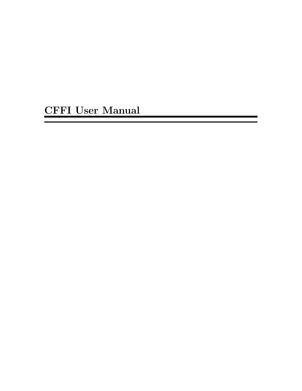CFFI User Manual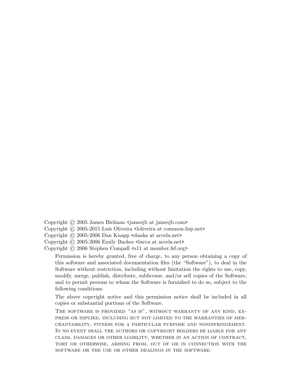- Copyright © 2005 James Bielman <jamesjb at jamesjb.com>
- Copyright © 2005-2015 Luís Oliveira <loliveira at common-lisp.net>
- Copyright (c) 2005-2006 Dan Knapp <danka at accela.net>
- Copyright (c) 2005-2006 Emily Backes <lucca at accela.net>
- Copyright © 2006 Stephen Compall <s11 at member.fsf.org>

Permission is hereby granted, free of charge, to any person obtaining a copy of this software and associated documentation files (the "Software"), to deal in the Software without restriction, including without limitation the rights to use, copy, modify, merge, publish, distribute, sublicense, and/or sell copies of the Software, and to permit persons to whom the Software is furnished to do so, subject to the following conditions:

The above copyright notice and this permission notice shall be included in all copies or substantial portions of the Software.

The software is provided "as is", without warranty of any kind, express or implied, including but not limited to the warranties of merchantability, fitness for a particular purpose and noninfringement. In no event shall the authors or copyright holders be liable for any claim, damages or other liability, whether in an action of contract, tort or otherwise, arising from, out of or in connection with the software or the use or other dealings in the software.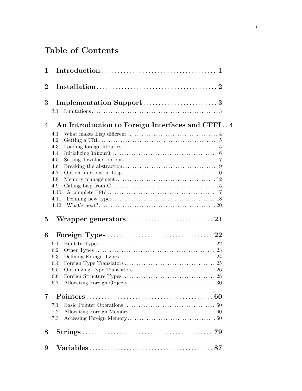# Table of Contents

| 1              |                                                                                     |
|----------------|-------------------------------------------------------------------------------------|
| $\bf{2}$       |                                                                                     |
| 3              | Implementation Support3<br>$3.1\,$                                                  |
| $\overline{4}$ | An Introduction to Foreign Interfaces and CFFI 4                                    |
|                | 4.1<br>4.2<br>4.3<br>4.4<br>4.5<br>4.6<br>4.7<br>4.8<br>4.9<br>4.10<br>4.11<br>4.12 |
| $\overline{5}$ |                                                                                     |
| 6              |                                                                                     |
|                | 6.1<br>6.2<br>6.3<br>6.4<br>6.5<br>6.6<br>6.7                                       |
| 7              |                                                                                     |
|                | 7.1<br>7.2<br>7.3                                                                   |
| 8              |                                                                                     |
| 9              |                                                                                     |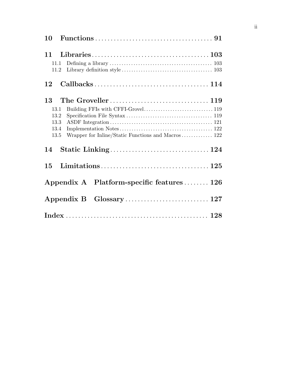| 10                                                                                               |
|--------------------------------------------------------------------------------------------------|
| 11<br>11.1<br>11.2                                                                               |
| 12                                                                                               |
| 13<br>13.1<br>13.2<br>13.3<br>13.4<br>Wrapper for Inline/Static Functions and Macros 122<br>13.5 |
| 14                                                                                               |
| 15                                                                                               |
| Appendix A Platform-specific features  126                                                       |
|                                                                                                  |
|                                                                                                  |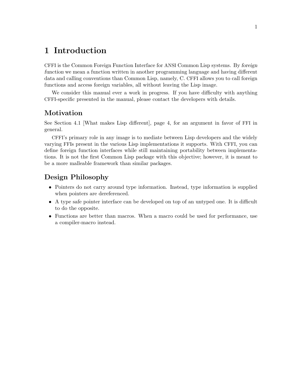# <span id="page-4-0"></span>1 Introduction

CFFI is the Common Foreign Function Interface for ANSI Common Lisp systems. By foreign function we mean a function written in another programming language and having different data and calling conventions than Common Lisp, namely, C. CFFI allows you to call foreign functions and access foreign variables, all without leaving the Lisp image.

We consider this manual ever a work in progress. If you have difficulty with anything CFFI-specific presented in the manual, please contact [the developers](mailto:cffi-devel@common-lisp.net) with details.

# Motivation

See [Section 4.1 \[What makes Lisp different\], page 4](#page-7-1), for an argument in favor of FFI in general.

CFFI's primary role in any image is to mediate between Lisp developers and the widely varying FFIs present in the various Lisp implementations it supports. With CFFI, you can define foreign function interfaces while still maintaining portability between implementations. It is not the first Common Lisp package with this objective; however, it is meant to be a more malleable framework than similar packages.

# Design Philosophy

- Pointers do not carry around type information. Instead, type information is supplied when pointers are dereferenced.
- A type safe pointer interface can be developed on top of an untyped one. It is difficult to do the opposite.
- Functions are better than macros. When a macro could be used for performance, use a compiler-macro instead.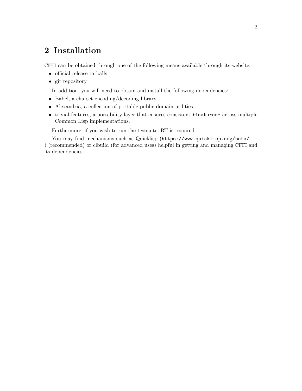# <span id="page-5-0"></span>2 Installation

CFFI can be obtained through one of the following means available through its [website](http://common-lisp.net/project/cffi/):

- [official release tarballs](http://common-lisp.net/project/cffi/releases/?M=D)
- [git repository](http://common-lisp.net/gitweb?p=projects/cffi/cffi.git)

In addition, you will need to obtain and install the following dependencies:

- [Babel](http://common-lisp.net/project/babel/), a charset encoding/decoding library.
- [Alexandria,](http://common-lisp.net/project/alexandria/) a collection of portable public-domain utilities.
- [trivial-features](http://www.cliki.net/trivial-features), a portability layer that ensures consistent \*features\* across multiple Common Lisp implementations.

Furthermore, if you wish to run the testsuite, [RT](http://www.cliki.net/rt) is required.

You may find mechanisms such as Quicklisp (<https://www.quicklisp.org/beta/> [\)](https://www.quicklisp.org/beta/) (recommended) or [clbuild](http://common-lisp.net/project/clbuild/) (for advanced uses) helpful in getting and managing CFFI and its dependencies.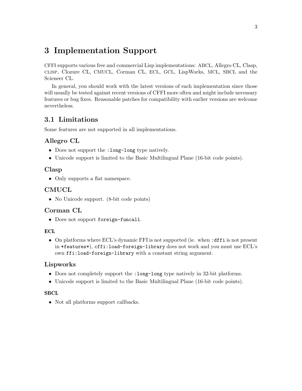# <span id="page-6-0"></span>3 Implementation Support

CFFI supports various free and commercial Lisp implementations: ABCL, Allegro CL, Clasp, clisp, Clozure CL, CMUCL, Corman CL, ECL, GCL, LispWorks, MCL, SBCL and the Scieneer CL.

In general, you should work with the latest versions of each implementation since those will usually be tested against recent versions of CFFI more often and might include necessary features or bug fixes. Reasonable patches for compatibility with earlier versions are welcome nevertheless.

# 3.1 Limitations

Some features are not supported in all implementations.

# Allegro CL

- Does not support the :long-long type natively.
- Unicode support is limited to the Basic Multilingual Plane (16-bit code points).

# Clasp

• Only supports a flat namespace.

# CMUCL

• No Unicode support. (8-bit code points)

# Corman CL

• Does not support foreign-funcall.

#### **ECL**

• On platforms where ECL's dynamic FFI is not supported (ie. when : dffi is not present in \*features\*), cffi:load-foreign-library does not work and you must use ECL's own ffi:load-foreign-library with a constant string argument.

# Lispworks

- Does not completely support the :long-long type natively in 32-bit platforms.
- Unicode support is limited to the Basic Multilingual Plane (16-bit code points).

#### **SBCL**

• Not all platforms support callbacks.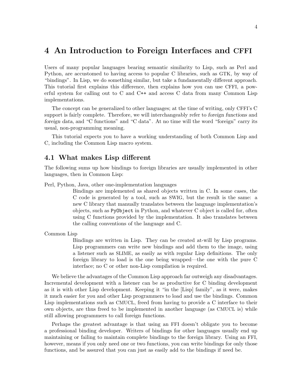# <span id="page-7-0"></span>4 An Introduction to Foreign Interfaces and CFFI

Users of many popular languages bearing semantic similarity to Lisp, such as Perl and Python, are accustomed to having access to popular C libraries, such as GTK, by way of "bindings". In Lisp, we do something similar, but take a fundamentally different approach. This tutorial first explains this difference, then explains how you can use CFFI, a powerful system for calling out to C and C++ and access C data from many Common Lisp implementations.

The concept can be generalized to other languages; at the time of writing, only CFFI's C support is fairly complete. Therefore, we will interchangeably refer to foreign functions and foreign data, and "C functions" and "C data". At no time will the word "foreign" carry its usual, non-programming meaning.

This tutorial expects you to have a working understanding of both Common Lisp and C, including the Common Lisp macro system.

#### <span id="page-7-1"></span>4.1 What makes Lisp different

The following sums up how bindings to foreign libraries are usually implemented in other languages, then in Common Lisp:

Perl, Python, Java, other one-implementation languages

Bindings are implemented as shared objects written in C. In some cases, the C code is generated by a tool, such as SWIG, but the result is the same: a new C library that manually translates between the language implementation's objects, such as PyObject in Python, and whatever C object is called for, often using C functions provided by the implementation. It also translates between the calling conventions of the language and C.

Common Lisp

Bindings are written in Lisp. They can be created at-will by Lisp programs. Lisp programmers can write new bindings and add them to the image, using a listener such as SLIME, as easily as with regular Lisp definitions. The only foreign library to load is the one being wrapped—the one with the pure C interface; no C or other non-Lisp compilation is required.

We believe the advantages of the Common Lisp approach far outweigh any disadvantages. Incremental development with a listener can be as productive for C binding development as it is with other Lisp development. Keeping it "in the [Lisp] family", as it were, makes it much easier for you and other Lisp programmers to load and use the bindings. Common Lisp implementations such as CMUCL, freed from having to provide a C interface to their own objects, are thus freed to be implemented in another language (as CMUCL is) while still allowing programmers to call foreign functions.

Perhaps the greatest advantage is that using an FFI doesn't obligate you to become a professional binding developer. Writers of bindings for other languages usually end up maintaining or failing to maintain complete bindings to the foreign library. Using an FFI, however, means if you only need one or two functions, you can write bindings for only those functions, and be assured that you can just as easily add to the bindings if need be.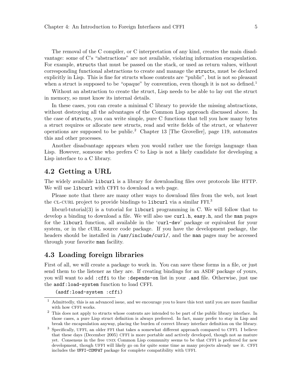<span id="page-8-0"></span>The removal of the C compiler, or C interpretation of any kind, creates the main disadvantage: some of C's "abstractions" are not available, violating information encapsulation. For example, structs that must be passed on the stack, or used as return values, without corresponding functional abstractions to create and manage the structs, must be declared explicitly in Lisp. This is fine for structs whose contents are "public", but is not so pleasant when a struct is supposed to be "opaque" by convention, even though it is not so defined.<sup>1</sup>

Without an abstraction to create the struct, Lisp needs to be able to lay out the struct in memory, so must know its internal details.

In these cases, you can create a minimal C library to provide the missing abstractions, without destroying all the advantages of the Common Lisp approach discussed above. In the case of structs, you can write simple, pure C functions that tell you how many bytes a struct requires or allocate new structs, read and write fields of the struct, or whatever operations are supposed to be public.<sup>2</sup> [Chapter 13 \[The Groveller\], page 119,](#page-122-0) automates this and other processes.

Another disadvantage appears when you would rather use the foreign language than Lisp. However, someone who prefers C to Lisp is not a likely candidate for developing a Lisp interface to a C library.

# 4.2 Getting a URL

The widely available libcurl is a library for downloading files over protocols like HTTP. We will use libcurl with CFFI to download a web page.

Please note that there are many other ways to download files from the web, not least the CL-CURL project to provide bindings to libcurl via a similar FFI.<sup>3</sup>

[libcurl-tutorial\(3\)](http://curl.haxx.se/libcurl/c/libcurl-tutorial.html) is a tutorial for libcurl programming in C. We will follow that to develop a binding to download a file. We will also use curl.h, easy.h, and the man pages for the libcurl function, all available in the 'curl-dev' package or equivalent for your system, or in the cURL source code package. If you have the development package, the headers should be installed in /usr/include/curl/, and the man pages may be accessed through your favorite man facility.

# 4.3 Loading foreign libraries

First of all, we will create a package to work in. You can save these forms in a file, or just send them to the listener as they are. If creating bindings for an ASDF package of yours, you will want to add :cffi to the :depends-on list in your .asd file. Otherwise, just use the asdf:load-system function to load CFFI.

(asdf:load-system :cffi)

<sup>1</sup> Admittedly, this is an advanced issue, and we encourage you to leave this text until you are more familiar with how CFFI works.

<sup>&</sup>lt;sup>2</sup> This does not apply to structs whose contents are intended to be part of the public library interface. In those cases, a pure Lisp struct definition is always preferred. In fact, many prefer to stay in Lisp and break the encapsulation anyway, placing the burden of correct library interface definition on the library.

<sup>3</sup> Specifically, UFFI, an older FFI that takes a somewhat different approach compared to CFFI. I believe that these days (December 2005) CFFI is more portable and actively developed, though not as mature yet. Consensus in the free unix Common Lisp community seems to be that CFFI is preferred for new development, though UFFI will likely go on for quite some time as many projects already use it. CFFI includes the UFFI-COMPAT package for complete compatibility with UFFI.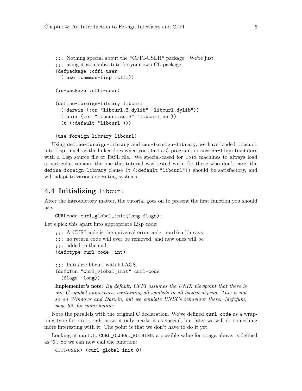```
;;; Nothing special about the "CFFI-USER" package. We're just
;;; using it as a substitute for your own CL package.
(defpackage :cffi-user
  (:use :common-lisp :cffi))
(in-package :cffi-user)
(define-foreign-library libcurl
  (:darwin (:or "libcurl.3.dylib" "libcurl.dylib"))
  (:unix (:or "libcurl.so.3" "libcurl.so"))
  (t (:default "libcurl")))
(use-foreign-library libcurl)
```
Using define-foreign-library and use-foreign-library, we have loaded libcurl into Lisp, much as the linker does when you start a C program, or common-lisp:load does with a Lisp source file or FASL file. We special-cased for UNIX machines to always load a particular version, the one this tutorial was tested with; for those who don't care, the define-foreign-library clause (t (:default "libcurl")) should be satisfactory, and will adapt to various operating systems.

# 4.4 Initializing libcurl

After the introductory matter, the tutorial goes on to present the first function you should use.

CURLcode curl\_global\_init(long flags);

Let's pick this apart into appropriate Lisp code:

```
;;; A CURLcode is the universal error code. curl/curl.h says
```
;;; no return code will ever be removed, and new ones will be

```
;;; added to the end.
```
(defctype curl-code :int)

;;; Initialize libcurl with FLAGS. (defcfun "curl\_global\_init" curl-code (flags :long))

**Implementor's note:** By default, CFFI assumes the UNIX viewpoint that there is one C symbol namespace, containing all symbols in all loaded objects. This is not so on Windows and Darwin, but we emulate UNIX's behaviour there. [\[defcfun\],](#page-95-0) [page 92,](#page-95-0) for more details.

Note the parallels with the original C declaration. We've defined curl-code as a wrapping type for :int; right now, it only marks it as special, but later we will do something more interesting with it. The point is that we don't have to do it yet.

Looking at curl.h, CURL\_GLOBAL\_NOTHING, a possible value for flags above, is defined as '0'. So we can now call the function:

cffi-user> (curl-global-init 0)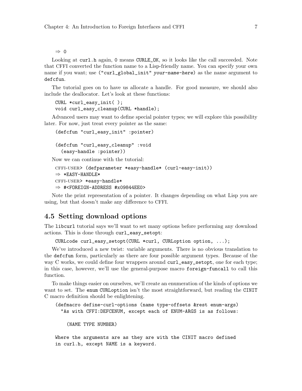<span id="page-10-0"></span>⇒ 0

Looking at curl.h again, 0 means CURLE\_OK, so it looks like the call succeeded. Note that CFFI converted the function name to a Lisp-friendly name. You can specify your own name if you want; use ("curl\_global\_init" your-name-here) as the name argument to defcfun.

The tutorial goes on to have us allocate a handle. For good measure, we should also include the deallocator. Let's look at these functions:

```
CURL *curl_easy_init( );
void curl_easy_cleanup(CURL *handle);
```
Advanced users may want to define special pointer types; we will explore this possibility later. For now, just treat every pointer as the same:

```
(defcfun "curl_easy_init" :pointer)
(defcfun "curl_easy_cleanup" :void
  (easy-handle :pointer))
```
Now we can continue with the tutorial:

```
cffi-user> (defparameter *easy-handle* (curl-easy-init))
\Rightarrow *EASY-HANDLE*
cffi-user> *easy-handle*
⇒ #<FOREIGN-ADDRESS #x09844EE0>
```
Note the print representation of a pointer. It changes depending on what Lisp you are using, but that doesn't make any difference to CFFI.

# 4.5 Setting download options

The libcurl tutorial says we'll want to set many options before performing any download actions. This is done through curl\_easy\_setopt:

```
CURLcode curl_easy_setopt(CURL *curl, CURLoption option, ...);
```
We've introduced a new twist: variable arguments. There is no obvious translation to the defcfun form, particularly as there are four possible argument types. Because of the way C works, we could define four wrappers around curl\_easy\_setopt, one for each type; in this case, however, we'll use the general-purpose macro foreign-funcall to call this function.

To make things easier on ourselves, we'll create an enumeration of the kinds of options we want to set. The enum CURLoption isn't the most straightforward, but reading the CINIT C macro definition should be enlightening.

```
(defmacro define-curl-options (name type-offsets &rest enum-args)
 "As with CFFI:DEFCENUM, except each of ENUM-ARGS is as follows:
```
(NAME TYPE NUMBER)

Where the arguments are as they are with the CINIT macro defined in curl.h, except NAME is a keyword.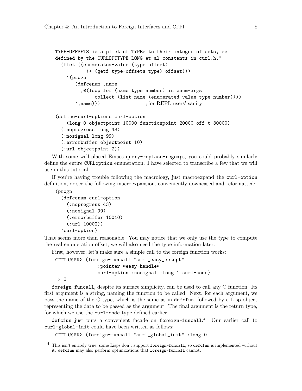```
TYPE-OFFSETS is a plist of TYPEs to their integer offsets, as
defined by the CURLOPTTYPE_LONG et al constants in curl.h."
  (flet ((enumerated-value (type offset)
           (+ (getf type-offsets type) offset)))
    '(progn
       (defcenum ,name
         ,@(loop for (name type number) in enum-args
              collect (list name (enumerated-value type number))))
       ',name))) ; for REPL users' sanity
(define-curl-options curl-option
    (long 0 objectpoint 10000 functionpoint 20000 off-t 30000)
  (:noprogress long 43)
  (:nosignal long 99)
  (:errorbuffer objectpoint 10)
  (:url objectpoint 2))
```
With some well-placed Emacs query-replace-regexps, you could probably similarly define the entire CURLoption enumeration. I have selected to transcribe a few that we will use in this tutorial.

If you're having trouble following the macrology, just macroexpand the curl-option definition, or see the following macroexpansion, conveniently downcased and reformatted:

(progn

```
(defcenum curl-option
 (:noprogress 43)
 (:nosignal 99)
 (:errorbuffer 10010)
 (:url 10002))
'curl-option)
```
That seems more than reasonable. You may notice that we only use the type to compute the real enumeration offset; we will also need the type information later.

First, however, let's make sure a simple call to the foreign function works:

```
cffi-user> (foreign-funcall "curl_easy_setopt"
               :pointer *easy-handle*
               curl-option :nosignal :long 1 curl-code)
```
⇒ 0

foreign-funcall, despite its surface simplicity, can be used to call any C function. Its first argument is a string, naming the function to be called. Next, for each argument, we pass the name of the C type, which is the same as in defcfun, followed by a Lisp object representing the data to be passed as the argument. The final argument is the return type, for which we use the curl-code type defined earlier.

defcfun just puts a convenient façade on foreign-funcall.<sup>4</sup> Our earlier call to curl-global-init could have been written as follows:

cffi-user> (foreign-funcall "curl\_global\_init" :long 0

This isn't entirely true; some Lisps don't support foreign-funcall, so defcfun is implemented without it. defcfun may also perform optimizations that foreign-funcall cannot.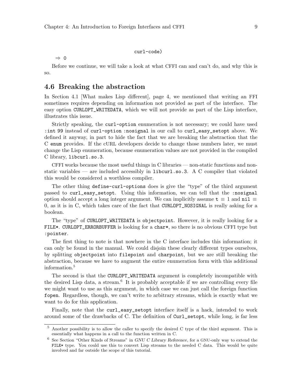#### curl-code)

<span id="page-12-0"></span>⇒ 0

Before we continue, we will take a look at what CFFI can and can't do, and why this is so.

### <span id="page-12-1"></span>4.6 Breaking the abstraction

In [Section 4.1 \[What makes Lisp different\], page 4](#page-7-1), we mentioned that writing an FFI sometimes requires depending on information not provided as part of the interface. The easy option CURLOPT\_WRITEDATA, which we will not provide as part of the Lisp interface, illustrates this issue.

Strictly speaking, the curl-option enumeration is not necessary; we could have used :int 99 instead of curl-option :nosignal in our call to curl\_easy\_setopt above. We defined it anyway, in part to hide the fact that we are breaking the abstraction that the C enum provides. If the cURL developers decide to change those numbers later, we must change the Lisp enumeration, because enumeration values are not provided in the compiled C library, libcurl.so.3.

CFFI works because the most useful things in C libraries — non-static functions and nonstatic variables — are included accessibly in  $\text{libcurl}.\text{so.3}.$  A C compiler that violated this would be considered a worthless compiler.

The other thing define-curl-options does is give the "type" of the third argument passed to curl\_easy\_setopt. Using this information, we can tell that the :nosignal option should accept a long integer argument. We can implicitly assume  $t \equiv 1$  and  $n i l \equiv$ 0, as it is in C, which takes care of the fact that CURLOPT\_NOSIGNAL is really asking for a boolean.

The "type" of CURLOPT\_WRITEDATA is objectpoint. However, it is really looking for a FILE\*. CURLOPT\_ERRORBUFFER is looking for a char\*, so there is no obvious CFFI type but :pointer.

The first thing to note is that nowhere in the C interface includes this information; it can only be found in the manual. We could disjoin these clearly different types ourselves, by splitting objectpoint into filepoint and charpoint, but we are still breaking the abstraction, because we have to augment the entire enumeration form with this additional information.<sup>5</sup>

The second is that the CURLOPT\_WRITEDATA argument is completely incompatible with the desired Lisp data, a stream.<sup>6</sup> It is probably acceptable if we are controlling every file we might want to use as this argument, in which case we can just call the foreign function fopen. Regardless, though, we can't write to arbitrary streams, which is exactly what we want to do for this application.

Finally, note that the curl\_easy\_setopt interface itself is a hack, intended to work around some of the drawbacks of C. The definition of Curl\_setopt, while long, is far less

<sup>5</sup> Another possibility is to allow the caller to specify the desired C type of the third argument. This is essentially what happens in a call to the function written in C.

<sup>6</sup> See Section "Other Kinds of Streams" in GNU C Library Reference, for a GNU-only way to extend the FILE\* type. You could use this to convert Lisp streams to the needed C data. This would be quite involved and far outside the scope of this tutorial.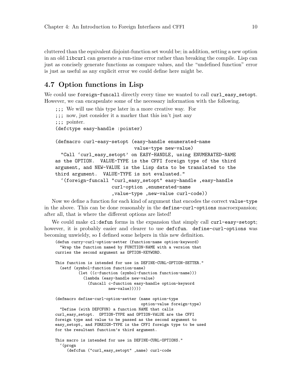<span id="page-13-0"></span>cluttered than the equivalent disjoint-function set would be; in addition, setting a new option in an old libcurl can generate a run-time error rather than breaking the compile. Lisp can just as concisely generate functions as compare values, and the "undefined function" error is just as useful as any explicit error we could define here might be.

# 4.7 Option functions in Lisp

We could use foreign-funcall directly every time we wanted to call curl\_easy\_setopt. However, we can encapsulate some of the necessary information with the following.

```
;;; We will use this type later in a more creative way. For
;;; now, just consider it a marker that this isn't just any
;;; pointer.
(defctype easy-handle :pointer)
(defmacro curl-easy-setopt (easy-handle enumerated-name
                             value-type new-value)
  "Call 'curl_easy_setopt' on EASY-HANDLE, using ENUMERATED-NAME
as the OPTION. VALUE-TYPE is the CFFI foreign type of the third
argument, and NEW-VALUE is the Lisp data to be translated to the
third argument. VALUE-TYPE is not evaluated."
  '(foreign-funcall "curl_easy_setopt" easy-handle ,easy-handle
                    curl-option ,enumerated-name
                     ,value-type ,new-value curl-code))
```
Now we define a function for each kind of argument that encodes the correct value-type in the above. This can be done reasonably in the define-curl-options macroexpansion; after all, that is where the different options are listed!

We could make cl:defun forms in the expansion that simply call curl-easy-setopt; however, it is probably easier and clearer to use defcfun. define-curl-options was becoming unwieldy, so I defined some helpers in this new definition.

```
(defun curry-curl-option-setter (function-name option-keyword)
  "Wrap the function named by FUNCTION-NAME with a version that
curries the second argument as OPTION-KEYWORD.
This function is intended for use in DEFINE-CURL-OPTION-SETTER."
  (setf (symbol-function function-name)
          (let ((c-function (symbol-function function-name)))
            (lambda (easy-handle new-value)
              (funcall c-function easy-handle option-keyword
                       new-value)))))
(defmacro define-curl-option-setter (name option-type
                                     option-value foreign-type)
  "Define (with DEFCFUN) a function NAME that calls
curl_easy_setopt. OPTION-TYPE and OPTION-VALUE are the CFFI
foreign type and value to be passed as the second argument to
easy_setopt, and FOREIGN-TYPE is the CFFI foreign type to be used
for the resultant function's third argument.
This macro is intended for use in DEFINE-CURL-OPTIONS."
  '(progn
     (defcfun ("curl_easy_setopt" ,name) curl-code
```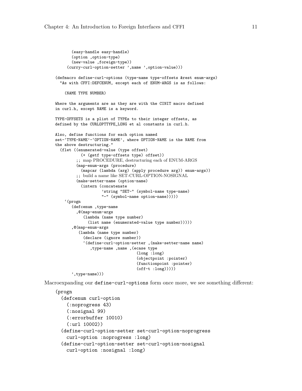```
(easy-handle easy-handle)
       (option ,option-type)
       (new-value ,foreign-type))
     (curry-curl-option-setter ',name ',option-value)))
(defmacro define-curl-options (type-name type-offsets &rest enum-args)
  "As with CFFI:DEFCENUM, except each of ENUM-ARGS is as follows:
    (NAME TYPE NUMBER)
Where the arguments are as they are with the CINIT macro defined
in curl.h, except NAME is a keyword.
TYPE-OFFSETS is a plist of TYPEs to their integer offsets, as
defined by the CURLOPTTYPE_LONG et al constants in curl.h.
Also, define functions for each option named
set-'TYPE-NAME'-'OPTION-NAME', where OPTION-NAME is the NAME from
the above destructuring."
  (flet ((enumerated-value (type offset)
           (+ (getf type-offsets type) offset))
         ;; map PROCEDURE, destructuring each of ENUM-ARGS
         (map-enum-args (procedure)
           (mapcar (lambda (arg) (apply procedure arg)) enum-args))
         ;; build a name like SET-CURL-OPTION-NOSIGNAL
         (make-setter-name (option-name)
           (intern (concatenate
                    'string "SET-" (symbol-name type-name)
                    "-" (symbol-name option-name)))))
    '(progn
       (defcenum ,type-name
         ,@(map-enum-args
            (lambda (name type number)
              (list name (enumerated-value type number)))))
       ,@(map-enum-args
          (lambda (name type number)
            (declare (ignore number))
            '(define-curl-option-setter ,(make-setter-name name)
               ,type-name ,name ,(ecase type
                                   (long :long)
                                   (objectpoint :pointer)
                                   (functionpoint :pointer)
                                   (off-t :long)))))
       ',type-name)))
```
Macroexpanding our define-curl-options form once more, we see something different:

```
(progn
  (defcenum curl-option
    (:noprogress 43)
    (:nosignal 99)
    (:errorbuffer 10010)
    (:url 10002))
  (define-curl-option-setter set-curl-option-noprogress
    curl-option :noprogress :long)
  (define-curl-option-setter set-curl-option-nosignal
    curl-option :nosignal :long)
```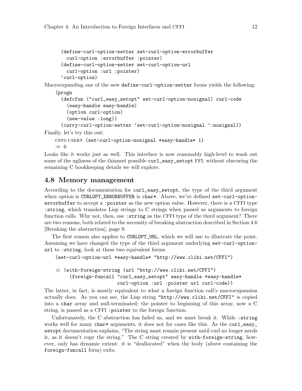```
(define-curl-option-setter set-curl-option-errorbuffer
 curl-option :errorbuffer :pointer)
(define-curl-option-setter set-curl-option-url
 curl-option :url :pointer)
'curl-option)
```
Macroexpanding one of the new define-curl-option-setter forms yields the following:

```
(progn
```

```
(defcfun ("curl_easy_setopt" set-curl-option-nosignal) curl-code
  (easy-handle easy-handle)
  (option curl-option)
  (new-value :long))
(curry-curl-option-setter 'set-curl-option-nosignal ':nosignal))
```
Finally, let's try this out:

```
cffi-user> (set-curl-option-nosignal *easy-handle* 1)
⇒ 0
```
Looks like it works just as well. This interface is now reasonably high-level to wash out some of the ugliness of the thinnest possible curl\_easy\_setopt FFI, without obscuring the remaining C bookkeeping details we will explore.

# 4.8 Memory management

According to the documentation for curl\_easy\_setopt, the type of the third argument when option is CURLOPT\_ERRORBUFFER is char\*. Above, we've defined set-curl-optionerrorbuffer to accept a :pointer as the new option value. However, there is a CFFI type :string, which translates Lisp strings to C strings when passed as arguments to foreign function calls. Why not, then, use :string as the CFFI type of the third argument? There are two reasons, both related to the necessity of breaking abstraction described in [Section 4.6](#page-12-1) [\[Breaking the abstraction\], page 9](#page-12-1).

The first reason also applies to CURLOPT\_URL, which we will use to illustrate the point. Assuming we have changed the type of the third argument underlying set-curl-optionurl to :string, look at these two equivalent forms.

```
(set-curl-option-url *easy-handle* "http://www.cliki.net/CFFI")
```

```
≡ (with-foreign-string (url "http://www.cliki.net/CFFI")
     (foreign-funcall "curl_easy_setopt" easy-handle *easy-handle*
                      curl-option :url :pointer url curl-code))
```
The latter, in fact, is mostly equivalent to what a foreign function call's macroexpansion actually does. As you can see, the Lisp string "http://www.cliki.net/CFFI" is copied into a char array and null-terminated; the pointer to beginning of this array, now a C string, is passed as a CFFI :pointer to the foreign function.

Unfortunately, the C abstraction has failed us, and we must break it. While :string works well for many char\* arguments, it does not for cases like this. As the curl\_easy\_ setopt documentation explains, "The string must remain present until curl no longer needs it, as it doesn't copy the string." The C string created by with-foreign-string, however, only has dynamic extent: it is "deallocated" when the body (above containing the foreign-funcall form) exits.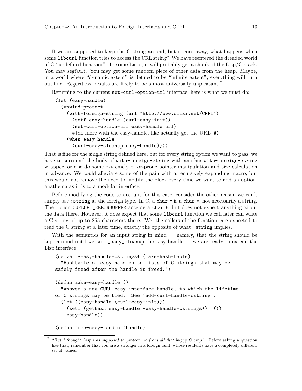If we are supposed to keep the C string around, but it goes away, what happens when some libcurl function tries to access the URL string? We have reentered the dreaded world of C "undefined behavior". In some Lisps, it will probably get a chunk of the Lisp/C stack. You may segfault. You may get some random piece of other data from the heap. Maybe, in a world where "dynamic extent" is defined to be "infinite extent", everything will turn out fine. Regardless, results are likely to be almost universally unpleasant.<sup>7</sup>

Returning to the current set-curl-option-url interface, here is what we must do:

```
(let (easy-handle)
  (unwind-protect
    (with-foreign-string (url "http://www.cliki.net/CFFI")
      (setf easy-handle (curl-easy-init))
      (set-curl-option-url easy-handle url)
      #|do more with the easy-handle, like actually get the URL|#)
    (when easy-handle
      (curl-easy-cleanup easy-handle))))
```
That is fine for the single string defined here, but for every string option we want to pass, we have to surround the body of with-foreign-string with another with-foreign-string wrapper, or else do some extremely error-prone pointer manipulation and size calculation in advance. We could alleviate some of the pain with a recursively expanding macro, but this would not remove the need to modify the block every time we want to add an option, anathema as it is to a modular interface.

Before modifying the code to account for this case, consider the other reason we can't simply use : string as the foreign type. In C, a char  $*$  is a char  $*$ , not necessarily a string. The option CURLOPT\_ERRORBUFFER accepts a char \*, but does not expect anything about the data there. However, it does expect that some libcurl function we call later can write a C string of up to 255 characters there. We, the callers of the function, are expected to read the C string at a later time, exactly the opposite of what : string implies.

With the semantics for an input string in mind — namely, that the string should be kept around until we  $\text{curl\_easy\_cleanup}$  the easy handle — we are ready to extend the Lisp interface:

```
(defvar *easy-handle-cstrings* (make-hash-table)
  "Hashtable of easy handles to lists of C strings that may be
safely freed after the handle is freed.")
(defun make-easy-handle ()
  "Answer a new CURL easy interface handle, to which the lifetime
of C strings may be tied. See 'add-curl-handle-cstring'."
  (let ((easy-handle (curl-easy-init)))
    (setf (gethash easy-handle *easy-handle-cstrings*) '())
   easy-handle))
```

```
(defun free-easy-handle (handle)
```
<sup>7</sup> "But I thought Lisp was supposed to protect me from all that buggy  $C$  crap!" Before asking a question like that, remember that you are a stranger in a foreign land, whose residents have a completely different set of values.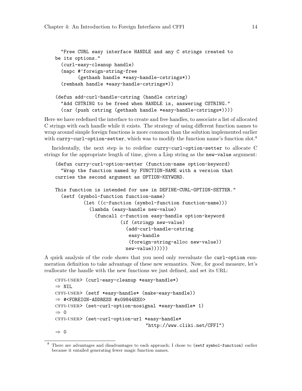```
"Free CURL easy interface HANDLE and any C strings created to
be its options."
  (curl-easy-cleanup handle)
  (mapc #'foreign-string-free
        (gethash handle *easy-handle-cstrings*))
  (remhash handle *easy-handle-cstrings*))
(defun add-curl-handle-cstring (handle cstring)
  "Add CSTRING to be freed when HANDLE is, answering CSTRING."
  (car (push cstring (gethash handle *easy-handle-cstrings*))))
```
Here we have redefined the interface to create and free handles, to associate a list of allocated C strings with each handle while it exists. The strategy of using different function names to wrap around simple foreign functions is more common than the solution implemented earlier with curry-curl-option-setter, which was to modify the function name's function slot.<sup>8</sup>

Incidentally, the next step is to redefine curry-curl-option-setter to allocate C strings for the appropriate length of time, given a Lisp string as the new-value argument:

```
(defun curry-curl-option-setter (function-name option-keyword)
  "Wrap the function named by FUNCTION-NAME with a version that
curries the second argument as OPTION-KEYWORD.
This function is intended for use in DEFINE-CURL-OPTION-SETTER."
  (setf (symbol-function function-name)
          (let ((c-function (symbol-function function-name)))
            (lambda (easy-handle new-value)
              (funcall c-function easy-handle option-keyword
                       (if (stringp new-value)
                         (add-curl-handle-cstring
                          easy-handle
                          (foreign-string-alloc new-value))
                         new-value))))))
```
A quick analysis of the code shows that you need only reevaluate the curl-option enumeration definition to take advantage of these new semantics. Now, for good measure, let's reallocate the handle with the new functions we just defined, and set its URL:

```
cffi-user> (curl-easy-cleanup *easy-handle*)
⇒ NIL
cffi-user> (setf *easy-handle* (make-easy-handle))
\Rightarrow #<FOREIGN-ADDRESS #x09844EE0>
cffi-user> (set-curl-option-nosignal *easy-handle* 1)
⇒ 0
cffi-user> (set-curl-option-url *easy-handle*
                                 "http://www.cliki.net/CFFI")
⇒ 0
```
<sup>8</sup> There are advantages and disadvantages to each approach; I chose to (setf symbol-function) earlier because it entailed generating fewer magic function names.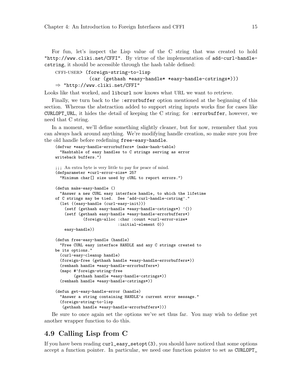<span id="page-18-0"></span>For fun, let's inspect the Lisp value of the C string that was created to hold "http://www.cliki.net/CFFI". By virtue of the implementation of add-curl-handlecstring, it should be accessible through the hash table defined:

cffi-user> (foreign-string-to-lisp

```
(car (gethash *easy-handle* *easy-handle-cstrings*)))
⇒ "http://www.cliki.net/CFFI"
```
Looks like that worked, and libcurl now knows what URL we want to retrieve.

Finally, we turn back to the :errorbuffer option mentioned at the beginning of this section. Whereas the abstraction added to support string inputs works fine for cases like CURLOPT\_URL, it hides the detail of keeping the C string; for :errorbuffer, however, we need that C string.

In a moment, we'll define something slightly cleaner, but for now, remember that you can always hack around anything. We're modifying handle creation, so make sure you free the old handle before redefining free-easy-handle.

```
(defvar *easy-handle-errorbuffers* (make-hash-table)
  "Hashtable of easy handles to C strings serving as error
writeback buffers.")
;;; An extra byte is very little to pay for peace of mind.
(defparameter *curl-error-size* 257
  "Minimum char[] size used by cURL to report errors.")
(defun make-easy-handle ()
  "Answer a new CURL easy interface handle, to which the lifetime
of C strings may be tied. See 'add-curl-handle-cstring'."
  (let ((easy-handle (curl-easy-init)))
    (setf (gethash easy-handle *easy-handle-cstrings*) '())
    (setf (gethash easy-handle *easy-handle-errorbuffers*)
            (foreign-alloc :char :count *curl-error-size*
                           :initial-element 0))
    easy-handle))
(defun free-easy-handle (handle)
  "Free CURL easy interface HANDLE and any C strings created to
be its options."
  (curl-easy-cleanup handle)
  (foreign-free (gethash handle *easy-handle-errorbuffers*))
  (remhash handle *easy-handle-errorbuffers*)
  (mapc #'foreign-string-free
        (gethash handle *easy-handle-cstrings*))
  (remhash handle *easy-handle-cstrings*))
(defun get-easy-handle-error (handle)
  "Answer a string containing HANDLE's current error message."
  (foreign-string-to-lisp
   (gethash handle *easy-handle-errorbuffers*)))
```
Be sure to once again set the options we've set thus far. You may wish to define yet another wrapper function to do this.

# 4.9 Calling Lisp from C

If you have been reading [curl\\_easy\\_setopt\(3\)](http://curl.haxx.se/libcurl/c/curl_easy_setopt.html), you should have noticed that some options accept a function pointer. In particular, we need one function pointer to set as CURLOPT\_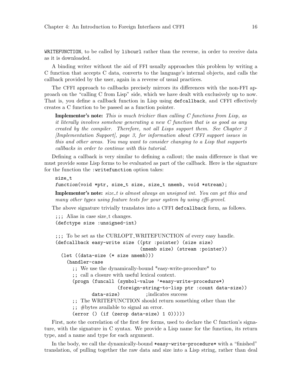WRITEFUNCTION, to be called by libcurl rather than the reverse, in order to receive data as it is downloaded.

A binding writer without the aid of FFI usually approaches this problem by writing a C function that accepts C data, converts to the language's internal objects, and calls the callback provided by the user, again in a reverse of usual practices.

The CFFI approach to callbacks precisely mirrors its differences with the non-FFI approach on the "calling C from Lisp" side, which we have dealt with exclusively up to now. That is, you define a callback function in Lisp using defcallback, and CFFI effectively creates a C function to be passed as a function pointer.

**Implementor's note:** This is much trickier than calling  $C$  functions from Lisp, as it literally involves somehow generating a new C function that is as good as any created by the compiler. Therefore, not all Lisps support them. See [Chapter 3](#page-6-0) [\[Implementation Support\], page 3](#page-6-0), for information about CFFI support issues in this and other areas. You may want to consider changing to a Lisp that supports callbacks in order to continue with this tutorial.

Defining a callback is very similar to defining a callout; the main difference is that we must provide some Lisp forms to be evaluated as part of the callback. Here is the signature for the function the :writefunction option takes:

size\_t function(void \*ptr, size\_t size, size\_t nmemb, void \*stream);

**Implementor's note:** size\_t is almost always an unsigned int. You can get this and many other types using feature tests for your system by using cffi-grovel.

The above signature trivially translates into a CFFI defcallback form, as follows.

;;; Alias in case size\_t changes. (defctype size :unsigned-int)

```
;;; To be set as the CURLOPT WRITEFUNCTION of every easy handle.
(defcallback easy-write size ((ptr :pointer) (size size)
                               (nmemb size) (stream :pointer))
  (let ((data-size (* size nmemb)))
    (handler-case
      ;; We use the dynamically-bound *easy-write-procedure* to
      ;; call a closure with useful lexical context.
      (progn (funcall (symbol-value '*easy-write-procedure*)
                       (foreign-string-to-lisp ptr :count data-size))
             data-size) ; indicates success
      ;; The WRITEFUNCTION should return something other than the
      ;; #bytes available to signal an error.
      (error () (if (zerop data-size) 1 0)))))
```
First, note the correlation of the first few forms, used to declare the C function's signature, with the signature in C syntax. We provide a Lisp name for the function, its return type, and a name and type for each argument.

In the body, we call the dynamically-bound \*easy-write-procedure\* with a "finished" translation, of pulling together the raw data and size into a Lisp string, rather than deal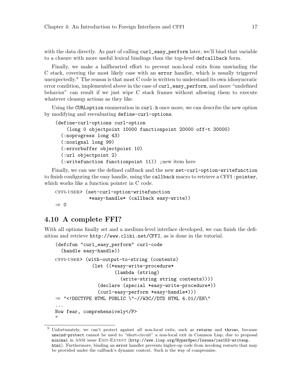<span id="page-20-0"></span>with the data directly. As part of calling curl\_easy\_perform later, we'll bind that variable to a closure with more useful lexical bindings than the top-level defcallback form.

Finally, we make a halfhearted effort to prevent non-local exits from unwinding the C stack, covering the most likely case with an error handler, which is usually triggered unexpectedly.<sup>9</sup> The reason is that most C code is written to understand its own idiosyncratic error condition, implemented above in the case of curl\_easy\_perform, and more "undefined behavior" can result if we just wipe C stack frames without allowing them to execute whatever cleanup actions as they like.

Using the CURLoption enumeration in curl.h once more, we can describe the new option by modifying and reevaluating define-curl-options.

```
(define-curl-options curl-option
    (long 0 objectpoint 10000 functionpoint 20000 off-t 30000)
  (:noprogress long 43)
  (:nosignal long 99)
  (:errorbuffer objectpoint 10)
  (:url objectpoint 2)
  (:writefunction functionpoint 11)) ;new item here
```
Finally, we can use the defined callback and the new set-curl-option-writefunction to finish configuring the easy handle, using the callback macro to retrieve a CFFI :pointer, which works like a function pointer in C code.

cffi-user> (set-curl-option-writefunction \*easy-handle\* (callback easy-write)) ⇒ 0

# 4.10 A complete FFI?

With all options finally set and a medium-level interface developed, we can finish the definition and retrieve <http://www.cliki.net/CFFI>, as is done in the tutorial.

```
(defcfun "curl_easy_perform" curl-code
  (handle easy-handle))
cffi-user> (with-output-to-string (contents)
             (let ((*easy-write-procedure*
                     (lambda (string)
                       (write-string string contents))))
               (declare (special *easy-write-procedure*))
               (curl-easy-perform *easy-handle*)))
⇒ "<!DOCTYPE HTML PUBLIC \"-//W3C//DTD HTML 4.01//EN\"
...
Now fear, comprehensively</P>
"
```
Unfortunately, we can't protect against all non-local exits, such as returns and throws, because unwind-protect cannot be used to "short-circuit" a non-local exit in Common Lisp, due to proposal minimal in ANSI issue EXIT-EXTENT ([http://www.lisp.org/HyperSpec/Issues/iss152-writeup.](http://www.lisp.org/HyperSpec/Issues/iss152-writeup.html) [html](http://www.lisp.org/HyperSpec/Issues/iss152-writeup.html)). Furthermore, binding an error handler prevents higher-up code from invoking restarts that may be provided under the callback's dynamic context. Such is the way of compromise.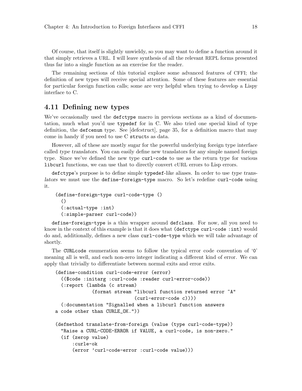<span id="page-21-0"></span>Of course, that itself is slightly unwieldy, so you may want to define a function around it that simply retrieves a URL. I will leave synthesis of all the relevant REPL forms presented thus far into a single function as an exercise for the reader.

The remaining sections of this tutorial explore some advanced features of CFFI; the definition of new types will receive special attention. Some of these features are essential for particular foreign function calls; some are very helpful when trying to develop a Lispy interface to C.

# <span id="page-21-1"></span>4.11 Defining new types

We've occasionally used the defctype macro in previous sections as a kind of documentation, much what you'd use typedef for in C. We also tried one special kind of type definition, the defcenum type. See [\[defcstruct\], page 35](#page-38-0), for a definition macro that may come in handy if you need to use C structs as data.

However, all of these are mostly sugar for the powerful underlying foreign type interface called type translators. You can easily define new translators for any simple named foreign type. Since we've defined the new type curl-code to use as the return type for various libcurl functions, we can use that to directly convert cURL errors to Lisp errors.

defctype's purpose is to define simple typedef-like aliases. In order to use type translators we must use the define-foreign-type macro. So let's redefine curl-code using it.

```
(define-foreign-type curl-code-type ()
  ()
  (:actual-type :int)
  (:simple-parser curl-code))
```
define-foreign-type is a thin wrapper around defclass. For now, all you need to know in the context of this example is that it does what (defictype curl-code : int) would do and, additionally, defines a new class curl-code-type which we will take advantage of shortly.

The CURLcode enumeration seems to follow the typical error code convention of '0' meaning all is well, and each non-zero integer indicating a different kind of error. We can apply that trivially to differentiate between normal exits and error exits.

```
(define-condition curl-code-error (error)
  (($code :initarg :curl-code :reader curl-error-code))
  (:report (lambda (c stream)
             (format stream "libcurl function returned error ~A"
                            (curl-error-code c))))
  (:documentation "Signalled when a libcurl function answers
a code other than CURLE_OK."))
(defmethod translate-from-foreign (value (type curl-code-type))
  "Raise a CURL-CODE-ERROR if VALUE, a curl-code, is non-zero."
  (if (zerop value)
      :curle-ok
      (error 'curl-code-error :curl-code value)))
```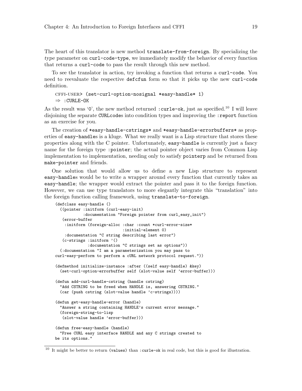The heart of this translator is new method translate-from-foreign. By specializing the type parameter on curl-code-type, we immediately modify the behavior of every function that returns a curl-code to pass the result through this new method.

To see the translator in action, try invoking a function that returns a curl-code. You need to reevaluate the respective defcfun form so that it picks up the new curl-code definition.

```
cffi-user> (set-curl-option-nosignal *easy-handle* 1)
⇒ :CURLE-OK
```
As the result was '0', the new method returned : curle-ok, just as specified.<sup>10</sup> I will leave disjoining the separate CURLcodes into condition types and improving the : report function as an exercise for you.

The creation of \*easy-handle-cstrings\* and \*easy-handle-errorbuffers\* as properties of easy-handles is a kluge. What we really want is a Lisp structure that stores these properties along with the C pointer. Unfortunately, easy-handle is currently just a fancy name for the foreign type :pointer; the actual pointer object varies from Common Lisp implementation to implementation, needing only to satisfy pointerp and be returned from make-pointer and friends.

One solution that would allow us to define a new Lisp structure to represent easy-handles would be to write a wrapper around every function that currently takes an easy-handle; the wrapper would extract the pointer and pass it to the foreign function. However, we can use type translators to more elegantly integrate this "translation" into the foreign function calling framework, using translate-to-foreign.

```
(defclass easy-handle ()
  ((pointer :initform (curl-easy-init)
           :documentation "Foreign pointer from curl_easy_init")
   (error-buffer
   :initform (foreign-alloc :char :count *curl-error-size*
                            :initial-element 0)
   :documentation "C string describing last error")
  (c-strings :initform '()
             :documentation "C strings set as options"))
  (:documentation "I am a parameterization you may pass to
curl-easy-perform to perform a cURL network protocol request."))
(defmethod initialize-instance :after ((self easy-handle) &key)
  (set-curl-option-errorbuffer self (slot-value self 'error-buffer)))
(defun add-curl-handle-cstring (handle cstring)
 "Add CSTRING to be freed when HANDLE is, answering CSTRING."
 (car (push cstring (slot-value handle 'c-strings))))
(defun get-easy-handle-error (handle)
  "Answer a string containing HANDLE's current error message."
  (foreign-string-to-lisp
   (slot-value handle 'error-buffer)))
(defun free-easy-handle (handle)
  "Free CURL easy interface HANDLE and any C strings created to
be its options."
```
 $10$  It might be better to return (values) than : curle-ok in real code, but this is good for illustration.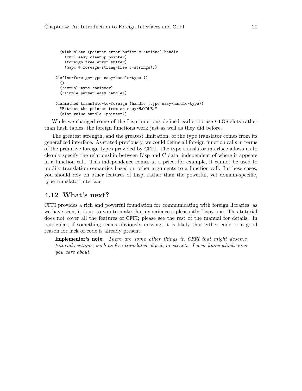```
(with-slots (pointer error-buffer c-strings) handle
    (curl-easy-cleanup pointer)
    (foreign-free error-buffer)
    (mapc #'foreign-string-free c-strings)))
(define-foreign-type easy-handle-type ()
  ()
  (:actual-type :pointer)
  (:simple-parser easy-handle))
(defmethod translate-to-foreign (handle (type easy-handle-type))
  "Extract the pointer from an easy-HANDLE."
  (slot-value handle 'pointer))
```
While we changed some of the Lisp functions defined earlier to use CLOS slots rather than hash tables, the foreign functions work just as well as they did before.

The greatest strength, and the greatest limitation, of the type translator comes from its generalized interface. As stated previously, we could define all foreign function calls in terms of the primitive foreign types provided by CFFI. The type translator interface allows us to cleanly specify the relationship between Lisp and C data, independent of where it appears in a function call. This independence comes at a price; for example, it cannot be used to modify translation semantics based on other arguments to a function call. In these cases, you should rely on other features of Lisp, rather than the powerful, yet domain-specific, type translator interface.

### 4.12 What's next?

CFFI provides a rich and powerful foundation for communicating with foreign libraries; as we have seen, it is up to you to make that experience a pleasantly Lispy one. This tutorial does not cover all the features of CFFI; please see the rest of the manual for details. In particular, if something seems obviously missing, it is likely that either code or a good reason for lack of code is already present.

Implementor's note: There are some other things in CFFI that might deserve tutorial sections, such as free-translated-object, or structs. Let us know which ones you care about.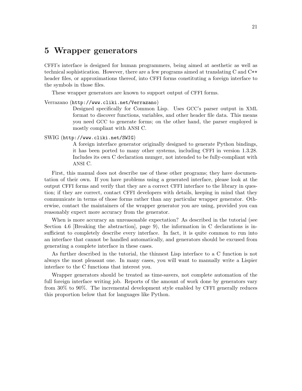# <span id="page-24-0"></span>5 Wrapper generators

CFFI's interface is designed for human programmers, being aimed at aesthetic as well as technical sophistication. However, there are a few programs aimed at translating C and C++ header files, or approximations thereof, into CFFI forms constituting a foreign interface to the symbols in those files.

These wrapper generators are known to support output of CFFI forms.

#### Verrazano (<http://www.cliki.net/Verrazano>)

Designed specifically for Common Lisp. Uses GCC's parser output in XML format to discover functions, variables, and other header file data. This means you need GCC to generate forms; on the other hand, the parser employed is mostly compliant with ANSI C.

#### SWIG (<http://www.cliki.net/SWIG>)

A foreign interface generator originally designed to generate Python bindings, it has been ported to many other systems, including CFFI in version 1.3.28. Includes its own C declaration munger, not intended to be fully-compliant with ANSI C.

First, this manual does not describe use of these other programs; they have documentation of their own. If you have problems using a generated interface, please look at the output CFFI forms and verify that they are a correct CFFI interface to the library in question; if they are correct, contact CFFI developers with details, keeping in mind that they communicate in terms of those forms rather than any particular wrapper generator. Otherwise, contact the maintainers of the wrapper generator you are using, provided you can reasonably expect more accuracy from the generator.

When is more accuracy an unreasonable expectation? As described in the tutorial (see [Section 4.6 \[Breaking the abstraction\], page 9\)](#page-12-1), the information in C declarations is insufficient to completely describe every interface. In fact, it is quite common to run into an interface that cannot be handled automatically, and generators should be excused from generating a complete interface in these cases.

As further described in the tutorial, the thinnest Lisp interface to a C function is not always the most pleasant one. In many cases, you will want to manually write a Lispier interface to the C functions that interest you.

Wrapper generators should be treated as time-savers, not complete automation of the full foreign interface writing job. Reports of the amount of work done by generators vary from 30% to 90%. The incremental development style enabled by CFFI generally reduces this proportion below that for languages like Python.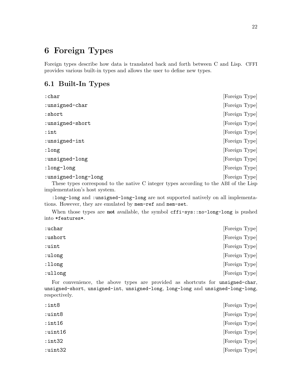# <span id="page-25-0"></span>6 Foreign Types

Foreign types describe how data is translated back and forth between C and Lisp. CFFI provides various built-in types and allows the user to define new types.

# 6.1 Built-In Types

| $:$ char                                                                                                     | [Foreign Type] |
|--------------------------------------------------------------------------------------------------------------|----------------|
| :unsigned-char                                                                                               | [Foreign Type] |
| :short                                                                                                       | [Foreign Type] |
| :unsigned-short                                                                                              | [Foreign Type] |
| $:$ int                                                                                                      | [Foreign Type] |
| :unsigned-int                                                                                                | [Foreign Type] |
| :long                                                                                                        | [Foreign Type] |
| :unsigned-long                                                                                               | [Foreign Type] |
| :long-long                                                                                                   | [Foreign Type] |
| :unsigned-long-long<br>These types correspond to the native C integer types according to the ABI of the Lisp | [Foreign Type] |

implementation's host system.

:long-long and :unsigned-long-long are not supported natively on all implementations. However, they are emulated by mem-ref and mem-set.

When those types are not available, the symbol cffi-sys::no-long-long is pushed into \*features\*.

| :uchar  |  |  |  |  | [Foreign Type] |
|---------|--|--|--|--|----------------|
| :ushort |  |  |  |  | [Foreign Type] |
| :uint   |  |  |  |  | [Foreign Type] |
| :ulong  |  |  |  |  | [Foreign Type] |
| :llong  |  |  |  |  | [Foreign Type] |
| :ullong |  |  |  |  | [Foreign Type] |
|         |  |  |  |  |                |

For convenience, the above types are provided as shortcuts for unsigned-char, unsigned-short, unsigned-int, unsigned-long, long-long and unsigned-long-long, respectively.

| $:$ int $8$   | [Foreign Type] |
|---------------|----------------|
| :uint8        | [Foreign Type] |
| $:$ int $16$  | [Foreign Type] |
| $:$ uint $16$ | [Foreign Type] |
| $:$ int $32$  | [Foreign Type] |
| :uint32       | [Foreign Type] |
|               |                |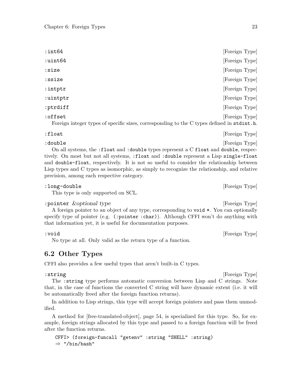<span id="page-26-0"></span>

| $:$ int $64$                                                                                          | [Foreign Type] |
|-------------------------------------------------------------------------------------------------------|----------------|
| :uint64                                                                                               | [Foreign Type] |
| :size                                                                                                 | [Foreign Type] |
| :ssize                                                                                                | [Foreign Type] |
| $:$ intptr                                                                                            | [Foreign Type] |
| :uintptr                                                                                              | [Foreign Type] |
| :ptrdiff                                                                                              | [Foreign Type] |
| :offset<br>Foreign integer types of specific sizes, corresponding to the C types defined in stdint.h. | [Foreign Type] |

:float [Foreign Type] : double [Foreign Type] On all systems, the :float and :double types represent a C float and double, respectively. On most but not all systems, :float and :double represent a Lisp single-float and double-float, respectively. It is not so useful to consider the relationship between Lisp types and C types as isomorphic, as simply to recognize the relationship, and relative precision, among each respective category.

#### : long-double [Foreign Type]

This type is only supported on SCL.

#### : pointer *&optional type* [Foreign Type]

A foreign pointer to an object of any type, corresponding to void \*. You can optionally specify type of pointer (e.g. (:pointer :char)). Although CFFI won't do anything with that information yet, it is useful for documentation purposes.

#### : void [Foreign Type]

No type at all. Only valid as the return type of a function.

# 6.2 Other Types

CFFI also provides a few useful types that aren't built-in C types.

: string [Foreign Type]

The :string type performs automatic conversion between Lisp and C strings. Note that, in the case of functions the converted C string will have dynamic extent (i.e. it will be automatically freed after the foreign function returns).

In addition to Lisp strings, this type will accept foreign pointers and pass them unmodified.

A method for [\[free-translated-object\], page 54,](#page-57-0) is specialized for this type. So, for example, foreign strings allocated by this type and passed to a foreign function will be freed after the function returns.

```
CFFI> (foreign-funcall "getenv" :string "SHELL" :string)
\Rightarrow "/bin/bash"
```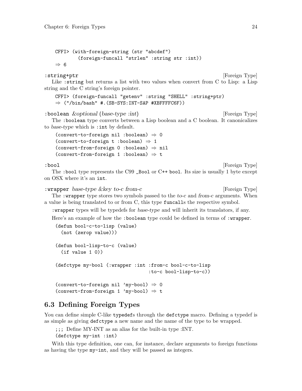```
CFFI> (with-foreign-string (str "abcdef")
        (foreign-funcall "strlen" :string str :int))
⇒ 6
```
#### : string+ptr [Foreign Type]

Like : string but returns a list with two values when convert from C to Lisp: a Lisp string and the C string's foreign pointer.

```
CFFI> (foreign-funcall "getenv" :string "SHELL" :string+ptr)
\Rightarrow ("/bin/bash" #. (SB-SYS: INT-SAP #XBFFFFC6F))
```
:boolean *&optional* (base-type :int) [Foreign Type] The :boolean type converts between a Lisp boolean and a C boolean. It canonicalizes to base-type which is :int by default.

```
(convert-to-foreign nil :boolean) \Rightarrow 0
(convert-to-foreign t : boolean) \Rightarrow 1
(convert-from-foreign 0 :boolean) \Rightarrow nil\text{(convert-from-foreign 1 :boolean)} \Rightarrow t
```
: bool [Foreign Type]

The : bool type represents the C99 \_Bool or C $++$  bool. Its size is usually 1 byte except on OSX where it's an int.

: wrapper base-type & key to-c from-c [Foreign Type] The :wrapper type stores two symbols passed to the to-c and from-c arguments. When a value is being translated to or from C, this type funcalls the respective symbol.

:wrapper types will be typedefs for base-type and will inherit its translators, if any.

Here's an example of how the : boolean type could be defined in terms of : wrapper.

```
(defun bool-c-to-lisp (value)
  (not (zerop value)))
(defun bool-lisp-to-c (value)
  (if value 1 0))(defctype my-bool (:wrapper :int :from-c bool-c-to-lisp
                                     :to-c bool-lisp-to-c))
(convert-to-foreign nil 'my-bool) \Rightarrow 0
\text{(convert-from-foreign 1 'my-book)} \Rightarrow t
```
# 6.3 Defining Foreign Types

You can define simple C-like typedefs through the defctype macro. Defining a typedef is as simple as giving defctype a new name and the name of the type to be wrapped.

;;; Define MY-INT as an alias for the built-in type :INT. (defctype my-int :int)

With this type definition, one can, for instance, declare arguments to foreign functions as having the type my-int, and they will be passed as integers.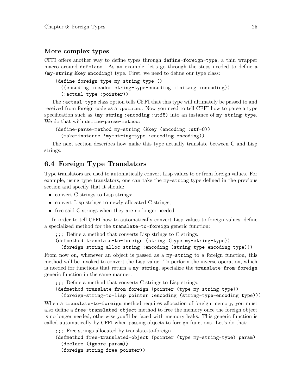#### <span id="page-28-0"></span>More complex types

CFFI offers another way to define types through define-foreign-type, a thin wrapper macro around defclass. As an example, let's go through the steps needed to define a (my-string &key encoding) type. First, we need to define our type class:

```
(define-foreign-type my-string-type ()
  ((encoding :reader string-type-encoding :initarg :encoding))
  (:actual-type :pointer))
```
The :actual-type class option tells CFFI that this type will ultimately be passed to and received from foreign code as a :pointer. Now you need to tell CFFI how to parse a type specification such as ( $my$ -string:encoding:utf8) into an instance of  $my$ -string-type. We do that with define-parse-method:

```
(define-parse-method my-string (&key (encoding :utf-8))
  (make-instance 'my-string-type :encoding encoding))
```
The next section describes how make this type actually translate between C and Lisp strings.

# 6.4 Foreign Type Translators

Type translators are used to automatically convert Lisp values to or from foreign values. For example, using type translators, one can take the my-string type defined in the previous section and specify that it should:

- convert C strings to Lisp strings;
- convert Lisp strings to newly allocated C strings;
- free said C strings when they are no longer needed.

In order to tell CFFI how to automatically convert Lisp values to foreign values, define a specialized method for the translate-to-foreign generic function:

;;; Define a method that converts Lisp strings to C strings.

(defmethod translate-to-foreign (string (type my-string-type))

(foreign-string-alloc string :encoding (string-type-encoding type)))

From now on, whenever an object is passed as a my-string to a foreign function, this method will be invoked to convert the Lisp value. To perform the inverse operation, which is needed for functions that return a my-string, specialize the translate-from-foreign generic function in the same manner:

;;; Define a method that converts C strings to Lisp strings.

(defmethod translate-from-foreign (pointer (type my-string-type))

(foreign-string-to-lisp pointer :encoding (string-type-encoding type)))

When a translate-to-foreign method requires allocation of foreign memory, you must also define a free-translated-object method to free the memory once the foreign object is no longer needed, otherwise you'll be faced with memory leaks. This generic function is called automatically by CFFI when passing objects to foreign functions. Let's do that:

```
;;; Free strings allocated by translate-to-foreign.
(defmethod free-translated-object (pointer (type my-string-type) param)
  (declare (ignore param))
  (foreign-string-free pointer))
```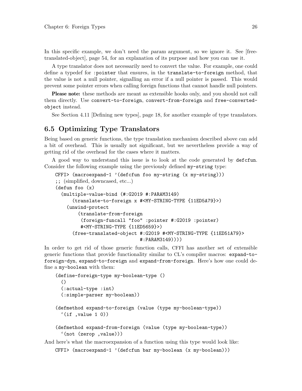<span id="page-29-0"></span>In this specific example, we don't need the *param* argument, so we ignore it. See [\[free](#page-57-0)[translated-object\], page 54](#page-57-0), for an explanation of its purpose and how you can use it.

A type translator does not necessarily need to convert the value. For example, one could define a typedef for :pointer that ensures, in the translate-to-foreign method, that the value is not a null pointer, signalling an error if a null pointer is passed. This would prevent some pointer errors when calling foreign functions that cannot handle null pointers.

Please note: these methods are meant as extensible hooks only, and you should not call them directly. Use convert-to-foreign, convert-from-foreign and free-convertedobject instead.

See [Section 4.11 \[Defining new types\], page 18](#page-21-1), for another example of type translators.

# 6.5 Optimizing Type Translators

Being based on generic functions, the type translation mechanism described above can add a bit of overhead. This is usually not significant, but we nevertheless provide a way of getting rid of the overhead for the cases where it matters.

A good way to understand this issue is to look at the code generated by defcfun. Consider the following example using the previously defined my-string type:

```
CFFI> (macroexpand-1 '(defcfun foo my-string (x my-string)))
;; (simplified, downcased, etc...)
(defun foo (x)
  (multiple-value-bind (#:G2019 #:PARAM3149)
      (translate-to-foreign x #<MY-STRING-TYPE {11ED5A79}>)
    (unwind-protect
        (translate-from-foreign
         (foreign-funcall "foo" :pointer #:G2019 :pointer)
         #<MY-STRING-TYPE {11ED5659}>)
      (free-translated-object #:G2019 #<MY-STRING-TYPE {11ED51A79}>
                               #:PARAM3149))))
```
In order to get rid of those generic function calls, CFFI has another set of extensible generic functions that provide functionality similar to CL's compiler macros: expand-toforeign-dyn, expand-to-foreign and expand-from-foreign. Here's how one could define a my-boolean with them:

```
(define-foreign-type my-boolean-type ()
  ()
  (:actual-type :int)
  (:simple-parser my-boolean))
(defmethod expand-to-foreign (value (type my-boolean-type))
  '(if , value 1 0))
(defmethod expand-from-foreign (value (type my-boolean-type))
  '(not (zerop ,value)))
```
And here's what the macroexpansion of a function using this type would look like: CFFI> (macroexpand-1 '(defcfun bar my-boolean (x my-boolean)))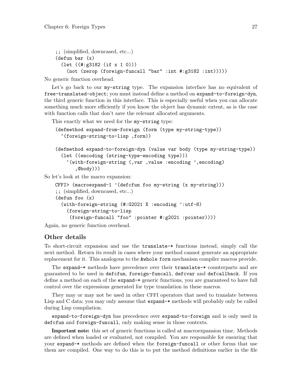```
;; (simplified, downcased, etc...)
(defun bar (x)
  (let ((#:g3182 (if x 1 0)))
    (not (zerop (foreign-funcall "bar" :int #:g3182 :int)))))
```
No generic function overhead.

Let's go back to our my-string type. The expansion interface has no equivalent of free-translated-object; you must instead define a method on expand-to-foreign-dyn, the third generic function in this interface. This is especially useful when you can allocate something much more efficiently if you know the object has dynamic extent, as is the case with function calls that don't save the relevant allocated arguments.

This exactly what we need for the my-string type:

```
(defmethod expand-from-foreign (form (type my-string-type))
  '(foreign-string-to-lisp ,form))
(defmethod expand-to-foreign-dyn (value var body (type my-string-type))
  (let ((encoding (string-type-encoding type)))
    '(with-foreign-string (,var ,value :encoding ',encoding)
       ,@body)))
```
So let's look at the macro expansion:

```
CFFI> (macroexpand-1 '(defcfun foo my-string (x my-string)))
;; (simplified, downcased, etc...)
(defun foo (x)
  (with-foreign-string (#:G2021 X :encoding ':utf-8)
    (foreign-string-to-lisp
     (foreign-funcall "foo" :pointer #:g2021 :pointer))))
```
Again, no generic function overhead.

#### Other details

To short-circuit expansion and use the translate-\* functions instead, simply call the next method. Return its result in cases where your method cannot generate an appropriate replacement for it. This analogous to the &whole form mechanism compiler macros provide.

The expand-\* methods have precedence over their translate-\* counterparts and are guaranteed to be used in defcfun, foreign-funcall, defcvar and defcallback. If you define a method on each of the expand-\* generic functions, you are guaranteed to have full control over the expressions generated for type translation in these macros.

They may or may not be used in other CFFI operators that need to translate between Lisp and C data; you may only assume that expand-\* methods will probably only be called during Lisp compilation.

expand-to-foreign-dyn has precedence over expand-to-foreign and is only used in defcfun and foreign-funcall, only making sense in those contexts.

Important note: this set of generic functions is called at macroexpansion time. Methods are defined when loaded or evaluated, not compiled. You are responsible for ensuring that your expand-\* methods are defined when the foreign-funcall or other forms that use them are compiled. One way to do this is to put the method definitions earlier in the file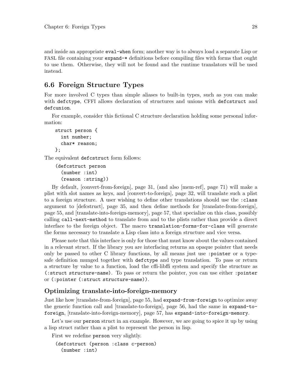<span id="page-31-0"></span>and inside an appropriate eval-when form; another way is to always load a separate Lisp or FASL file containing your expand-\* definitions before compiling files with forms that ought to use them. Otherwise, they will not be found and the runtime translators will be used instead.

# 6.6 Foreign Structure Types

For more involved C types than simple aliases to built-in types, such as you can make with defctype, CFFI allows declaration of structures and unions with defcstruct and defcunion.

For example, consider this fictional C structure declaration holding some personal information:

```
struct person {
  int number;
  char* reason;
};
```
The equivalent defcstruct form follows:

```
(defcstruct person
  (number :int)
  (reason :string))
```
By default, [\[convert-from-foreign\], page 31,](#page-34-0) (and also [\[mem-ref\], page 71\)](#page-74-0) will make a plist with slot names as keys, and [\[convert-to-foreign\], page 32,](#page-35-0) will translate such a plist to a foreign structure. A user wishing to define other translations should use the :class argument to [\[defcstruct\], page 35,](#page-38-0) and then define methods for [\[translate-from-foreign\],](#page-58-0) [page 55,](#page-58-0) and [\[translate-into-foreign-memory\], page 57,](#page-60-0) that specialize on this class, possibly calling call-next-method to translate from and to the plists rather than provide a direct interface to the foreign object. The macro translation-forms-for-class will generate the forms necessary to translate a Lisp class into a foreign structure and vice versa.

Please note that this interface is only for those that must know about the values contained in a relevant struct. If the library you are interfacing returns an opaque pointer that needs only be passed to other C library functions, by all means just use :pointer or a typesafe definition munged together with defctype and type translation. To pass or return a structure by value to a function, load the cffi-libffi system and specify the structure as (:struct structure-name). To pass or return the pointer, you can use either :pointer or (:pointer (:struct structure-name)).

#### Optimizing translate-into-foreign-memory

Just like how [\[translate-from-foreign\], page 55,](#page-58-0) had expand-from-foreign to optimize away the generic function call and [\[translate-to-foreign\], page 56,](#page-59-0) had the same in expand-toforeign, [\[translate-into-foreign-memory\], page 57,](#page-60-0) has expand-into-foreign-memory.

Let's use our person struct in an example. However, we are going to spice it up by using a lisp struct rather than a plist to represent the person in lisp.

First we redefine person very slightly.

```
(defcstruct (person :class c-person)
  (number :int)
```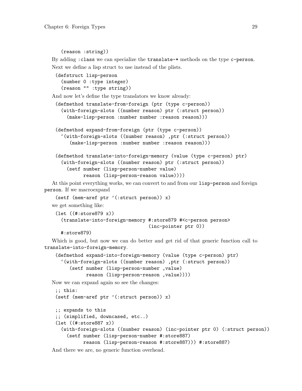```
(reason :string))
```
By adding :class we can specialize the translate-\* methods on the type c-person. Next we define a lisp struct to use instead of the plists.

```
(defstruct lisp-person
  (number 0 :type integer)
  (reason "" :type string))
```
And now let's define the type translators we know already:

```
(defmethod translate-from-foreign (ptr (type c-person))
  (with-foreign-slots ((number reason) ptr (:struct person))
    (make-lisp-person :number number :reason reason)))
```

```
(defmethod expand-from-foreign (ptr (type c-person))
  '(with-foreign-slots ((number reason) ,ptr (:struct person))
     (make-lisp-person :number number :reason reason)))
```

```
(defmethod translate-into-foreign-memory (value (type c-person) ptr)
  (with-foreign-slots ((number reason) ptr (:struct person))
    (setf number (lisp-person-number value)
          reason (lisp-person-reason value))))
```
At this point everything works, we can convert to and from our lisp-person and foreign person. If we macroexpand

```
(setf (mem-aref ptr '(:struct person)) x)
```
we get something like:

```
(let ((#:store879 x))
  (translate-into-foreign-memory #:store879 #<c-person person>
                                  (inc-pointer ptr 0))
```

```
#:store879)
```
Which is good, but now we can do better and get rid of that generic function call to translate-into-foreign-memory.

```
(defmethod expand-into-foreign-memory (value (type c-person) ptr)
  '(with-foreign-slots ((number reason) ,ptr (:struct person))
     (setf number (lisp-person-number ,value)
          reason (lisp-person-reason ,value))))
```
Now we can expand again so see the changes:

```
;; this:
(setf (mem-aref ptr '(:struct person)) x)
;; expands to this
;; (simplified, downcased, etc..)
(let ((#:store887 x))
  (with-foreign-slots ((number reason) (inc-pointer ptr 0) (:struct person))
    (setf number (lisp-person-number #:store887)
          reason (lisp-person-reason #:store887))) #:store887)
```
And there we are, no generic function overhead.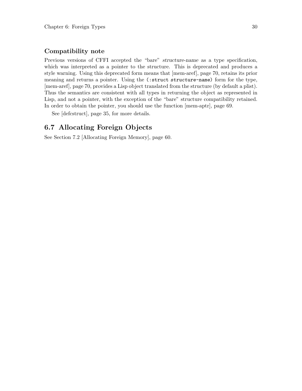#### <span id="page-33-0"></span>Compatibility note

Previous versions of CFFI accepted the "bare" *structure-name* as a type specification, which was interpreted as a pointer to the structure. This is deprecated and produces a style warning. Using this deprecated form means that [\[mem-aref\], page 70,](#page-73-0) retains its prior meaning and returns a pointer. Using the (:struct structure-name) form for the type, [\[mem-aref\], page 70,](#page-73-0) provides a Lisp object translated from the structure (by default a plist). Thus the semantics are consistent with all types in returning the object as represented in Lisp, and not a pointer, with the exception of the "bare" structure compatibility retained. In order to obtain the pointer, you should use the function [\[mem-aptr\], page 69](#page-72-0).

See [\[defcstruct\], page 35,](#page-38-0) for more details.

# 6.7 Allocating Foreign Objects

See [Section 7.2 \[Allocating Foreign Memory\], page 60](#page-63-1).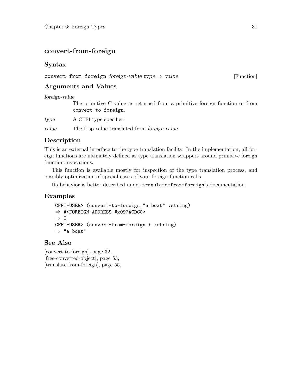# <span id="page-34-0"></span>convert-from-foreign

# Syntax

convert-from-foreign foreign-value type  $\Rightarrow$  value [Function]

# Arguments and Values

foreign-value

The primitive C value as returned from a primitive foreign function or from convert-to-foreign.

type A CFFI type specifier.

value The Lisp value translated from foreign-value.

# Description

This is an external interface to the type translation facility. In the implementation, all foreign functions are ultimately defined as type translation wrappers around primitive foreign function invocations.

This function is available mostly for inspection of the type translation process, and possibly optimization of special cases of your foreign function calls.

Its behavior is better described under translate-from-foreign's documentation.

# Examples

```
CFFI-USER> (convert-to-foreign "a boat" :string)
⇒ #<FOREIGN-ADDRESS #x097ACDC0>
⇒ T
CFFI-USER> (convert-from-foreign * :string)
⇒ "a boat"
```
# See Also

[\[convert-to-foreign\], page 32,](#page-35-0) [\[free-converted-object\], page 53,](#page-56-0) [\[translate-from-foreign\], page 55,](#page-58-0)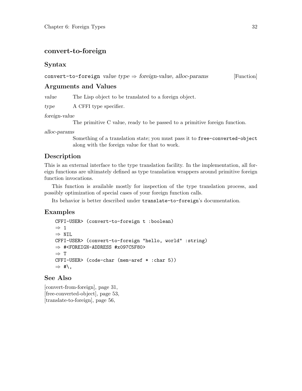# <span id="page-35-0"></span>convert-to-foreign

#### Syntax

#### convert-to-foreign value type  $\Rightarrow$  foreign-value, alloc-params [Function]

#### Arguments and Values

value The Lisp object to be translated to a foreign object.

type A CFFI type specifier.

#### foreign-value

The primitive C value, ready to be passed to a primitive foreign function.

#### alloc-params

Something of a translation state; you must pass it to free-converted-object along with the foreign value for that to work.

#### Description

This is an external interface to the type translation facility. In the implementation, all foreign functions are ultimately defined as type translation wrappers around primitive foreign function invocations.

This function is available mostly for inspection of the type translation process, and possibly optimization of special cases of your foreign function calls.

Its behavior is better described under translate-to-foreign's documentation.

#### Examples

```
CFFI-USER> (convert-to-foreign t :boolean)
\Rightarrow 1
⇒ NIL
CFFI-USER> (convert-to-foreign "hello, world" :string)
⇒ #<FOREIGN-ADDRESS #x097C5F80>
⇒ T
CFFI-USER> (code-char (mem-aref * :char 5))
\Rightarrow #\,
```
# See Also

[\[convert-from-foreign\], page 31,](#page-34-0) [\[free-converted-object\], page 53,](#page-56-0) [\[translate-to-foreign\], page 56,](#page-59-0)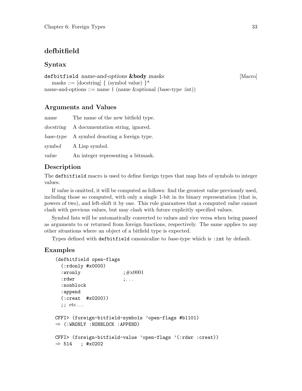# <span id="page-36-0"></span>defbitfield

#### Syntax

| defbitfield name-and-options & body masks                                              | [Macro] |
|----------------------------------------------------------------------------------------|---------|
| masks ::= [docstring] $\{$ (symbol value) $\}^*$                                       |         |
| name-and-options $\mathrel{\mathop:}=\text{name}$   (name & optional (base-type :int)) |         |
|                                                                                        |         |

#### Arguments and Values

| name   | The name of the new bitfield type.          |
|--------|---------------------------------------------|
|        | docstring A documentation string, ignored.  |
|        | base-type A symbol denoting a foreign type. |
| symbol | A Lisp symbol.                              |
| value  | An integer representing a bitmask.          |

#### Description

The defbitfield macro is used to define foreign types that map lists of symbols to integer values.

If value is omitted, it will be computed as follows: find the greatest value previously used, including those so computed, with only a single 1-bit in its binary representation (that is, powers of two), and left-shift it by one. This rule guarantees that a computed value cannot clash with previous values, but may clash with future explicitly specified values.

Symbol lists will be automatically converted to values and vice versa when being passed as arguments to or returned from foreign functions, respectively. The same applies to any other situations where an object of a bitfield type is expected.

Types defined with defbitfield canonicalize to base-type which is :int by default.

#### Examples

```
(defbitfield open-flags
  (:rdonly #x0000)
  :wronly ; #x0001:rdwr ;...
  :nonblock
  :append
  (:creat #x0200))
  ;; etc...
CFFI> (foreign-bitfield-symbols 'open-flags #b1101)
\Rightarrow (:WRONLY :NONBLOCK :APPEND)
CFFI> (foreign-bitfield-value 'open-flags '(:rdwr :creat))
\Rightarrow 514 ; #x0202
```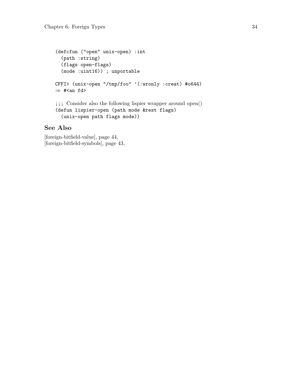```
(defcfun ("open" unix-open) :int
  (path :string)
  (flags open-flags)
  (mode :uint16)) ; unportable
CFFI> (unix-open "/tmp/foo" '(:wronly :creat) #o644)
\Rightarrow #<an fd>
;;; Consider also the following lispier wrapper around open()
(defun lispier-open (path mode &rest flags)
  (unix-open path flags mode))
```
#### See Also

[\[foreign-bitfield-value\], page 44,](#page-47-0) [\[foreign-bitfield-symbols\], page 43,](#page-46-0)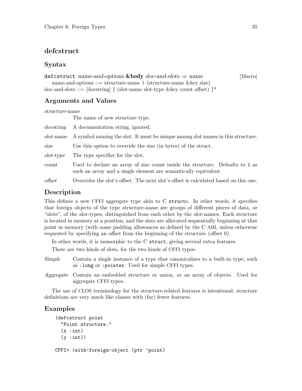#### <span id="page-38-0"></span>defcstruct

#### Syntax

#### defergence name-and-options &body doc-and-slots  $\Rightarrow$  name [Macro]

name-and-options  $::=$  structure-name  $|$  (structure-name  $\&$ key size) doc-and-slots ::=  $[doestring] \{ (slot-name slot-type \&key count offset) \}$ \*

#### Arguments and Values

structure-name

The name of new structure type.

|           | docstring A documentation string, ignored.                                                                                                       |
|-----------|--------------------------------------------------------------------------------------------------------------------------------------------------|
| slot-name | A symbol naming the slot. It must be unique among slot names in this structure.                                                                  |
| size      | Use this option to override the size (in bytes) of the struct.                                                                                   |
| slot-type | The type specifier for the slot.                                                                                                                 |
| count     | Used to declare an array of size count inside the structure. Defaults to 1 as<br>such an array and a single element are semantically equivalent. |
| offset    | Overrides the slot's offset. The next slot's offset is calculated based on this one.                                                             |

# Description

This defines a new CFFI aggregate type akin to C structs. In other words, it specifies that foreign objects of the type structure-name are groups of different pieces of data, or "slots", of the slot-types, distinguished from each other by the slot-names. Each structure is located in memory at a position, and the slots are allocated sequentially beginning at that point in memory (with some padding allowances as defined by the C ABI, unless otherwise requested by specifying an offset from the beginning of the structure (offset 0).

In other words, it is isomorphic to the C struct, giving several extra features.

There are two kinds of slots, for the two kinds of CFFI types:

- Simple Contain a single instance of a type that canonicalizes to a built-in type, such as :long or :pointer. Used for simple CFFI types.
- Aggregate Contain an embedded structure or union, or an array of objects. Used for aggregate CFFI types.

The use of CLOS terminology for the structure-related features is intentional; structure definitions are very much like classes with (far) fewer features.

#### Examples

```
(defcstruct point
  "Point structure."
  (x : int)(y: int))
CFFI> (with-foreign-object (ptr 'point)
```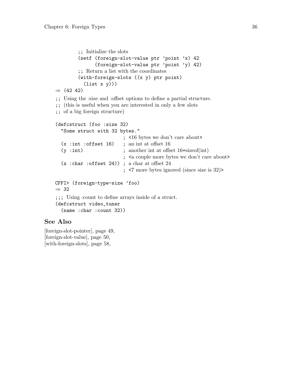```
;; Initialize the slots
         (setf (foreign-slot-value ptr 'point 'x) 42
               (foreign-slot-value ptr 'point 'y) 42)
         ;; Return a list with the coordinates
         (with-foreign-slots ((x y) ptr point)
           (list x y)))
⇒ (42 42)
;; Using the :size and :offset options to define a partial structure.
;; (this is useful when you are interested in only a few slots
;; of a big foreign structure)
(defcstruct (foo :size 32)
  "Some struct with 32 bytes."
                          ; <16 bytes we don't care about>
  (x : int : offset 16); an int at offset 16
  (y :int) ; another int at offset 16+sizeof(int)
                          ; <a couple more bytes we don't care about>
  (z :char :offset 24)) ; a char at offset 24
                           ; <7 more bytes ignored (since size is 32)>
CFFI> (foreign-type-size 'foo)
⇒ 32
;;; Using :count to define arrays inside of a struct.
(defcstruct video_tuner
  (name :char :count 32))
```
### See Also

[\[foreign-slot-pointer\], page 49,](#page-52-0) [\[foreign-slot-value\], page 50,](#page-53-0) [\[with-foreign-slots\], page 58,](#page-61-0)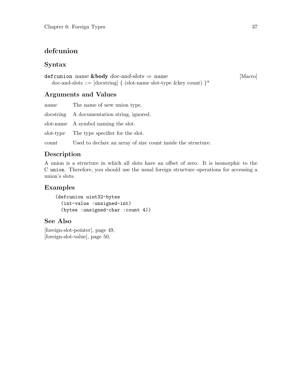# <span id="page-40-0"></span>defcunion

### Syntax

```
defcunion name \&body\ doc-and-slots \Rightarrow name [Macro]
  doc-and-slots ::= [docstring] { (slot-name slot-type &key count) }*
```
# Arguments and Values

| name  | The name of new union type.                                         |
|-------|---------------------------------------------------------------------|
|       | <i>docstring</i> A documentation string, ignored.                   |
|       | slot-name A symbol naming the slot.                                 |
|       | slot-type The type specifier for the slot.                          |
| count | Used to declare an array of size <i>count</i> inside the structure. |

# Description

A union is a structure in which all slots have an offset of zero. It is isomorphic to the C union. Therefore, you should use the usual foreign structure operations for accessing a union's slots.

## Examples

```
(defcunion uint32-bytes
  (int-value :unsigned-int)
  (bytes :unsigned-char :count 4))
```
# See Also

[\[foreign-slot-pointer\], page 49,](#page-52-0) [\[foreign-slot-value\], page 50,](#page-53-0)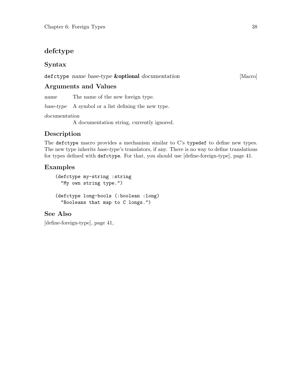# <span id="page-41-0"></span>defctype

## Syntax

#### defictype name base-type **&optional** documentation [Macro]

### Arguments and Values

name The name of the new foreign type.

base-type A symbol or a list defining the new type.

#### documentation

A documentation string, currently ignored.

# Description

The defctype macro provides a mechanism similar to C's typedef to define new types. The new type inherits base-type's translators, if any. There is no way to define translations for types defined with defctype. For that, you should use [\[define-foreign-type\], page 41.](#page-44-0)

## Examples

```
(defctype my-string :string
  "My own string type.")
(defctype long-bools (:boolean :long)
  "Booleans that map to C longs.")
```
# See Also

[\[define-foreign-type\], page 41,](#page-44-0)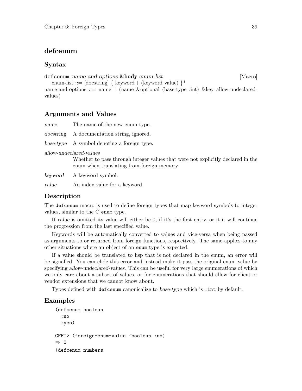#### <span id="page-42-0"></span>defcenum

#### Syntax

def cenum name-and-options **&body** enum-list [Macro]

enum-list ::=  $[docstring] \{ keyword | (keyword value) \}$ \*

name-and-options ::= name | (name &optional (base-type :int) &key allow-undeclaredvalues)

#### Arguments and Values

name The name of the new enum type. docstring A documentation string, ignored.

base-type A symbol denoting a foreign type.

allow-undeclared-values

Whether to pass through integer values that were not explicitly declared in the enum when translating from foreign memory.

keyword A keyword symbol.

value An index value for a keyword.

#### Description

The defcenum macro is used to define foreign types that map keyword symbols to integer values, similar to the C enum type.

If value is omitted its value will either be 0, if it's the first entry, or it it will continue the progression from the last specified value.

Keywords will be automatically converted to values and vice-versa when being passed as arguments to or returned from foreign functions, respectively. The same applies to any other situations where an object of an enum type is expected.

If a value should be translated to lisp that is not declared in the enum, an error will be signalled. You can elide this error and instead make it pass the original enum value by specifying allow-undeclared-values. This can be useful for very large enumerations of which we only care about a subset of values, or for enumerations that should allow for client or vendor extensions that we cannot know about.

Types defined with defcenum canonicalize to base-type which is :int by default.

#### Examples

```
(defcenum boolean
  :no
  :yes)
CFFI> (foreign-enum-value 'boolean :no)
⇒ 0
(defcenum numbers
```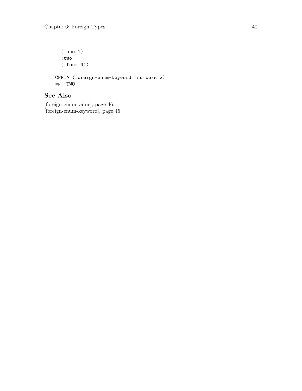(:one 1) :two (:four 4)) CFFI> (foreign-enum-keyword 'numbers 2) ⇒ :TWO

# See Also

[\[foreign-enum-value\], page 46,](#page-49-0) [\[foreign-enum-keyword\], page 45,](#page-48-0)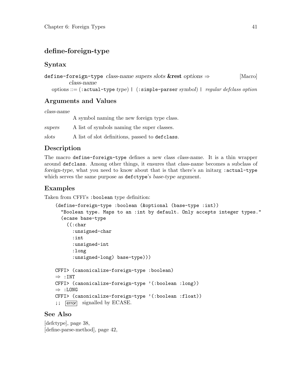# <span id="page-44-0"></span>define-foreign-type

#### Syntax

```
define-foreign-type class-name supers slots \&rest options \Rightarrow [Macro]
         class-name
  options ::= (:actual-type type) | (:simple-parser symbol) | regular defclass option
```
### Arguments and Values

class-name

A symbol naming the new foreign type class.

| supers | A list of symbols naming the super classes. |  |
|--------|---------------------------------------------|--|
|--------|---------------------------------------------|--|

slots A list of slot definitions, passed to defclass.

#### Description

The macro define-foreign-type defines a new class class-name. It is a thin wrapper around defclass. Among other things, it ensures that class-name becomes a subclass of foreign-type, what you need to know about that is that there's an initarg :actual-type which serves the same purpose as defictype's base-type argument.

### Examples

Taken from CFFI's :boolean type definition:

```
(define-foreign-type :boolean (&optional (base-type :int))
  "Boolean type. Maps to an :int by default. Only accepts integer types."
  (ecase base-type
    ((:char
      :unsigned-char
      :int
      :unsigned-int
      :long
      :unsigned-long) base-type)))
CFFI> (canonicalize-foreign-type :boolean)
\Rightarrow : INT
CFFI> (canonicalize-foreign-type '(:boolean :long))
\Rightarrow :LONG
CFFI> (canonicalize-foreign-type '(:boolean :float))
;; [error] signalled by ECASE.
```
#### See Also

[\[defctype\], page 38,](#page-41-0) [\[define-parse-method\], page 42,](#page-45-0)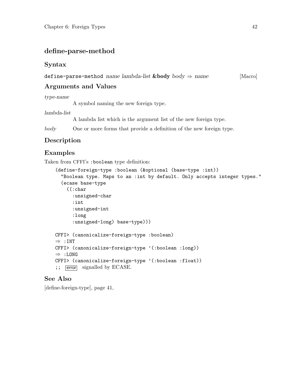# <span id="page-45-0"></span>define-parse-method

#### Syntax

define-parse-method name lambda-list  $\&body\ body \Rightarrow name$  [Macro]

# Arguments and Values

type-name

A symbol naming the new foreign type.

lambda-list

A lambda list which is the argument list of the new foreign type.

body One or more forms that provide a definition of the new foreign type.

# Description

## Examples

Taken from CFFI's :boolean type definition:

```
(define-foreign-type :boolean (&optional (base-type :int))
  "Boolean type. Maps to an :int by default. Only accepts integer types."
  (ecase base-type
    ((:char
      :unsigned-char
      :int
      :unsigned-int
      :long
      :unsigned-long) base-type)))
CFFI> (canonicalize-foreign-type :boolean)
\Rightarrow : INT
CFFI> (canonicalize-foreign-type '(:boolean :long))
⇒ :LONG
CFFI> (canonicalize-foreign-type '(:boolean :float))
;; [error] signalled by ECASE.
```
### See Also

[\[define-foreign-type\], page 41,](#page-44-0)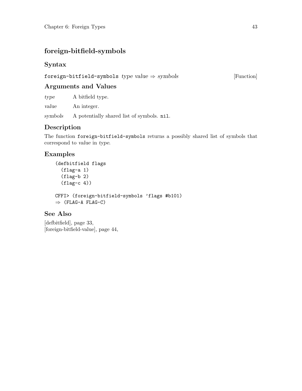# <span id="page-46-0"></span>foreign-bitfield-symbols

## Syntax

foreign-bitfield-symbols type value  $\Rightarrow$  symbols [Function]

## Arguments and Values

type A bitfield type.

value An integer.

symbols A potentially shared list of symbols. nil.

# Description

The function foreign-bitfield-symbols returns a possibly shared list of symbols that correspond to value in type.

# Examples

```
(defbitfield flags
  (flag-a 1)
  (flag-b 2)
  (flag-c 4))CFFI> (foreign-bitfield-symbols 'flags #b101)
\Rightarrow (FLAG-A FLAG-C)
```
## See Also

[\[defbitfield\], page 33,](#page-36-0) [\[foreign-bitfield-value\], page 44,](#page-47-0)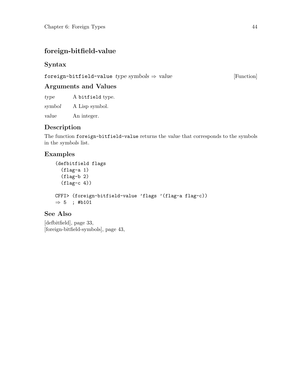# <span id="page-47-0"></span>foreign-bitfield-value

## Syntax

foreign-bitfield-value  $type\ symbols \Rightarrow value$  [Function]

# Arguments and Values

type A bitfield type.

symbol A Lisp symbol.

value An integer.

# Description

The function foreign-bitfield-value returns the value that corresponds to the symbols in the symbols list.

# Examples

```
(defbitfield flags
  (flag-a 1)
  (flag-b 2)
  (flag-c 4))CFFI> (foreign-bitfield-value 'flags '(flag-a flag-c))
\Rightarrow 5; #b101
```
## See Also

[\[defbitfield\], page 33,](#page-36-0) [\[foreign-bitfield-symbols\], page 43,](#page-46-0)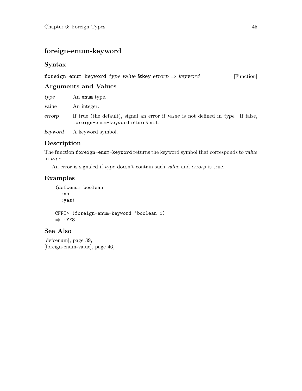# <span id="page-48-0"></span>foreign-enum-keyword

# Syntax

| foreign-enum-keyword type value & key errorp $\Rightarrow$ keyword |  |  | [Function] |
|--------------------------------------------------------------------|--|--|------------|
|--------------------------------------------------------------------|--|--|------------|

## Arguments and Values

| type   | An enum type.                                                                                                          |
|--------|------------------------------------------------------------------------------------------------------------------------|
| value  | An integer.                                                                                                            |
| errorp | If true (the default), signal an error if value is not defined in type. If false,<br>foreign-enum-keyword returns nil. |
|        | keyword A keyword symbol.                                                                                              |

# Description

The function foreign-enum-keyword returns the keyword symbol that corresponds to value in type.

An error is signaled if type doesn't contain such value and errorp is true.

## Examples

(defcenum boolean :no :yes) CFFI> (foreign-enum-keyword 'boolean 1)  $\Rightarrow$  : YES

# See Also

[\[defcenum\], page 39,](#page-42-0) [\[foreign-enum-value\], page 46,](#page-49-0)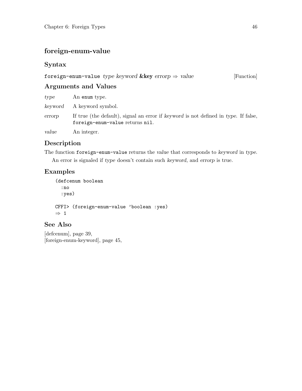# <span id="page-49-0"></span>foreign-enum-value

# Syntax

| foreign-enum-value type keyword & key errorp $\Rightarrow$ value |  |  | [Function] |
|------------------------------------------------------------------|--|--|------------|
|------------------------------------------------------------------|--|--|------------|

### Arguments and Values

| type   | An enum type.                                                                                                          |
|--------|------------------------------------------------------------------------------------------------------------------------|
|        | keyword A keyword symbol.                                                                                              |
| errorp | If true (the default), signal an error if keyword is not defined in type. If false,<br>foreign-enum-value returns nil. |
| value  | An integer.                                                                                                            |

## Description

The function foreign-enum-value returns the value that corresponds to keyword in type. An error is signaled if type doesn't contain such keyword, and errorp is true.

# Examples

(defcenum boolean :no :yes) CFFI> (foreign-enum-value 'boolean :yes)  $\Rightarrow$  1

# See Also

[\[defcenum\], page 39,](#page-42-0) [\[foreign-enum-keyword\], page 45,](#page-48-0)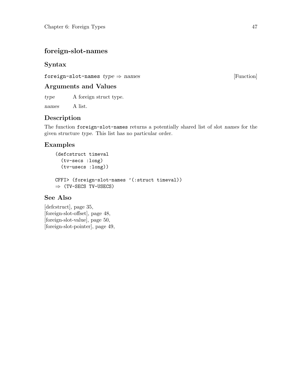# <span id="page-50-0"></span>foreign-slot-names

## Syntax

foreign-slot-names  $type \Rightarrow names$  [Function]

## Arguments and Values

type A foreign struct type.

names A list.

# Description

The function foreign-slot-names returns a potentially shared list of slot names for the given structure type. This list has no particular order.

# Examples

```
(defcstruct timeval
  (tv-secs :long)
  (tv-usecs :long))
CFFI> (foreign-slot-names '(:struct timeval))
\Rightarrow (TV-SECS TV-USECS)
```
# See Also

[\[defcstruct\], page 35,](#page-38-0) [\[foreign-slot-offset\], page 48,](#page-51-0) [\[foreign-slot-value\], page 50,](#page-53-0) [\[foreign-slot-pointer\], page 49,](#page-52-0)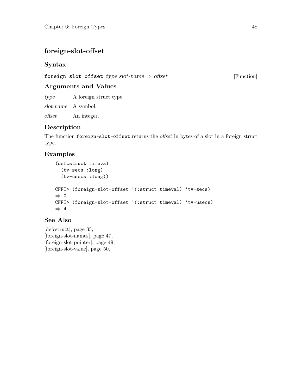# <span id="page-51-0"></span>foreign-slot-offset

### Syntax

foreign-slot-offset type slot-name  $\Rightarrow$  offset [Function]

# Arguments and Values

type A foreign struct type.

slot-name A symbol.

offset An integer.

# Description

The function foreign-slot-offset returns the offset in bytes of a slot in a foreign struct type.

# Examples

```
(defcstruct timeval
  (tv-secs :long)
  (tv-usecs :long))
CFFI> (foreign-slot-offset '(:struct timeval) 'tv-secs)
⇒ 0
CFFI> (foreign-slot-offset '(:struct timeval) 'tv-usecs)
\Rightarrow 4
```
## See Also

[\[defcstruct\], page 35,](#page-38-0) [\[foreign-slot-names\], page 47,](#page-50-0) [\[foreign-slot-pointer\], page 49,](#page-52-0) [\[foreign-slot-value\], page 50,](#page-53-0)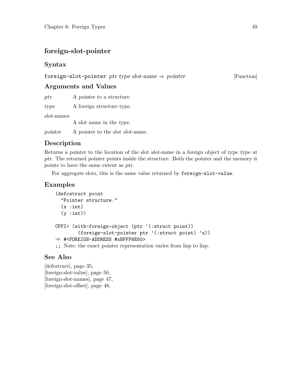# <span id="page-52-0"></span>foreign-slot-pointer

## Syntax

#### foreign-slot-pointer ptr type slot-name  $\Rightarrow$  pointer [Function]

### Arguments and Values

ptr A pointer to a structure.

type A foreign structure type.

slot-names

A slot name in the type.

pointer A pointer to the slot slot-name.

## Description

Returns a pointer to the location of the slot slot-name in a foreign object of type type at ptr. The returned pointer points inside the structure. Both the pointer and the memory it points to have the same extent as ptr.

For aggregate slots, this is the same value returned by foreign-slot-value.

### Examples

```
(defcstruct point
  "Pointer structure."
  (x : int)(y: int))
CFFI> (with-foreign-object (ptr '(:struct point))
        (foreign-slot-pointer ptr '(:struct point) 'x))
⇒ #<FOREIGN-ADDRESS #xBFFF6E60>
;; Note: the exact pointer representation varies from lisp to lisp.
```
### See Also

[\[defcstruct\], page 35,](#page-38-0) [\[foreign-slot-value\], page 50,](#page-53-0) [\[foreign-slot-names\], page 47,](#page-50-0) [\[foreign-slot-offset\], page 48,](#page-51-0)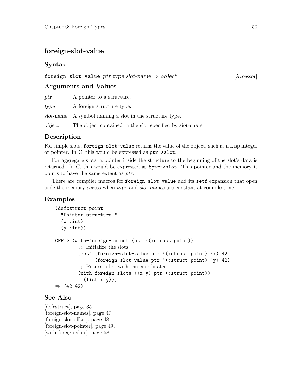## <span id="page-53-0"></span>foreign-slot-value

#### Syntax

#### foreign-slot-value ptr type slot-name  $\Rightarrow$  object [Accessor]

#### Arguments and Values

| ptr    | A pointer to a structure.                                |
|--------|----------------------------------------------------------|
| type   | A foreign structure type.                                |
|        | slot-name A symbol naming a slot in the structure type.  |
| object | The object contained in the slot specified by slot-name. |

#### Description

For simple slots, foreign-slot-value returns the value of the object, such as a Lisp integer or pointer. In C, this would be expressed as ptr->slot.

For aggregate slots, a pointer inside the structure to the beginning of the slot's data is returned. In C, this would be expressed as &ptr->slot. This pointer and the memory it points to have the same extent as ptr.

There are compiler macros for foreign-slot-value and its setf expansion that open code the memory access when type and slot-names are constant at compile-time.

#### Examples

```
(defcstruct point
  "Pointer structure."
  (x : int)(y: int))
CFFI> (with-foreign-object (ptr '(:struct point))
         ;; Initialize the slots
         (setf (foreign-slot-value ptr '(:struct point) 'x) 42
               (foreign-slot-value ptr '(:struct point) 'y) 42)
         ;; Return a list with the coordinates
         (with-foreign-slots ((x y) ptr (:struct point))
           (list x y)))
\Rightarrow (42.42)
```
#### See Also

[\[defcstruct\], page 35,](#page-38-0) [\[foreign-slot-names\], page 47,](#page-50-0) [\[foreign-slot-offset\], page 48,](#page-51-0) [\[foreign-slot-pointer\], page 49,](#page-52-0) [\[with-foreign-slots\], page 58,](#page-61-0)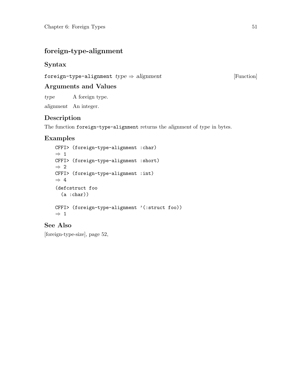# <span id="page-54-0"></span>foreign-type-alignment

### Syntax

foreign-type-alignment  $type \Rightarrow alignment$  [Function]

### Arguments and Values

type A foreign type.

alignment An integer.

### Description

The function foreign-type-alignment returns the alignment of type in bytes.

## Examples

```
CFFI> (foreign-type-alignment :char)
\Rightarrow 1
CFFI> (foreign-type-alignment :short)
\Rightarrow 2
CFFI> (foreign-type-alignment :int)
\Rightarrow 4
(defcstruct foo
  (a :char))
CFFI> (foreign-type-alignment '(:struct foo))
\Rightarrow 1
```
## See Also

[\[foreign-type-size\], page 52,](#page-55-0)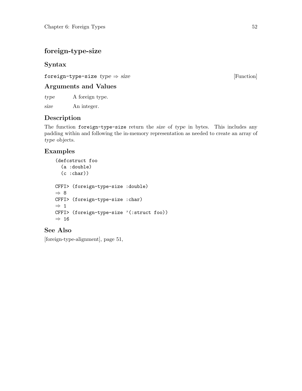# <span id="page-55-0"></span>foreign-type-size

# Syntax

foreign-type-size  $type \Rightarrow size$  [Function]

# Arguments and Values

type A foreign type.

size An integer.

# Description

The function foreign-type-size return the size of type in bytes. This includes any padding within and following the in-memory representation as needed to create an array of type objects.

# Examples

(defcstruct foo (a :double)  $(c :char)$ ) CFFI> (foreign-type-size :double) ⇒ 8 CFFI> (foreign-type-size :char)  $\Rightarrow$  1 CFFI> (foreign-type-size '(:struct foo))  $\Rightarrow$  16

# See Also

[\[foreign-type-alignment\], page 51,](#page-54-0)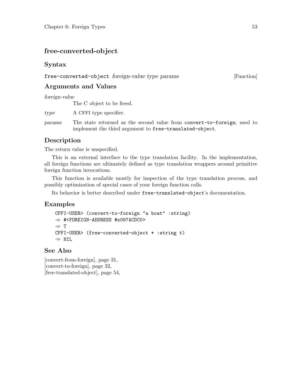# free-converted-object

#### Syntax

free-converted-object foreign-value type params [Function]

## Arguments and Values

foreign-value

The C object to be freed.

type A CFFI type specifier.

params The state returned as the second value from convert-to-foreign; used to implement the third argument to free-translated-object.

# Description

The return value is unspecified.

This is an external interface to the type translation facility. In the implementation, all foreign functions are ultimately defined as type translation wrappers around primitive foreign function invocations.

This function is available mostly for inspection of the type translation process, and possibly optimization of special cases of your foreign function calls.

Its behavior is better described under free-translated-object's documentation.

### Examples

```
CFFI-USER> (convert-to-foreign "a boat" :string)
⇒ #<FOREIGN-ADDRESS #x097ACDC0>
⇒ T
CFFI-USER> (free-converted-object * :string t)
\Rightarrow NIL
```
#### See Also

[\[convert-from-foreign\], page 31,](#page-34-0) [\[convert-to-foreign\], page 32,](#page-35-0) [\[free-translated-object\], page 54,](#page-57-0)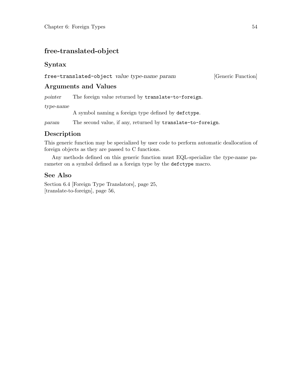# <span id="page-57-0"></span>free-translated-object

#### Syntax

free-translated-object value type-name param [Generic Function]

### Arguments and Values

pointer The foreign value returned by translate-to-foreign.

type-name

A symbol naming a foreign type defined by defctype.

param The second value, if any, returned by translate-to-foreign.

# Description

This generic function may be specialized by user code to perform automatic deallocation of foreign objects as they are passed to C functions.

Any methods defined on this generic function must EQL-specialize the type-name parameter on a symbol defined as a foreign type by the defctype macro.

### See Also

[Section 6.4 \[Foreign Type Translators\], page 25,](#page-28-0) [\[translate-to-foreign\], page 56,](#page-59-0)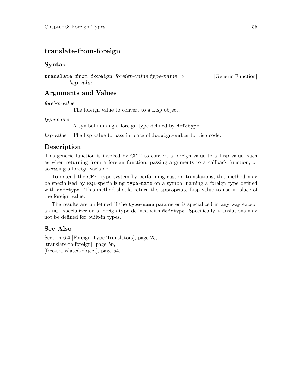# <span id="page-58-0"></span>translate-from-foreign

#### Syntax

translate-from-foreign foreign-value type-name  $\Rightarrow$  [Generic Function] lisp-value

#### Arguments and Values

foreign-value

The foreign value to convert to a Lisp object.

type-name

A symbol naming a foreign type defined by defctype.

lisp-value The lisp value to pass in place of foreign-value to Lisp code.

#### Description

This generic function is invoked by CFFI to convert a foreign value to a Lisp value, such as when returning from a foreign function, passing arguments to a callback function, or accessing a foreign variable.

To extend the CFFI type system by performing custom translations, this method may be specialized by eql-specializing type-name on a symbol naming a foreign type defined with defctype. This method should return the appropriate Lisp value to use in place of the foreign value.

The results are undefined if the type-name parameter is specialized in any way except an EQL specializer on a foreign type defined with defctype. Specifically, translations may not be defined for built-in types.

#### See Also

[Section 6.4 \[Foreign Type Translators\], page 25,](#page-28-0) [\[translate-to-foreign\], page 56,](#page-59-0) [\[free-translated-object\], page 54,](#page-57-0)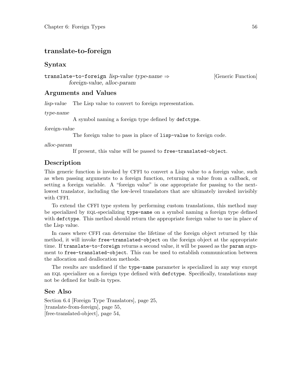#### <span id="page-59-0"></span>translate-to-foreign

#### Syntax

translate-to-foreign lisp-value type-name ⇒ [Generic Function] foreign-value, alloc-param

#### Arguments and Values

lisp-value The Lisp value to convert to foreign representation.

type-name

A symbol naming a foreign type defined by defctype.

foreign-value

The foreign value to pass in place of lisp-value to foreign code.

alloc-param

If present, this value will be passed to free-translated-object.

#### Description

This generic function is invoked by CFFI to convert a Lisp value to a foreign value, such as when passing arguments to a foreign function, returning a value from a callback, or setting a foreign variable. A "foreign value" is one appropriate for passing to the nextlowest translator, including the low-level translators that are ultimately invoked invisibly with CFFI.

To extend the CFFI type system by performing custom translations, this method may be specialized by eql-specializing type-name on a symbol naming a foreign type defined with defctype. This method should return the appropriate foreign value to use in place of the Lisp value.

In cases where CFFI can determine the lifetime of the foreign object returned by this method, it will invoke free-translated-object on the foreign object at the appropriate time. If translate-to-foreign returns a second value, it will be passed as the param argument to free-translated-object. This can be used to establish communication between the allocation and deallocation methods.

The results are undefined if the type-name parameter is specialized in any way except an eql specializer on a foreign type defined with defctype. Specifically, translations may not be defined for built-in types.

#### See Also

[Section 6.4 \[Foreign Type Translators\], page 25,](#page-28-0) [\[translate-from-foreign\], page 55,](#page-58-0) [\[free-translated-object\], page 54,](#page-57-0)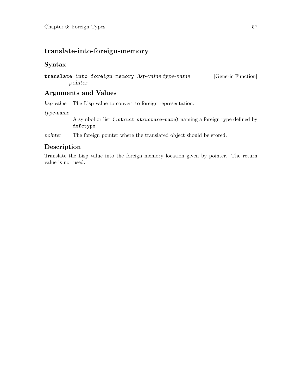# translate-into-foreign-memory

#### Syntax

translate-into-foreign-memory lisp-value type-name [Generic Function] pointer

#### Arguments and Values

lisp-value The Lisp value to convert to foreign representation.

type-name

A symbol or list (:struct structure-name) naming a foreign type defined by defctype.

pointer The foreign pointer where the translated object should be stored.

#### Description

Translate the Lisp value into the foreign memory location given by pointer. The return value is not used.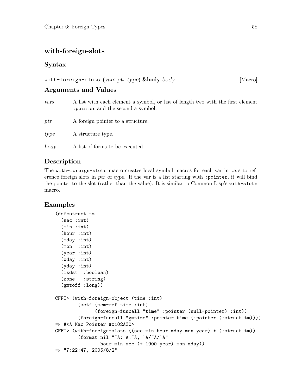## <span id="page-61-0"></span>with-foreign-slots

#### Syntax

# with-foreign-slots (vars ptr type)  $\&$ body body [Macro] Arguments and Values

- vars A list with each element a symbol, or list of length two with the first element :pointer and the second a symbol. ptr A foreign pointer to a structure.
- type A structure type.
- body A list of forms to be executed.

## Description

The with-foreign-slots macro creates local symbol macros for each var in vars to reference foreign slots in ptr of type. If the var is a list starting with :pointer, it will bind the pointer to the slot (rather than the value). It is similar to Common Lisp's with-slots macro.

# Examples

```
(defcstruct tm
  (sec :int)
  (min :int)
  (hour :int)
  (mday :int)
  (mon :int)
  (year :int)
  (wday :int)
  (yday :int)
  (isdst :boolean)
  (zone :string)
  (gmtoff :long))
CFFI> (with-foreign-object (time :int)
        (setf (mem-ref time :int)
              (foreign-funcall "time" :pointer (null-pointer) :int))
        (foreign-funcall "gmtime" :pointer time (:pointer (:struct tm))))
⇒ #<A Mac Pointer #x102A30>
CFFI> (with-foreign-slots ((sec min hour mday mon year) * (:struct tm))
        (format nil "~A:~A:~A, ~A/~A/~A"
                hour min sec (+ 1900 year) mon mday))
\Rightarrow "7:22:47, 2005/8/2"
```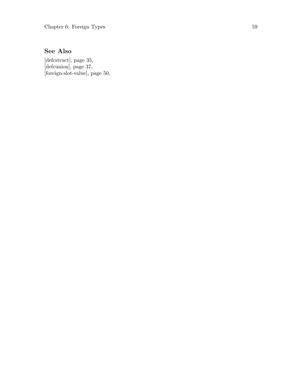# See Also

[\[defcstruct\], page 35,](#page-38-0) [\[defcunion\], page 37,](#page-40-0) [\[foreign-slot-value\], page 50,](#page-53-0)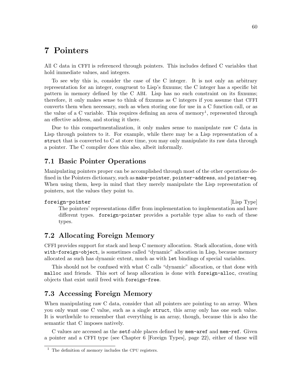# 7 Pointers

All C data in CFFI is referenced through pointers. This includes defined C variables that hold immediate values, and integers.

To see why this is, consider the case of the C integer. It is not only an arbitrary representation for an integer, congruent to Lisp's fixnums; the C integer has a specific bit pattern in memory defined by the C ABI. Lisp has no such constraint on its fixnums; therefore, it only makes sense to think of fixnums as C integers if you assume that CFFI converts them when necessary, such as when storing one for use in a C function call, or as the value of a C variable. This requires defining an area of memory<sup>1</sup>, represented through an effective address, and storing it there.

Due to this compartmentalization, it only makes sense to manipulate raw C data in Lisp through pointers to it. For example, while there may be a Lisp representation of a struct that is converted to C at store time, you may only manipulate its raw data through a pointer. The C compiler does this also, albeit informally.

#### 7.1 Basic Pointer Operations

Manipulating pointers proper can be accomplished through most of the other operations defined in the Pointers dictionary, such as make-pointer, pointer-address, and pointer-eq. When using them, keep in mind that they merely manipulate the Lisp representation of pointers, not the values they point to.

#### foreign-pointer [Lisp Type]

The pointers' representations differ from implementation to implementation and have different types. foreign-pointer provides a portable type alias to each of these types.

### 7.2 Allocating Foreign Memory

CFFI provides support for stack and heap C memory allocation. Stack allocation, done with with-foreign-object, is sometimes called "dynamic" allocation in Lisp, because memory allocated as such has dynamic extent, much as with let bindings of special variables.

This should not be confused with what C calls "dynamic" allocation, or that done with malloc and friends. This sort of heap allocation is done with foreign-alloc, creating objects that exist until freed with foreign-free.

### 7.3 Accessing Foreign Memory

When manipulating raw C data, consider that all pointers are pointing to an array. When you only want one C value, such as a single struct, this array only has one such value. It is worthwhile to remember that everything is an array, though, because this is also the semantic that C imposes natively.

C values are accessed as the setf-able places defined by mem-aref and mem-ref. Given a pointer and a CFFI type (see [Chapter 6 \[Foreign Types\], page 22](#page-25-0)), either of these will

<sup>1</sup> The definition of memory includes the CPU registers.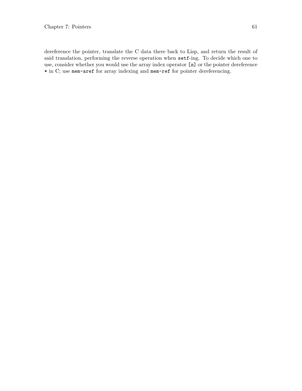dereference the pointer, translate the C data there back to Lisp, and return the result of said translation, performing the reverse operation when setf-ing. To decide which one to use, consider whether you would use the array index operator [n] or the pointer dereference \* in C; use mem-aref for array indexing and mem-ref for pointer dereferencing.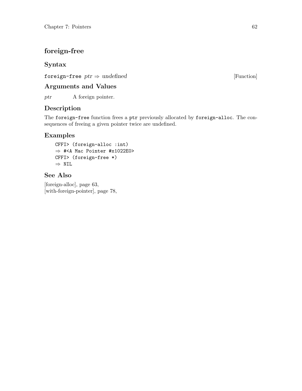# <span id="page-65-0"></span>foreign-free

## Syntax

foreign-free  $ptr \Rightarrow undefined$  [Function]

## Arguments and Values

ptr A foreign pointer.

# Description

The foreign-free function frees a ptr previously allocated by foreign-alloc. The consequences of freeing a given pointer twice are undefined.

#### Examples

CFFI> (foreign-alloc :int) ⇒ #<A Mac Pointer #x1022E0> CFFI> (foreign-free \*) ⇒ NIL

#### See Also

[\[foreign-alloc\], page 63,](#page-66-0) [\[with-foreign-pointer\], page 78,](#page-81-0)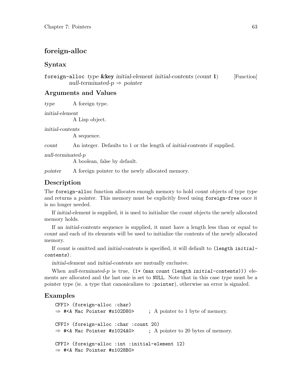#### <span id="page-66-0"></span>foreign-alloc

#### Syntax

foreign-alloc type  $\&key$  initial-element initial-contents (count 1) [Function] null-terminated- $p \Rightarrow$  pointer

#### Arguments and Values

type A foreign type.

initial-element

A Lisp object.

initial-contents

A sequence.

count An integer. Defaults to 1 or the length of initial-contents if supplied.

null-terminated-p

A boolean, false by default.

pointer A foreign pointer to the newly allocated memory.

#### Description

The foreign-alloc function allocates enough memory to hold count objects of type type and returns a pointer. This memory must be explicitly freed using foreign-free once it is no longer needed.

If initial-element is supplied, it is used to initialize the count objects the newly allocated memory holds.

If an initial-contents sequence is supplied, it must have a length less than or equal to count and each of its elements will be used to initialize the contents of the newly allocated memory.

If count is omitted and initial-contents is specified, it will default to (length initialcontents).

initial-element and initial-contents are mutually exclusive.

When null-terminated-p is true,  $(1+$  (max count (length initial-contents))) elements are allocated and the last one is set to NULL. Note that in this case type must be a pointer type (ie. a type that canonicalizes to :pointer), otherwise an error is signaled.

#### Examples

```
CFFI> (foreign-alloc :char)
\Rightarrow #<A Mac Pointer #x102D80>; A pointer to 1 byte of memory.
CFFI> (foreign-alloc :char :count 20)
\Rightarrow #<A Mac Pointer #x1024A0>; A pointer to 20 bytes of memory.
CFFI> (foreign-alloc :int :initial-element 12)
⇒ #<A Mac Pointer #x1028B0>
```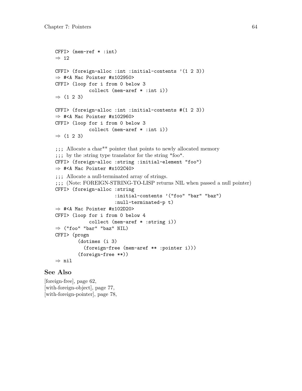```
CFFI> (mem-ref * :int)
\Rightarrow 12
CFFI> (foreign-alloc :int :initial-contents '(1 2 3))
⇒ #<A Mac Pointer #x102950>
CFFI> (loop for i from 0 below 3
             collect (mem-aref * :int i))
\Rightarrow (1 2 3)
CFFI> (foreign-alloc :int :initial-contents #(1 2 3))
⇒ #<A Mac Pointer #x102960>
CFFI> (loop for i from 0 below 3
             collect (mem-aref * :int i))
\Rightarrow (1 2 3)
;;; Allocate a char** pointer that points to newly allocated memory
;;; by the :string type translator for the string "foo".
CFFI> (foreign-alloc :string :initial-element "foo")
\Rightarrow #<A Mac Pointer #x102C40>
;;; Allocate a null-terminated array of strings.
;;; (Note: FOREIGN-STRING-TO-LISP returns NIL when passed a null pointer)
CFFI> (foreign-alloc :string
                       :initial-contents '("foo" "bar" "baz")
                       :null-terminated-p t)
⇒ #<A Mac Pointer #x102D20>
CFFI> (loop for i from 0 below 4
             collect (mem-aref * :string i))
\Rightarrow ("foo" "bar" "baz" NIL)
CFFI> (progn
         (dotimes (i 3)
           (foreign-free (mem-aref ** :pointer i)))
        (foreign-free **))
⇒ nil
```
#### See Also

[\[foreign-free\], page 62,](#page-65-0) [\[with-foreign-object\], page 77,](#page-80-0) [\[with-foreign-pointer\], page 78,](#page-81-0)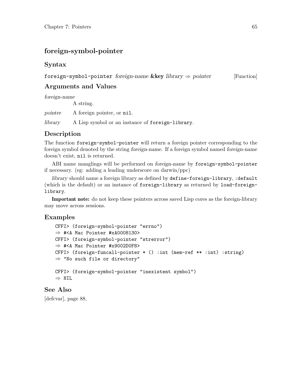# foreign-symbol-pointer

#### Syntax

#### foreign-symbol-pointer foreign-name &key library  $\Rightarrow$  pointer [Function]

# Arguments and Values

foreign-name

A string.

pointer A foreign pointer, or nil.

library A Lisp symbol or an instance of foreign-library.

### Description

The function foreign-symbol-pointer will return a foreign pointer corresponding to the foreign symbol denoted by the string foreign-name. If a foreign symbol named foreign-name doesn't exist, nil is returned.

ABI name manglings will be performed on foreign-name by foreign-symbol-pointer if necessary. (eg: adding a leading underscore on darwin/ppc)

library should name a foreign library as defined by define-foreign-library, :default (which is the default) or an instance of foreign-library as returned by load-foreignlibrary.

Important note: do not keep these pointers across saved Lisp cores as the foreign-library may move across sessions.

### Examples

```
CFFI> (foreign-symbol-pointer "errno")
⇒ #<A Mac Pointer #xA0008130>
CFFI> (foreign-symbol-pointer "strerror")
⇒ #<A Mac Pointer #x9002D0F8>
CFFI> (foreign-funcall-pointer * () :int (mem-ref ** :int) :string)
⇒ "No such file or directory"
CFFI> (foreign-symbol-pointer "inexistent symbol")
\Rightarrow NTI.
```
#### See Also

[\[defcvar\], page 88,](#page-91-0)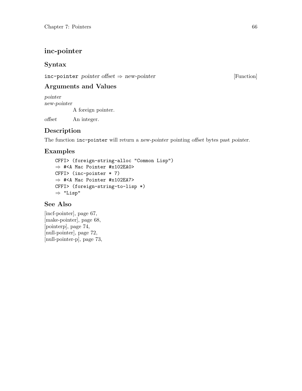# <span id="page-69-0"></span>inc-pointer

### Syntax

 $inc$ -pointer pointer offset  $\Rightarrow$  new-pointer [Function]

# Arguments and Values

pointer new-pointer A foreign pointer.

offset An integer.

# Description

The function inc-pointer will return a new-pointer pointing offset bytes past pointer.

# Examples

```
CFFI> (foreign-string-alloc "Common Lisp")
⇒ #<A Mac Pointer #x102EA0>
CFFI> (inc-pointer * 7)
⇒ #<A Mac Pointer #x102EA7>
CFFI> (foreign-string-to-lisp *)
⇒ "Lisp"
```
### See Also

[\[incf-pointer\], page 67,](#page-70-0) [\[make-pointer\], page 68,](#page-71-0) [\[pointerp\], page 74,](#page-77-0) [\[null-pointer\], page 72,](#page-75-0) [\[null-pointer-p\], page 73,](#page-76-0)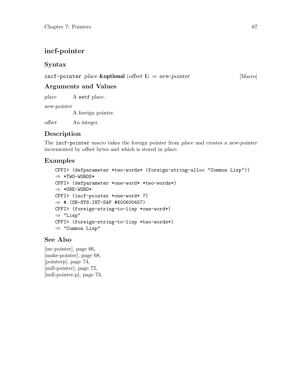# <span id="page-70-0"></span>incf-pointer

### Syntax

incf-pointer place & optional (offset 1)  $\Rightarrow$  new-pointer [Macro]

Arguments and Values

place A setf place.

new-pointer

A foreign pointer.

offset An integer.

# Description

The incf-pointer macro takes the foreign pointer from place and creates a new-pointer incremented by offset bytes and which is stored in place.

# Examples

```
CFFI> (defparameter *two-words* (foreign-string-alloc "Common Lisp"))
⇒ *TWO-WORDS*
CFFI> (defparameter *one-word* *two-words*)
\Rightarrow *ONE-WORD*CFFI> (incf-pointer *one-word* 7)
\Rightarrow #. (SB-SYS: INT-SAP #X00600457)
CFFI> (foreign-string-to-lisp *one-word*)
⇒ "Lisp"
CFFI> (foreign-string-to-lisp *two-words*)
⇒ "Common Lisp"
```
# See Also

[\[inc-pointer\], page 66,](#page-69-0) [\[make-pointer\], page 68,](#page-71-0) [\[pointerp\], page 74,](#page-77-0) [\[null-pointer\], page 72,](#page-75-0) [\[null-pointer-p\], page 73,](#page-76-0)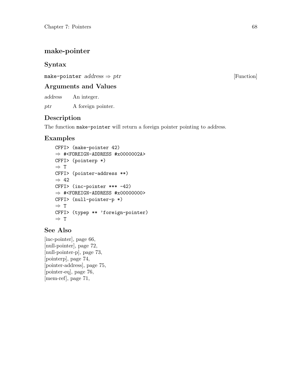# <span id="page-71-0"></span>make-pointer

### Syntax

make-pointer  $address \Rightarrow ptr$  [Function]

## Arguments and Values

address An integer.

ptr A foreign pointer.

# Description

The function make-pointer will return a foreign pointer pointing to address.

# Examples

```
CFFI> (make-pointer 42)
⇒ #<FOREIGN-ADDRESS #x0000002A>
CFFI> (pointerp *)
⇒ T
CFFI> (pointer-address **)
\Rightarrow 42
CFFI> (inc-pointer *** -42)
\Rightarrow #<FOREIGN-ADDRESS #x00000000>
CFFI> (null-pointer-p *)
\Rightarrow T
CFFI> (typep ** 'foreign-pointer)
⇒ T
```
# See Also

[\[inc-pointer\], page 66,](#page-69-0) [\[null-pointer\], page 72,](#page-75-0) [\[null-pointer-p\], page 73,](#page-76-0) [\[pointerp\], page 74,](#page-77-0) [\[pointer-address\], page 75,](#page-78-0) [\[pointer-eq\], page 76,](#page-79-0) [\[mem-ref\], page 71,](#page-74-0)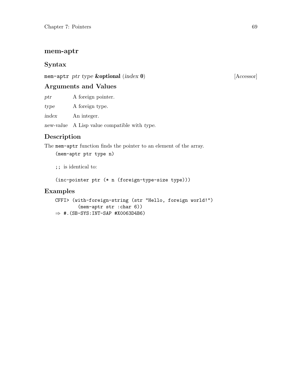#### <span id="page-72-0"></span>mem-aptr

#### Syntax

mem-aptr ptr type **&optional** (index 0) [Accessor]

#### Arguments and Values

ptr A foreign pointer.

type A foreign type.

index An integer.

new-value A Lisp value compatible with type.

#### Description

The mem-aptr function finds the pointer to an element of the array.

(mem-aptr ptr type n)

;; is identical to:

(inc-pointer ptr (\* n (foreign-type-size type)))

#### Examples

```
CFFI> (with-foreign-string (str "Hello, foreign world!")
         (mem-aptr str :char 6))
\Rightarrow #. (SB-SYS: INT-SAP #X0063D4B6)
```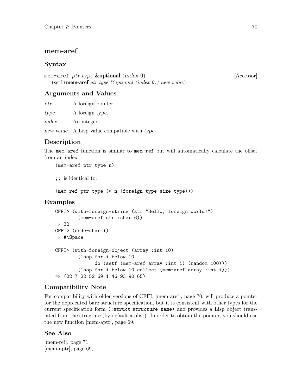#### <span id="page-73-0"></span>mem-aref

#### Syntax

mem-aref ptr type **&optional** (index 0) [Accessor] (setf (mem-aref ptr type &optional (index 0)) new-value)

#### Arguments and Values

ptr A foreign pointer.

type A foreign type.

index An integer.

new-value A Lisp value compatible with type.

#### Description

The mem-aref function is similar to mem-ref but will automatically calculate the offset from an index.

(mem-aref ptr type n)

;; is identical to:

(mem-ref ptr type (\* n (foreign-type-size type)))

#### Examples

```
CFFI> (with-foreign-string (str "Hello, foreign world!")
        (mem-aref str :char 6))
⇒ 32
CFFI> (code-char *)
\Rightarrow #\Space
CFFI> (with-foreign-object (array :int 10)
        (loop for i below 10
              do (setf (mem-aref array :int i) (random 100)))
        (loop for i below 10 collect (mem-aref array :int i)))
⇒ (22 7 22 52 69 1 46 93 90 65)
```
#### Compatibility Note

For compatibility with older versions of CFFI, [\[mem-aref\], page 70,](#page-73-0) will produce a pointer for the deprecated bare structure specification, but it is consistent with other types for the current specification form (:struct structure-name) and provides a Lisp object translated from the structure (by default a plist). In order to obtain the pointer, you should use the new function [\[mem-aptr\], page 69.](#page-72-0)

#### See Also

[\[mem-ref\], page 71,](#page-74-0) [\[mem-aptr\], page 69,](#page-72-0)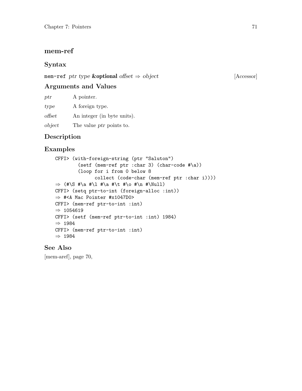#### <span id="page-74-0"></span>mem-ref

#### Syntax

mem-ref ptr type  $&$ optional offset  $\Rightarrow$  object [Accessor]

#### Arguments and Values

ptr A pointer.

type A foreign type.

offset An integer (in byte units).

object The value ptr points to.

#### Description

#### Examples

```
CFFI> (with-foreign-string (ptr "Saluton")
        (setf (mem-ref ptr :char 3) (char-code #\a))
        (loop for i from 0 below 8
              collect (code-char (mem-ref ptr :char i))))
\Rightarrow (#\S #\a #\l #\a #\t #\o #\n #\Null)
CFFI> (setq ptr-to-int (foreign-alloc :int))
⇒ #<A Mac Pointer #x1047D0>
CFFI> (mem-ref ptr-to-int :int)
\Rightarrow 1054619
CFFI> (setf (mem-ref ptr-to-int :int) 1984)
⇒ 1984
CFFI> (mem-ref ptr-to-int :int)
⇒ 1984
```
#### See Also

[\[mem-aref\], page 70,](#page-73-0)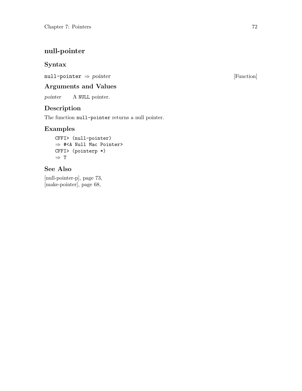# <span id="page-75-0"></span>null-pointer

#### Syntax

null-pointer  $\Rightarrow$  pointer  $\Box$  [Function]

### Arguments and Values

pointer A NULL pointer.

### Description

The function null-pointer returns a null pointer.

### Examples

CFFI> (null-pointer) ⇒ #<A Null Mac Pointer> CFFI> (pointerp \*)  $\Rightarrow$  T

### See Also

[\[null-pointer-p\], page 73,](#page-76-0) [\[make-pointer\], page 68,](#page-71-0)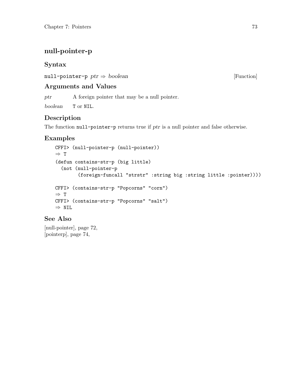# <span id="page-76-0"></span>null-pointer-p

#### Syntax

null-pointer-p  $ptr \Rightarrow boolean$  [Function]

#### Arguments and Values

ptr A foreign pointer that may be a null pointer.

boolean T or NIL.

### Description

The function null-pointer-p returns true if ptr is a null pointer and false otherwise.

### Examples

```
CFFI> (null-pointer-p (null-pointer))
⇒ T
(defun contains-str-p (big little)
  (not (null-pointer-p
        (foreign-funcall "strstr" :string big :string little :pointer))))
CFFI> (contains-str-p "Popcorns" "corn")
\Rightarrow T
CFFI> (contains-str-p "Popcorns" "salt")
⇒ NIL
```
#### See Also

[\[null-pointer\], page 72,](#page-75-0) [\[pointerp\], page 74,](#page-77-0)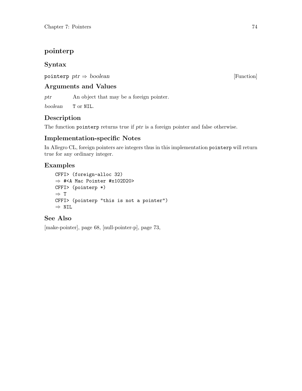# <span id="page-77-0"></span>pointerp

### Syntax

pointerp  $ptr \Rightarrow boolean$  [Function]

### Arguments and Values

ptr **An** object that may be a foreign pointer.

boolean T or NIL.

### Description

The function pointerp returns true if ptr is a foreign pointer and false otherwise.

### Implementation-specific Notes

In Allegro CL, foreign pointers are integers thus in this implementation pointerp will return true for any ordinary integer.

### Examples

CFFI> (foreign-alloc 32) ⇒ #<A Mac Pointer #x102D20> CFFI> (pointerp \*) ⇒ T CFFI> (pointerp "this is not a pointer") ⇒ NIL

### See Also

[\[make-pointer\], page 68,](#page-71-0) [\[null-pointer-p\], page 73,](#page-76-0)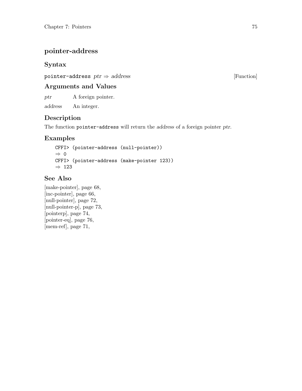# pointer-address

### Syntax

pointer-address  $ptr \Rightarrow address$  [Function]

### Arguments and Values

ptr A foreign pointer.

address An integer.

### Description

The function pointer-address will return the address of a foreign pointer ptr.

### Examples

```
CFFI> (pointer-address (null-pointer))
⇒ 0
CFFI> (pointer-address (make-pointer 123))
\Rightarrow 123
```
### See Also

[\[make-pointer\], page 68,](#page-71-0) [\[inc-pointer\], page 66,](#page-69-0) [\[null-pointer\], page 72,](#page-75-0) [\[null-pointer-p\], page 73,](#page-76-0) [\[pointerp\], page 74,](#page-77-0) [\[pointer-eq\], page 76,](#page-79-0) [\[mem-ref\], page 71,](#page-74-0)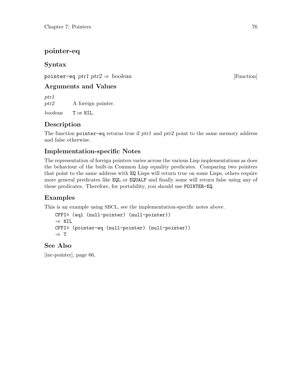# <span id="page-79-0"></span>pointer-eq

### Syntax

pointer-eq ptr1 ptr2  $\Rightarrow$  boolean [Function]

### Arguments and Values

ptr1 ptr2 A foreign pointer.

boolean T or NIL.

# Description

The function pointer-eq returns true if ptr1 and ptr2 point to the same memory address and false otherwise.

### Implementation-specific Notes

The representation of foreign pointers varies across the various Lisp implementations as does the behaviour of the built-in Common Lisp equality predicates. Comparing two pointers that point to the same address with EQ Lisps will return true on some Lisps, others require more general predicates like EQL or EQUALP and finally some will return false using any of these predicates. Therefore, for portability, you should use POINTER-EQ.

# Examples

This is an example using SBCL, see the implementation-specific notes above.

```
CFFI> (eql (null-pointer) (null-pointer))
⇒ NIL
CFFI> (pointer-eq (null-pointer) (null-pointer))
⇒ T
```
### See Also

[\[inc-pointer\], page 66,](#page-69-0)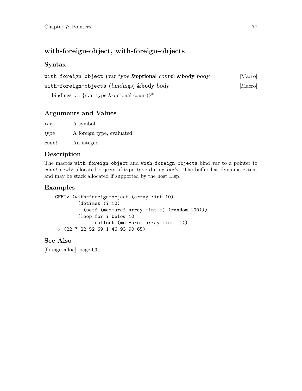### with-foreign-object, with-foreign-objects

#### Syntax

| with-foreign-object (var type & optional count) & body body                                                                                                                                                                                                                                   | [Macro] |
|-----------------------------------------------------------------------------------------------------------------------------------------------------------------------------------------------------------------------------------------------------------------------------------------------|---------|
| with-foreign-objects (bindings) $\&$ body body                                                                                                                                                                                                                                                | [Macro] |
| $\sim$ . $\sim$ . $\sim$ . $\sim$ . $\sim$ . $\sim$ . $\sim$ . $\sim$ . $\sim$ . $\sim$ . $\sim$ . $\sim$ . $\sim$ . $\sim$ . $\sim$ . $\sim$ . $\sim$ . $\sim$ . $\sim$ . $\sim$ . $\sim$ . $\sim$ . $\sim$ . $\sim$ . $\sim$ . $\sim$ . $\sim$ . $\sim$ . $\sim$ . $\sim$ . $\sim$ . $\sim$ |         |

bindings ::=  $\{(\text{var type~&\text{optional count})}\}^*$ 

### Arguments and Values

var A symbol. type A foreign type, evaluated. count An integer.

### Description

The macros with-foreign-object and with-foreign-objects bind var to a pointer to count newly allocated objects of type type during body. The buffer has dynamic extent and may be stack allocated if supported by the host Lisp.

#### Examples

```
CFFI> (with-foreign-object (array :int 10)
        (dotimes (i 10)
          (setf (mem-aref array :int i) (random 100)))
        (loop for i below 10
              collect (mem-aref array :int i)))
⇒ (22 7 22 52 69 1 46 93 90 65)
```
### See Also

[\[foreign-alloc\], page 63,](#page-66-0)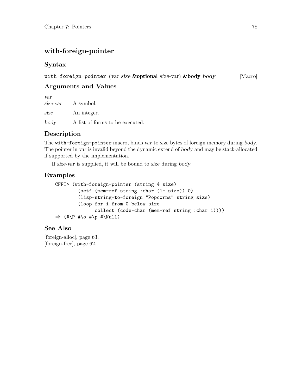# with-foreign-pointer

### Syntax

with-foreign-pointer (var size &optional size-var) &body body [Macro]

# Arguments and Values

var size-var A symbol. size An integer. body A list of forms to be executed.

# Description

The with-foreign-pointer macro, binds var to size bytes of foreign memory during body. The pointer in var is invalid beyond the dynamic extend of body and may be stack-allocated if supported by the implementation.

If size-var is supplied, it will be bound to size during body.

### Examples

```
CFFI> (with-foreign-pointer (string 4 size)
        (setf (mem-ref string :char (1- size)) 0)
        (lisp-string-to-foreign "Popcorns" string size)
        (loop for i from 0 below size
              collect (code-char (mem-ref string :char i))))
\Rightarrow (#\P #\o #\p #\Null)
```
### See Also

[\[foreign-alloc\], page 63,](#page-66-0) [\[foreign-free\], page 62,](#page-65-0)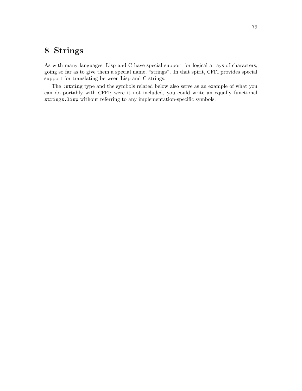# 8 Strings

As with many languages, Lisp and C have special support for logical arrays of characters, going so far as to give them a special name, "strings". In that spirit, CFFI provides special support for translating between Lisp and C strings.

The :string type and the symbols related below also serve as an example of what you can do portably with CFFI; were it not included, you could write an equally functional strings.lisp without referring to any implementation-specific symbols.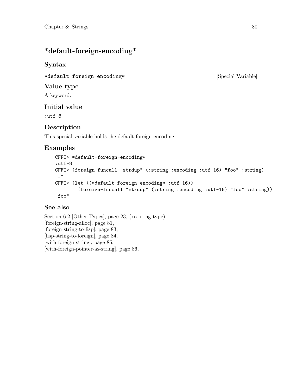# \*default-foreign-encoding\*

### Syntax

\*default-foreign-encoding\* [Special Variable]

#### Value type

A keyword.

### Initial value

:utf-8

### Description

This special variable holds the default foreign encoding.

### Examples

```
CFFI> *default-foreign-encoding*
:utf-8
CFFI> (foreign-funcall "strdup" (:string :encoding :utf-16) "foo" :string)
"f"
CFFI> (let ((*default-foreign-encoding* :utf-16))
        (foreign-funcall "strdup" (:string :encoding :utf-16) "foo" :string))
"foo"
```
### See also

[Section 6.2 \[Other Types\], page 23,](#page-26-0) (:string type) [\[foreign-string-alloc\], page 81,](#page-84-0) [\[foreign-string-to-lisp\], page 83,](#page-86-0) [\[lisp-string-to-foreign\], page 84,](#page-87-0) [\[with-foreign-string\], page 85,](#page-88-0) [\[with-foreign-pointer-as-string\], page 86,](#page-89-0)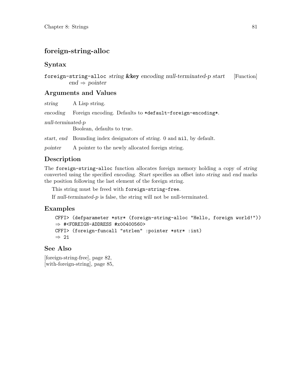# <span id="page-84-0"></span>foreign-string-alloc

#### Syntax

foreign-string-alloc string &key encoding null-terminated-p start [Function] end  $\Rightarrow$  pointer

#### Arguments and Values

string A Lisp string.

encoding Foreign encoding. Defaults to \*default-foreign-encoding\*.

null-terminated-p

Boolean, defaults to true.

start, end Bounding index designators of string. 0 and nil, by default.

pointer A pointer to the newly allocated foreign string.

### Description

The foreign-string-alloc function allocates foreign memory holding a copy of string converted using the specified encoding. Start specifies an offset into string and end marks the position following the last element of the foreign string.

This string must be freed with foreign-string-free.

If null-terminated-p is false, the string will not be null-terminated.

### Examples

```
CFFI> (defparameter *str* (foreign-string-alloc "Hello, foreign world!"))
\Rightarrow #<FOREIGN-ADDRESS #x00400560>
CFFI> (foreign-funcall "strlen" :pointer *str* :int)
⇒ 21
```
#### See Also

[\[foreign-string-free\], page 82,](#page-85-0) [\[with-foreign-string\], page 85,](#page-88-0)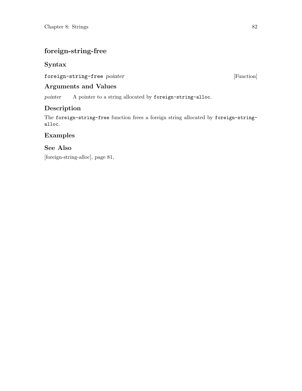# <span id="page-85-0"></span>foreign-string-free

#### Syntax

foreign-string-free pointer [Function]

#### Arguments and Values

pointer A pointer to a string allocated by foreign-string-alloc.

### Description

The foreign-string-free function frees a foreign string allocated by foreign-stringalloc.

### Examples

#### See Also

[\[foreign-string-alloc\], page 81,](#page-84-0)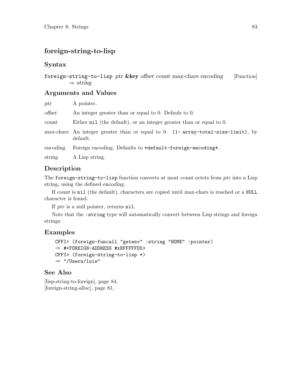# <span id="page-86-0"></span>foreign-string-to-lisp

#### Syntax

```
foreign-string-to-lisp ptr &key offset count max-chars encoding [Function]
         \Rightarrow string
```
#### Arguments and Values

| ptr      | A pointer.                                                                                    |
|----------|-----------------------------------------------------------------------------------------------|
| offset   | An integer greater than or equal to 0. Defauls to 0.                                          |
| count    | Either nil (the default), or an integer greater than or equal to 0.                           |
|          | $max-chars$ An integer greater than or equal to 0. (1-array-total-size-limit), by<br>default. |
| encoding | Foreign encoding. Defaults to *default-foreign-encoding*.                                     |
| string   | A Lisp string.                                                                                |

#### Description

The foreign-string-to-lisp function converts at most *count* octets from ptr into a Lisp string, using the defined encoding.

If count is nil (the default), characters are copied until max-chars is reached or a NULL character is found.

If ptr is a null pointer, returns nil.

Note that the :string type will automatically convert between Lisp strings and foreign strings.

#### Examples

```
CFFI> (foreign-funcall "getenv" :string "HOME" :pointer)
\Rightarrow #<FOREIGN-ADDRESS #xBFFFFFD5>
CFFI> (foreign-string-to-lisp *)
⇒ "/Users/luis"
```
#### See Also

[\[lisp-string-to-foreign\], page 84,](#page-87-0) [\[foreign-string-alloc\], page 81,](#page-84-0)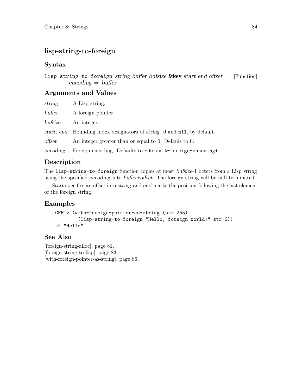# <span id="page-87-0"></span>lisp-string-to-foreign

### Syntax

lisp-string-to-foreign string buffer bufsize  $\&key$  start end offset [Function] encoding  $\Rightarrow$  buffer

#### Arguments and Values

| string   | A Lisp string.                                                          |
|----------|-------------------------------------------------------------------------|
| buffer   | A foreign pointer.                                                      |
| bufsize  | An integer.                                                             |
|          | start, end Bounding index designators of string. 0 and nil, by default. |
| offset   | An integer greater than or equal to 0. Defauls to 0.                    |
| encoding | Foreign encoding. Defaults to *default-foreign-encoding*.               |
|          |                                                                         |

### Description

The lisp-string-to-foreign function copies at most bufsize-1 octets from a Lisp string using the specified encoding into buffer+offset. The foreign string will be null-terminated.

Start specifies an offset into string and end marks the position following the last element of the foreign string.

### Examples

```
CFFI> (with-foreign-pointer-as-string (str 255)
        (lisp-string-to-foreign "Hello, foreign world!" str 6))
⇒ "Hello"
```
### See Also

[\[foreign-string-alloc\], page 81,](#page-84-0) [\[foreign-string-to-lisp\], page 83,](#page-86-0) [\[with-foreign-pointer-as-string\], page 86,](#page-89-0)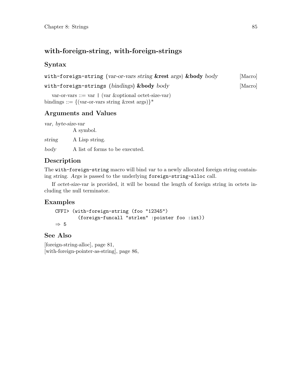# <span id="page-88-0"></span>with-foreign-string, with-foreign-strings

### Syntax

with-foreign-string (var-or-vars string &rest args) &body body [Macro]

```
with-foreign-strings (bindings) &body body [Macro]
```
var-or-vars ::= var | (var &optional octet-size-var) bindings ::=  $\{(\text{var-or-vars string \&rest args})\}^*$ 

### Arguments and Values

var, byte-size-var A symbol. string A Lisp string.

body A list of forms to be executed.

# Description

The with-foreign-string macro will bind var to a newly allocated foreign string containing string. Args is passed to the underlying foreign-string-alloc call.

If octet-size-var is provided, it will be bound the length of foreign string in octets including the null terminator.

### Examples

```
CFFI> (with-foreign-string (foo "12345")
        (foreign-funcall "strlen" :pointer foo :int))
⇒ 5
```
### See Also

[\[foreign-string-alloc\], page 81,](#page-84-0) [\[with-foreign-pointer-as-string\], page 86,](#page-89-0)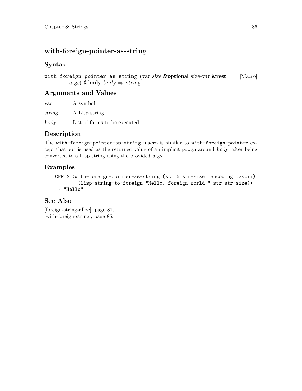# <span id="page-89-0"></span>with-foreign-pointer-as-string

### Syntax

with-foreign-pointer-as-string (var size &optional size-var &rest [Macro] args) &body  $body \Rightarrow string$ 

#### Arguments and Values

var A symbol. string A Lisp string. body List of forms to be executed.

### Description

The with-foreign-pointer-as-string macro is similar to with-foreign-pointer except that var is used as the returned value of an implicit progn around body, after being converted to a Lisp string using the provided args.

### Examples

```
CFFI> (with-foreign-pointer-as-string (str 6 str-size :encoding :ascii)
        (lisp-string-to-foreign "Hello, foreign world!" str str-size))
⇒ "Hello"
```
### See Also

[\[foreign-string-alloc\], page 81,](#page-84-0) [\[with-foreign-string\], page 85,](#page-88-0)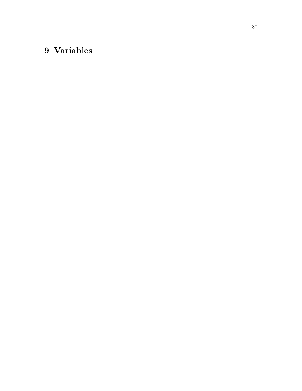# 9 Variables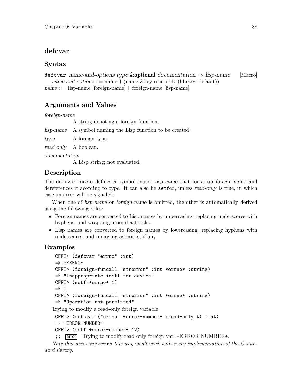### <span id="page-91-0"></span>defcvar

#### Syntax

```
defictor name-and-options type & optional documentation \Rightarrow lisp-name [Macro]
  name-and-options ::= name | (name &key read-only (library :default))
```
name ::= lisp-name [foreign-name] | foreign-name [lisp-name]

### Arguments and Values

#### foreign-name

A string denoting a foreign function.

lisp-name A symbol naming the Lisp function to be created.

type A foreign type.

read-only A boolean.

documentation

A Lisp string; not evaluated.

### Description

The defictor macro defines a symbol macro lisp-name that looks up foreign-name and dereferences it acording to type. It can also be setfed, unless read-only is true, in which case an error will be signaled.

When one of lisp-name or foreign-name is omitted, the other is automatically derived using the following rules:

- Foreign names are converted to Lisp names by uppercasing, replacing underscores with hyphens, and wrapping around asterisks.
- Lisp names are converted to foreign names by lowercasing, replacing hyphens with underscores, and removing asterisks, if any.

### Examples

```
CFFI> (defcvar "errno" :int)
 ⇒ *ERRNO*
 CFFI> (foreign-funcall "strerror" :int *errno* :string)
 \Rightarrow "Inappropriate ioctl for device"
 CFFI> (setf *errno* 1)
 \Rightarrow 1
 CFFI> (foreign-funcall "strerror" :int *errno* :string)
 ⇒ "Operation not permitted"
Trying to modify a read-only foreign variable:
```

```
CFFI> (defcvar ("errno" +error-number+ :read-only t) :int)
\Rightarrow +ERROR-NUMBER+
```

```
CFFI> (setf +error-number+ 12)
```
;; [error] Trying to modify read-only foreign var: +ERROR-NUMBER+.

Note that accessing  $errno$  this way won't work with every implementation of the C standard library.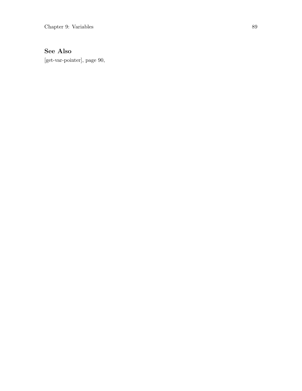# See Also

[\[get-var-pointer\], page 90,](#page-93-0)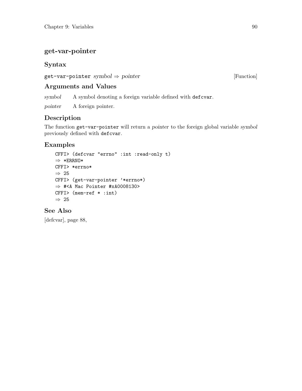### <span id="page-93-0"></span>get-var-pointer

# Syntax

 $get-var$ -pointer symbol  $\Rightarrow$  pointer [Function]

### Arguments and Values

symbol A symbol denoting a foreign variable defined with defcvar.

pointer A foreign pointer.

# Description

The function get-var-pointer will return a pointer to the foreign global variable symbol previously defined with defcvar.

# Examples

```
CFFI> (defcvar "errno" :int :read-only t)
⇒ *ERRNO*
CFFI> *errno*
\Rightarrow 25
CFFI> (get-var-pointer '*errno*)
⇒ #<A Mac Pointer #xA0008130>
CFFI> (mem-ref * :int)
⇒ 25
```
### See Also

[\[defcvar\], page 88,](#page-91-0)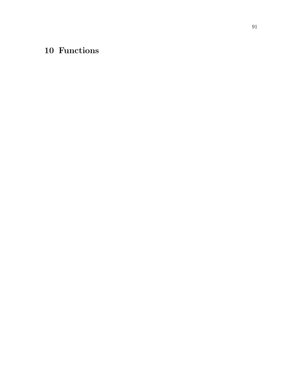# 10 Functions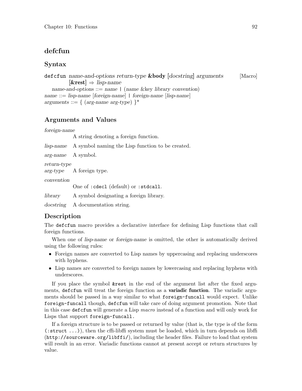#### <span id="page-95-0"></span>defcfun

#### Syntax

```
defician name-and-options return-type &body [docstring] arguments [Macro]
          [\&rest] \Rightarrow lisp-namename-and-options  ::= name  | (name &key library convention)
name ::= lisp-name [foreign-name] | foreign-name [lisp-name]
arguments ::= { (arg-name arg-type) }*
```
#### Arguments and Values

foreign-name

A string denoting a foreign function.

lisp-name A symbol naming the Lisp function to be created.

arg-name A symbol.

return-type

arg-type A foreign type.

convention

One of :cdecl (default) or :stdcall.

library A symbol designating a foreign library.

docstring A documentation string.

#### Description

The defcfun macro provides a declarative interface for defining Lisp functions that call foreign functions.

When one of lisp-name or foreign-name is omitted, the other is automatically derived using the following rules:

- Foreign names are converted to Lisp names by uppercasing and replacing underscores with hyphens.
- Lisp names are converted to foreign names by lowercasing and replacing hyphens with underscores.

If you place the symbol &rest in the end of the argument list after the fixed arguments, defictun will treat the foreign function as a variadic function. The variadic arguments should be passed in a way similar to what foreign-funcall would expect. Unlike foreign-funcall though, defcfun will take care of doing argument promotion. Note that in this case defcfun will generate a Lisp macro instead of a function and will only work for Lisps that support foreign-funcall.

If a foreign structure is to be passed or returned by value (that is, the type is of the form (:struct ...)), then the cffi-libffi system must be loaded, which in turn depends on [libffi](http://sourceware.org/libffi/) (<http://sourceware.org/libffi/>), including the header files. Failure to load that system will result in an error. Variadic functions cannot at present accept or return structures by value.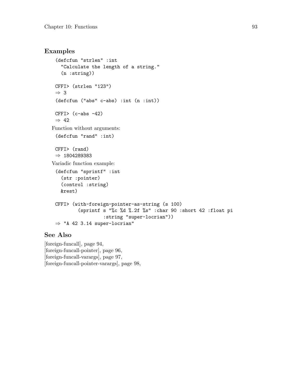#### Examples

```
(defcfun "strlen" :int
   "Calculate the length of a string."
   (n :string))
 CFFI> (strlen "123")
 ⇒ 3
 (defcfun ("abs" c-abs) :int (n :int))
 CFF1 > (c-abs -42)\Rightarrow 42
Function without arguments:
 (defcfun "rand" :int)
 CFFI> (rand)
 ⇒ 1804289383
Variadic function example:
 (defcfun "sprintf" :int
   (str :pointer)
   (control :string)
   &rest)
 CFFI> (with-foreign-pointer-as-string (s 100)
          (sprintf s "%c %d %.2f %s" :char 90 :short 42 :float pi
                   :string "super-locrian"))
 \Rightarrow "A 42 3.14 super-locrian"
```
#### See Also

[\[foreign-funcall\], page 94,](#page-97-0) [\[foreign-funcall-pointer\], page 96,](#page-99-0) [\[foreign-funcall-varargs\], page 97,](#page-100-0) [\[foreign-funcall-pointer-varargs\], page 98,](#page-101-0)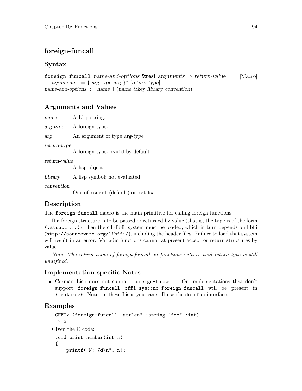# <span id="page-97-0"></span>foreign-funcall

#### Syntax

foreign-funcall name-and-options &rest arguments  $\Rightarrow$  return-value [Macro] arguments ::= { arg-type arg }\* [return-type] name-and-options ::= name | (name &key library convention)

#### Arguments and Values

name A Lisp string. arg-type A foreign type. arg An argument of type arg-type. return-type A foreign type, :void by default. return-value A lisp object. library A lisp symbol; not evaluated. convention One of :cdecl (default) or :stdcall. Description

The foreign-funcall macro is the main primitive for calling foreign functions.

If a foreign structure is to be passed or returned by value (that is, the type is of the form (:struct ...)), then the cffi-libffi system must be loaded, which in turn depends on [libffi](http://sourceware.org/libffi/) (<http://sourceware.org/libffi/>), including the header files. Failure to load that system will result in an error. Variadic functions cannot at present accept or return structures by value.

Note: The return value of foreign-funcall on functions with a :void return type is still undefined.

#### Implementation-specific Notes

• Corman Lisp does not support foreign-funcall. On implementations that don't support foreign-funcall cffi-sys::no-foreign-funcall will be present in \*features\*. Note: in these Lisps you can still use the defcfun interface.

#### Examples

```
CFFI> (foreign-funcall "strlen" :string "foo" :int)
 ⇒ 3
Given the C code:
 void print_number(int n)
 {
     printf("N: %d\n", n);
```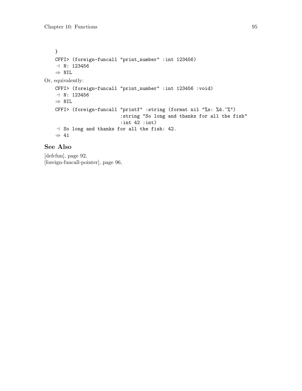```
}
   CFFI> (foreign-funcall "print_number" :int 123456)
    -1 N: 123456⇒ NIL
Or, equivalently:
   CFFI> (foreign-funcall "print_number" :int 123456 :void)
    -1 N: 123456
   \Rightarrow NIL
   CFFI> (foreign-funcall "printf" :string (format nil "%s: %d.~%")
                            :string "So long and thanks for all the fish"
                            :int 42 :int)
    - So long and thanks for all the fish: 42.
    \Rightarrow 41
```
#### See Also

[\[defcfun\], page 92,](#page-95-0) [\[foreign-funcall-pointer\], page 96,](#page-99-0)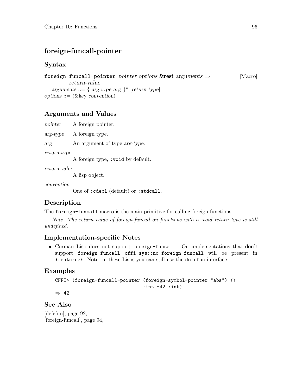# <span id="page-99-0"></span>foreign-funcall-pointer

#### Syntax

```
foreign-funcall-pointer pointer options &rest arguments \Rightarrow [Macro]
         return-value
  arguments ::= { arg-type arg }* [return-type]options ::= (\&key\ convention)
```
### Arguments and Values

pointer A foreign pointer.

arg-type A foreign type.

arg An argument of type arg-type.

return-type

A foreign type, :void by default.

return-value

A lisp object.

convention

One of :cdecl (default) or :stdcall.

### Description

The foreign-funcall macro is the main primitive for calling foreign functions.

Note: The return value of foreign-funcall on functions with a :void return type is still undefined.

#### Implementation-specific Notes

• Corman Lisp does not support foreign-funcall. On implementations that don't support foreign-funcall cffi-sys::no-foreign-funcall will be present in \*features\*. Note: in these Lisps you can still use the defcfun interface.

#### Examples

```
CFFI> (foreign-funcall-pointer (foreign-symbol-pointer "abs") ()
                               :int -42 :int)
```
⇒ 42

See Also

[\[defcfun\], page 92,](#page-95-0) [\[foreign-funcall\], page 94,](#page-97-0)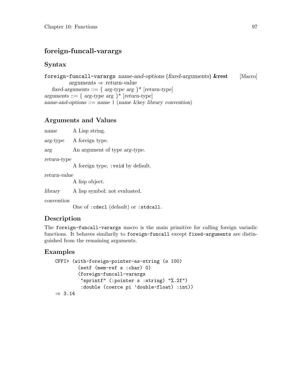# <span id="page-100-0"></span>foreign-funcall-varargs

#### Syntax

```
foreign-funcall-varargs name-and-options (fixed-arguments) &rest [Macro]
         arguments \Rightarrow return-valuefixed-arguments ::= { arg-type arg }* [return-type]
arguments ::= { arg-type arg } * [return-type]name-and-options  ::= name  | (name &key library convention)
```
### Arguments and Values

| name                  | A Lisp string.                        |
|-----------------------|---------------------------------------|
| $arg-type$            | A foreign type.                       |
| arg                   | An argument of type <i>arg-type</i> . |
| return-type           | A foreign type, : void by default.    |
| $return\text{-}value$ | A lisp object.                        |

library A lisp symbol; not evaluated.

convention

One of :cdecl (default) or :stdcall.

#### Description

The foreign-funcall-varargs macro is the main primitive for calling foreign variadic functions. It behaves similarily to foreign-funcall except fixed-arguments are distinguished from the remaining arguments.

### Examples

```
CFFI> (with-foreign-pointer-as-string (s 100)
        (setf (mem-ref s :char) 0)
        (foreign-funcall-varargs
         "sprintf" (:pointer s :string) "%.2f")
         :double (coerce pi 'double-float) :int))
\Rightarrow 3.14
```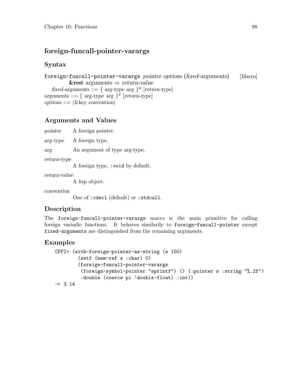### <span id="page-101-0"></span>foreign-funcall-pointer-varargs

#### Syntax

```
foreign-funcall-pointer-varargs pointer options (fixed-arguments) [Macro]
          &rest arguments \Rightarrow return-value
   fixed-arguments ::= { arg-type arg }* [return-type]
arguments  ::= \{ \text{ arg-type arg } \}^* \; [return-type]options ::= (\&key\ convention)
```
### Arguments and Values

arg-type A foreign type.

arg An argument of type arg-type.

return-type

A foreign type, :void by default.

return-value

A lisp object.

convention

One of :cdecl (default) or :stdcall.

### Description

The foreign-funcall-pointer-varargs macro is the main primitive for calling foreign variadic functions. It behaves similarily to foreign-funcall-pointer except fixed-arguments are distinguished from the remaining arguments.

#### Examples

```
CFFI> (with-foreign-pointer-as-string (s 100)
        (setf (mem-ref s :char) 0)
        (foreign-funcall-pointer-varargs
         (foreign-symbol-pointer "sprintf") () (:pointer s :string "%.2f")
         :double (coerce pi 'double-float) :int))
\Rightarrow 3.14
```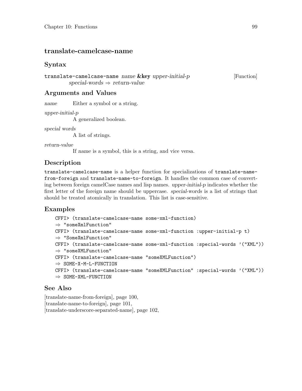#### <span id="page-102-0"></span>translate-camelcase-name

#### Syntax

translate-camelcase-name name &key upper-initial-p [Function] special-words  $\Rightarrow$  return-value

#### Arguments and Values

name Either a symbol or a string.

upper-initial-p

A generalized boolean.

special words

A list of strings.

return-value

If name is a symbol, this is a string, and vice versa.

#### Description

translate-camelcase-name is a helper function for specializations of translate-namefrom-foreign and translate-name-to-foreign. It handles the common case of converting between foreign camelCase names and lisp names. upper-initial-p indicates whether the first letter of the foreign name should be uppercase. special-words is a list of strings that should be treated atomically in translation. This list is case-sensitive.

#### Examples

```
CFFI> (translate-camelcase-name some-xml-function)
⇒ "someXmlFunction"
CFFI> (translate-camelcase-name some-xml-function :upper-initial-p t)
⇒ "SomeXmlFunction"
CFFI> (translate-camelcase-name some-xml-function :special-words '("XML"))
⇒ "someXMLFunction"
CFFI> (translate-camelcase-name "someXMLFunction")
⇒ SOME-X-M-L-FUNCTION
CFFI> (translate-camelcase-name "someXMLFunction" :special-words '("XML"))
\Rightarrow SOME-XML-FUNCTION
```
#### See Also

[\[translate-name-from-foreign\], page 100,](#page-103-0) [\[translate-name-to-foreign\], page 101,](#page-104-0) [\[translate-underscore-separated-name\], page 102,](#page-105-0)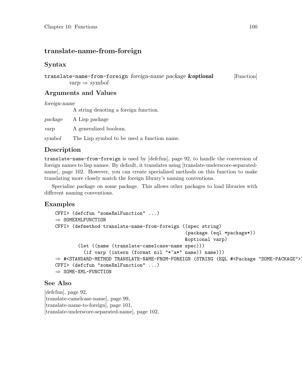### <span id="page-103-0"></span>translate-name-from-foreign

#### Syntax

translate-name-from-foreign foreign-name package **&optional** [Function]  $varp \Rightarrow symbol$ 

#### Arguments and Values

foreign-name

A string denoting a foreign function.

package A Lisp package

varp A generalized boolean.

symbol The Lisp symbol to be used a function name.

#### Description

translate-name-from-foreign is used by [\[defcfun\], page 92,](#page-95-0) to handle the conversion of foreign names to lisp names. By default, it translates using [\[translate-underscore-separated](#page-105-0)[name\], page 102.](#page-105-0) However, you can create specialized methods on this function to make translating more closely match the foreign library's naming conventions.

Specialize package on some package. This allows other packages to load libraries with different naming conventions.

#### Examples

```
CFFI> (defcfun "someXmlFunction" ...)
\Rightarrow SOMEXMLFUNCTION
CFFI> (defmethod translate-name-from-foreign ((spec string)
                                                (package (eql *package*))
                                                &optional varp)
        (let ((name (translate-camelcase-name spec)))
          (if varp (intern (format nil "*~a*" name)) name)))
⇒ #<STANDARD-METHOD TRANSLATE-NAME-FROM-FOREIGN (STRING (EQL #<Package "SOME-PACKAGE">))>
CFFI> (defcfun "someXmlFunction" ...)
⇒ SOME-XML-FUNCTION
```
#### See Also

[\[defcfun\], page 92,](#page-95-0) [\[translate-camelcase-name\], page 99,](#page-102-0) [\[translate-name-to-foreign\], page 101,](#page-104-0) [\[translate-underscore-separated-name\], page 102,](#page-105-0)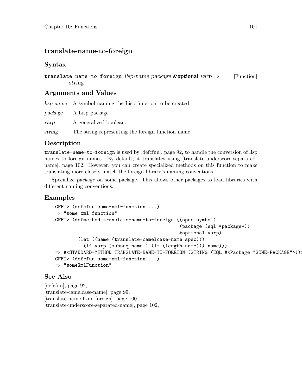### <span id="page-104-0"></span>translate-name-to-foreign

#### Syntax

translate-name-to-foreign lisp-name package **&optional** varp  $\Rightarrow$  [Function] string

#### Arguments and Values

lisp-name A symbol naming the Lisp function to be created.

package A Lisp package

varp A generalized boolean.

string The string representing the foreign function name.

#### Description

translate-name-to-foreign is used by [\[defcfun\], page 92,](#page-95-0) to handle the conversion of lisp names to foreign names. By default, it translates using [\[translate-underscore-separated](#page-105-0)[name\], page 102.](#page-105-0) However, you can create specialized methods on this function to make translating more closely match the foreign library's naming conventions.

Specialize package on some package. This allows other packages to load libraries with different naming conventions.

#### Examples

```
CFFI> (defcfun some-xml-function ...)
⇒ "some_xml_function"
CFFI> (defmethod translate-name-to-foreign ((spec symbol)
                                            (package (eql *package*))
                                            &optional varp)
        (let ((name (translate-camelcase-name spec)))
          (if varp (subseq name 1 (1- (length name))) name)))
⇒ #<STANDARD-METHOD TRANSLATE-NAME-TO-FOREIGN (STRING (EQL #<Package "SOME-PACKAGE">))>
CFFI> (defcfun some-xml-function ...)
⇒ "someXmlFunction"
```
#### See Also

[\[defcfun\], page 92,](#page-95-0) [\[translate-camelcase-name\], page 99,](#page-102-0) [\[translate-name-from-foreign\], page 100,](#page-103-0) [\[translate-underscore-separated-name\], page 102,](#page-105-0)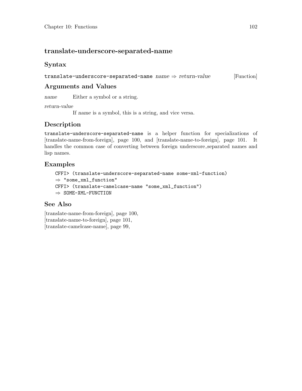#### <span id="page-105-0"></span>translate-underscore-separated-name

#### Syntax

translate-underscore-separated-name  $name \Rightarrow return-value$  [Function]

### Arguments and Values

name Either a symbol or a string.

return-value

If name is a symbol, this is a string, and vice versa.

### Description

translate-underscore-separated-name is a helper function for specializations of [\[translate-name-from-foreign\], page 100,](#page-103-0) and [\[translate-name-to-foreign\], page 101](#page-104-0). It handles the common case of converting between foreign underscore separated names and lisp names.

#### Examples

```
CFFI> (translate-underscore-separated-name some-xml-function)
⇒ "some_xml_function"
CFFI> (translate-camelcase-name "some_xml_function")
⇒ SOME-XML-FUNCTION
```
### See Also

[\[translate-name-from-foreign\], page 100,](#page-103-0) [\[translate-name-to-foreign\], page 101,](#page-104-0) [\[translate-camelcase-name\], page 99,](#page-102-0)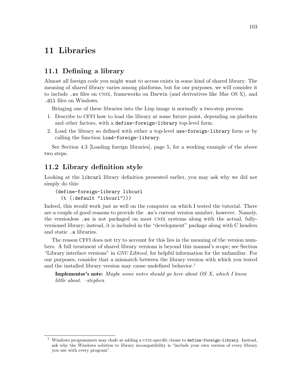# 11 Libraries

#### 11.1 Defining a library

Almost all foreign code you might want to access exists in some kind of shared library. The meaning of shared library varies among platforms, but for our purposes, we will consider it to include .so files on unix, frameworks on Darwin (and derivatives like Mac OS X), and .dll files on Windows.

Bringing one of these libraries into the Lisp image is normally a two-step process.

- 1. Describe to CFFI how to load the library at some future point, depending on platform and other factors, with a define-foreign-library top-level form.
- 2. Load the library so defined with either a top-level use-foreign-library form or by calling the function load-foreign-library.

See [Section 4.3 \[Loading foreign libraries\], page 5,](#page-8-0) for a working example of the above two steps.

#### 11.2 Library definition style

Looking at the libcurl library definition presented earlier, you may ask why we did not simply do this:

```
(define-foreign-library libcurl
  (t (:default "libcurl")))
```
Indeed, this would work just as well on the computer on which I tested the tutorial. There are a couple of good reasons to provide the .so's current version number, however. Namely, the versionless .so is not packaged on most unix systems along with the actual, fullyversioned library; instead, it is included in the "development" package along with C headers and static .a libraries.

The reason CFFI does not try to account for this lies in the meaning of the version numbers. A full treatment of shared library versions is beyond this manual's scope; see Section "Library interface versions" in GNU Libtool, for helpful information for the unfamiliar. For our purposes, consider that a mismatch between the library version with which you tested and the installed library version may cause undefined behavior.<sup>1</sup>

**Implementor's note:** Maybe some notes should go here about  $OS X$ , which I know little about. –stephen

Windows programmers may chafe at adding a UNIX-specific clause to define-foreign-library. Instead, ask why the Windows solution to library incompatibility is "include your own version of every library you use with every program".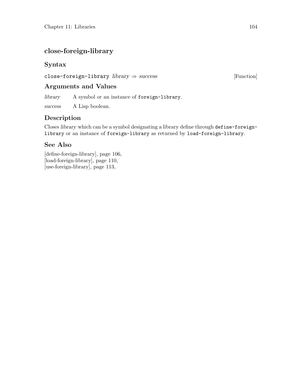# close-foreign-library

### Syntax

close-foreign-library  $library \Rightarrow success$  [Function]

### Arguments and Values

library A symbol or an instance of foreign-library.

success A Lisp boolean.

### Description

Closes library which can be a symbol designating a library define through define-foreignlibrary or an instance of foreign-library as returned by load-foreign-library.

### See Also

[\[define-foreign-library\], page 106,](#page-109-0) [\[load-foreign-library\], page 110,](#page-113-0) [\[use-foreign-library\], page 113,](#page-116-0)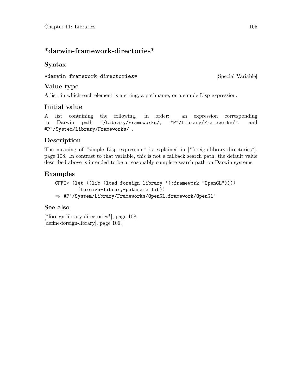## <span id="page-108-0"></span>\*darwin-framework-directories\*

### Syntax

```
*darwin-framework-directories* [Special Variable]
```
### Value type

A list, in which each element is a string, a pathname, or a simple Lisp expression.

## Initial value

A list containing the following, in order: an expression corresponding to Darwin path ~/Library/Frameworks/, #P"/Library/Frameworks/", and #P"/System/Library/Frameworks/".

## Description

The meaning of "simple Lisp expression" is explained in [\[\\*foreign-library-directories\\*\],](#page-111-0) [page 108.](#page-111-0) In contrast to that variable, this is not a fallback search path; the default value described above is intended to be a reasonably complete search path on Darwin systems.

### Examples

```
CFFI> (let ((lib (load-foreign-library '(:framework "OpenGL"))))
        (foreign-library-pathname lib))
⇒ #P"/System/Library/Frameworks/OpenGL.framework/OpenGL"
```
### See also

[\[\\*foreign-library-directories\\*\], page 108,](#page-111-0) [\[define-foreign-library\], page 106,](#page-109-0)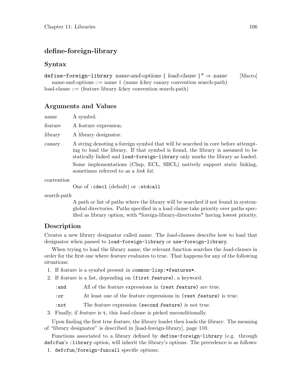#### <span id="page-109-0"></span>define-foreign-library

#### Syntax

#### define-foreign-library name-and-options { load-clause }\*  $\Rightarrow$  name [Macro]

name-and-options ::= name | (name &key canary convention search-path) load-clause ::= (feature library &key convention search-path)

#### Arguments and Values

| name |  | A symbol. |
|------|--|-----------|
|------|--|-----------|

feature A feature expression.

library A library designator.

canary A string denoting a foreign symbol that will be searched in core before attempting to load the library. If that symbol is found, the library is assumed to be statically linked and load-foreign-library only marks the library as loaded. Some implementations (Clisp, ECL, SBCL) natively support static linking, sometimes referred to as a link kit.

convention

One of :cdecl (default) or :stdcall

search-path

A path or list of paths where the library will be searched if not found in systemglobal directories. Paths specified in a load clause take priority over paths specified as library option, with \*foreign-library-directories\* having lowest priority.

#### Description

Creates a new library designator called name. The load-clauses describe how to load that designator when passed to load-foreign-library or use-foreign-library.

When trying to load the library name, the relevant function searches the *load-clauses* in order for the first one where feature evaluates to true. That happens for any of the following situations:

- 1. If feature is a symbol present in common-lisp:\*features\*.
- 2. If feature is a list, depending on (first feature), a keyword:

: and All of the feature expressions in (rest feature) are true.

:or At least one of the feature expressions in (rest feature) is true.

- :not The feature expression (second feature) is not true.
- 3. Finally, if feature is t, this load-clause is picked unconditionally.

Upon finding the first true feature, the library loader then loads the library. The meaning of "library designator" is described in [\[load-foreign-library\], page 110.](#page-113-0)

Functions associated to a library defined by define-foreign-library (e.g. through defcfun's : library option, will inherit the library's options. The precedence is as follows:

1. defcfun/foreign-funcall specific options;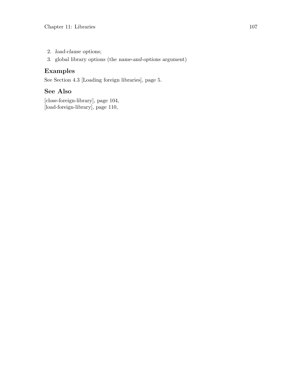- 2. load-clause options;
- 3. global library options (the name-and-options argument)

#### Examples

See [Section 4.3 \[Loading foreign libraries\], page 5](#page-8-0).

### See Also

[\[close-foreign-library\], page 104,](#page-107-0) [\[load-foreign-library\], page 110,](#page-113-0)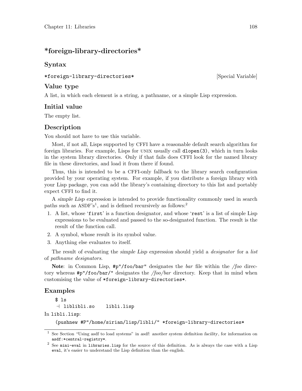#### <span id="page-111-0"></span>\*foreign-library-directories\*

#### Syntax

#### \*foreign-library-directories\* [Special Variable]

Value type

A list, in which each element is a string, a pathname, or a simple Lisp expression.

#### Initial value

The empty list.

#### Description

You should not have to use this variable.

Most, if not all, Lisps supported by CFFI have a reasonable default search algorithm for foreign libraries. For example, Lisps for UNIX usually call [dlopen\(3\)](http://www.opengroup.org/onlinepubs/009695399/functions/dlopen.html), which in turn looks in the system library directories. Only if that fails does CFFI look for the named library file in these directories, and load it from there if found.

Thus, this is intended to be a CFFI-only fallback to the library search configuration provided by your operating system. For example, if you distribute a foreign library with your Lisp package, you can add the library's containing directory to this list and portably expect CFFI to find it.

A simple Lisp expression is intended to provide functionality commonly used in search paths such as ASDF's<sup>1</sup>, and is defined recursively as follows:<sup>2</sup>

- 1. A list, whose 'first' is a function designator, and whose 'rest' is a list of simple Lisp expressions to be evaluated and passed to the so-designated function. The result is the result of the function call.
- 2. A symbol, whose result is its symbol value.
- 3. Anything else evaluates to itself.

The result of evaluating the simple Lisp expression should yield a *designator* for a list of pathname designators.

Note: in Common Lisp,  $\#p''/foo/bar''$  designates the *bar* file within the */foo* directory whereas  $\sharp p''/foo/bar''$  designates the */foo/bar* directory. Keep that in mind when customising the value of \*foreign-library-directories\*.

#### Examples

\$ ls  $-1$  liblibli.so libli.lisp

In libli.lisp:

(pushnew #P"/home/sirian/lisp/libli/" \*foreign-library-directories\*

<sup>&</sup>lt;sup>1</sup> See Section "Using asdf to load systems" in asdf: another system definition facility, for information on asdf:\*central-registry\*.

 $2$  See mini-eval in libraries.lisp for the source of this definition. As is always the case with a Lisp eval, it's easier to understand the Lisp definition than the english.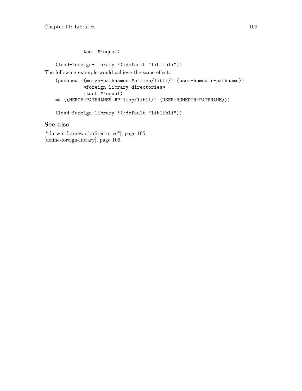:test #'equal)

(load-foreign-library '(:default "liblibli"))

The following example would achieve the same effect:

```
(pushnew '(merge-pathnames #p"lisp/libli/" (user-homedir-pathname))
          *foreign-library-directories*
          :test #'equal)
\Rightarrow ((MERGE-PATHNAMES #P"lisp/libli/" (USER-HOMEDIR-PATHNAME)))
```

```
(load-foreign-library '(:default "liblibli"))
```
#### See also

[\[\\*darwin-framework-directories\\*\], page 105,](#page-108-0) [\[define-foreign-library\], page 106,](#page-109-0)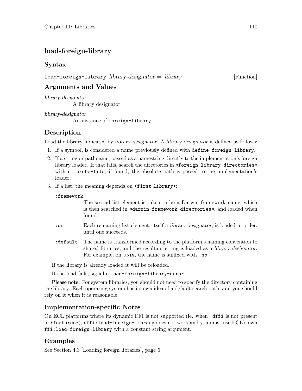### <span id="page-113-0"></span>load-foreign-library

#### Syntax

#### load-foreign-library library-designator ⇒ library [Function]

Arguments and Values

library-designator A library designator.

library-designator An instance of foreign-library.

### Description

Load the library indicated by *library-designator*. A *library designator* is defined as follows:

- 1. If a symbol, is considered a name previously defined with define-foreign-library.
- 2. If a string or pathname, passed as a namestring directly to the implementation's foreign library loader. If that fails, search the directories in \*foreign-library-directories\* with cl:probe-file; if found, the absolute path is passed to the implementation's loader.
- 3. If a list, the meaning depends on (first library):
	- :framework

The second list element is taken to be a Darwin framework name, which is then searched in \*darwin-framework-directories\*, and loaded when found.

- :or Each remaining list element, itself a library designator, is loaded in order, until one succeeds.
- :default The name is transformed according to the platform's naming convention to shared libraries, and the resultant string is loaded as a library designator. For example, on UNIX, the name is suffixed with .so.

If the library is already loaded it will be reloaded.

If the load fails, signal a load-foreign-library-error.

Please note: For system libraries, you should not need to specify the directory containing the library. Each operating system has its own idea of a default search path, and you should rely on it when it is reasonable.

#### Implementation-specific Notes

On ECL platforms where its dynamic FFI is not supported (ie. when :dffi is not present in \*features\*), cffi:load-foreign-library does not work and you must use ECL's own ffi:load-foreign-library with a constant string argument.

#### Examples

See [Section 4.3 \[Loading foreign libraries\], page 5](#page-8-0).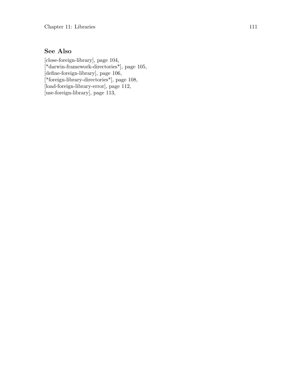### See Also

[\[close-foreign-library\], page 104,](#page-107-0) [\[\\*darwin-framework-directories\\*\], page 105,](#page-108-0)  $\left[$ define-foreign-library $\right]$ , page 106, [\[\\*foreign-library-directories\\*\], page 108,](#page-111-0) [\[load-foreign-library-error\], page 112,](#page-115-0) [\[use-foreign-library\], page 113,](#page-116-0)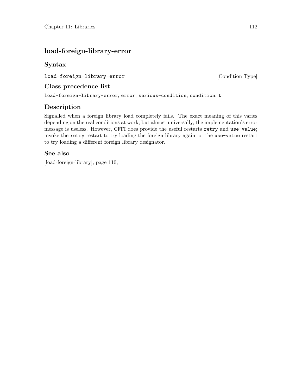### <span id="page-115-0"></span>load-foreign-library-error

### Syntax

load-foreign-library-error [Condition Type]

#### Class precedence list

load-foreign-library-error, error, serious-condition, condition, t

### Description

Signalled when a foreign library load completely fails. The exact meaning of this varies depending on the real conditions at work, but almost universally, the implementation's error message is useless. However, CFFI does provide the useful restarts retry and use-value; invoke the retry restart to try loading the foreign library again, or the use-value restart to try loading a different foreign library designator.

#### See also

[\[load-foreign-library\], page 110,](#page-113-0)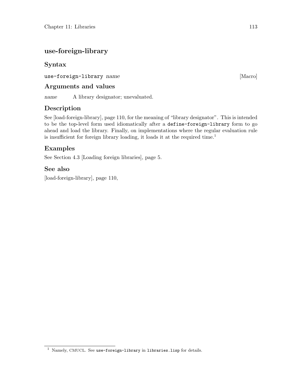## <span id="page-116-0"></span>use-foreign-library

### Syntax

use-foreign-library name [Macro]

#### Arguments and values

name A library designator; unevaluated.

### Description

See [\[load-foreign-library\], page 110](#page-113-0), for the meaning of "library designator". This is intended to be the top-level form used idiomatically after a define-foreign-library form to go ahead and load the library. Finally, on implementations where the regular evaluation rule is insufficient for foreign library loading, it loads it at the required time.<sup>1</sup>

#### Examples

See [Section 4.3 \[Loading foreign libraries\], page 5](#page-8-0).

#### See also

[\[load-foreign-library\], page 110,](#page-113-0)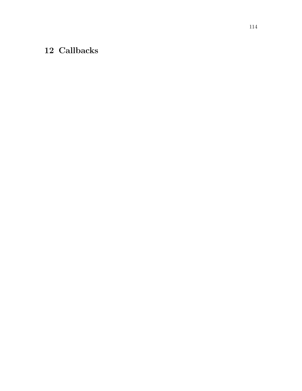# <span id="page-117-0"></span>12 Callbacks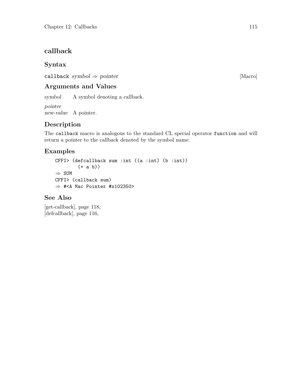### <span id="page-118-0"></span>callback

#### Syntax

callback symbol  $\Rightarrow$  pointer [Macro]

#### Arguments and Values

symbol A symbol denoting a callback.

pointer new-value A pointer.

### Description

The callback macro is analogous to the standard CL special operator function and will return a pointer to the callback denoted by the symbol name.

### Examples

CFFI> (defcallback sum :int ((a :int) (b :int))  $(+a b))$  $\Rightarrow$  SUM CFFI> (callback sum) ⇒ #<A Mac Pointer #x102350>

#### See Also

[\[get-callback\], page 118,](#page-121-0) [\[defcallback\], page 116,](#page-119-0)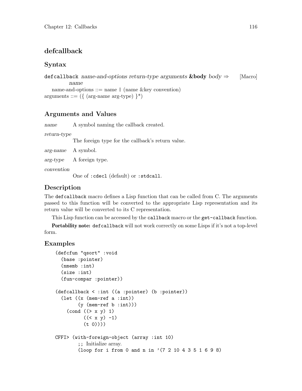### <span id="page-119-0"></span>defcallback

#### Syntax

deficallback name-and-options return-type arguments  $\&$ body body  $\Rightarrow$  [Macro] name name-and-options ::= name | (name &key convention) arguments  $::= (\{ (arg\$ name arg-type $) \}^*)$ 

#### Arguments and Values

name A symbol naming the callback created.

return-type

The foreign type for the callback's return value.

arg-name A symbol.

arg-type A foreign type.

convention

One of :cdecl (default) or :stdcall.

#### Description

The defcallback macro defines a Lisp function that can be called from C. The arguments passed to this function will be converted to the appropriate Lisp representation and its return value will be converted to its C representation.

This Lisp function can be accessed by the callback macro or the get-callback function.

Portability note: defcallback will not work correctly on some Lisps if it's not a top-level form.

#### Examples

```
(defcfun "qsort" :void
  (base :pointer)
  (nmemb :int)
  (size :int)
  (fun-compar :pointer))
(defcallback < :int ((a :pointer) (b :pointer))
  (let ((x (mem-ref a :int))
        (y (mem-ref b :int)))
    \text{(cond } ((> x y) 1)((< x y) -1)(t 0))))CFFI> (with-foreign-object (array :int 10)
        ;; Initialize array.
        (loop for i from 0 and n in '(7 2 10 4 3 5 1 6 9 8)
```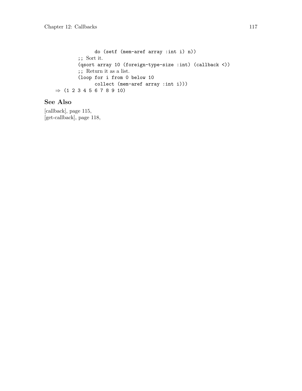do (setf (mem-aref array :int i) n)) ;; Sort it. (qsort array 10 (foreign-type-size :int) (callback <)) ;; Return it as a list. (loop for i from 0 below 10 collect (mem-aref array :int i)))  $\Rightarrow$  (1 2 3 4 5 6 7 8 9 10)

#### See Also

[\[callback\], page 115,](#page-118-0) [\[get-callback\], page 118,](#page-121-0)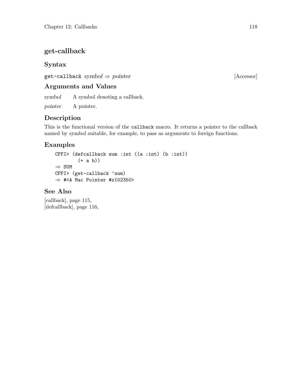### <span id="page-121-0"></span>get-callback

#### Syntax

 $get-callback symbol \Rightarrow pointer$  [Accessor]

#### Arguments and Values

symbol A symbol denoting a callback.

pointer A pointer.

#### Description

This is the functional version of the callback macro. It returns a pointer to the callback named by symbol suitable, for example, to pass as arguments to foreign functions.

#### Examples

```
CFFI> (defcallback sum :int ((a :int) (b :int))
        (+ a b))
⇒ SUM
CFFI> (get-callback 'sum)
⇒ #<A Mac Pointer #x102350>
```
#### See Also

[\[callback\], page 115,](#page-118-0) [\[defcallback\], page 116,](#page-119-0)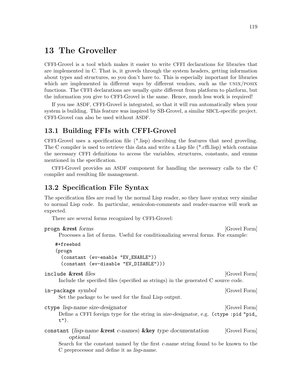## <span id="page-122-1"></span>13 The Groveller

CFFI-Grovel is a tool which makes it easier to write CFFI declarations for libraries that are implemented in C. That is, it grovels through the system headers, getting information about types and structures, so you don't have to. This is especially important for libraries which are implemented in different ways by different vendors, such as the UNIX/POSIX functions. The CFFI declarations are usually quite different from platform to platform, but the information you give to CFFI-Grovel is the same. Hence, much less work is required!

If you use ASDF, CFFI-Grovel is integrated, so that it will run automatically when your system is building. This feature was inspired by SB-Grovel, a similar SBCL-specific project. CFFI-Grovel can also be used without ASDF.

#### 13.1 Building FFIs with CFFI-Grovel

CFFI-Grovel uses a specification file (\*.lisp) describing the features that need groveling. The C compiler is used to retrieve this data and write a Lisp file (\*.cffi.lisp) which contains the necessary CFFI definitions to access the variables, structures, constants, and enums mentioned in the specification.

CFFI-Grovel provides an ASDF component for handling the necessary calls to the C compiler and resulting file management.

#### <span id="page-122-0"></span>13.2 Specification File Syntax

The specification files are read by the normal Lisp reader, so they have syntax very similar to normal Lisp code. In particular, semicolon-comments and reader-macros will work as expected.

There are several forms recognized by CFFI-Grovel:

| progn & rest forms                                                                                                                                                                                                  | [Grovel Form] |
|---------------------------------------------------------------------------------------------------------------------------------------------------------------------------------------------------------------------|---------------|
| Processes a list of forms. Useful for conditionalizing several forms. For example:                                                                                                                                  |               |
| #+freebsd<br>(progn<br>(constant (ev-enable "EV_ENABLE"))<br>(constant (ev-disable "EV_DISABLE")))                                                                                                                  |               |
| include &rest files<br>Include the specified files (specified as strings) in the generated C source code.                                                                                                           | [Grovel Form] |
| in-package symbol<br>Set the package to be used for the final Lisp output.                                                                                                                                          | [Grovel Form] |
| ctype lisp-name size-designator<br>Define a CFFI foreign type for the string in size-designator, e.g. (ctype:pid"pid_<br>t").                                                                                       | [Grovel Form] |
| constant (lisp-name & rest c-names) & key type documentation<br>optional<br>Search for the constant named by the first <i>c</i> -name string found to be known to the<br>C preprocessor and define it as lisp-name. | [Grovel Form] |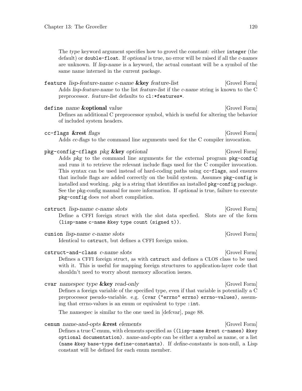<span id="page-123-0"></span>The type keyword argument specifies how to grovel the constant: either integer (the default) or double-float. If optional is true, no error will be raised if all the c-names are unknown. If lisp-name is a keyword, the actual constant will be a symbol of the same name interned in the current package.

feature lisp-feature-name c-name & key feature-list [Grovel Form] Adds lisp-feature-name to the list feature-list if the c-name string is known to the C preprocessor. feature-list defaults to cl:\*features\*.

define name **&optional** value  $\begin{bmatrix} \text{Grouel Form} \end{bmatrix}$ Defines an additional C preprocessor symbol, which is useful for altering the behavior of included system headers.

#### cc-flags &rest flags (Grovel Form)

Adds cc-flags to the command line arguments used for the C compiler invocation.

#### pkg-config-cflags pkg &key optional [Grovel Form]

Adds pkg to the command line arguments for the external program pkg-config and runs it to retrieve the relevant include flags used for the C compiler invocation. This syntax can be used instead of hard-coding paths using cc-flags, and ensures that include flags are added correctly on the build system. Assumes pkg-config is installed and working. pkg is a string that identifies an installed pkg-config package. See the pkg-config manual for more information. If optional is true, failure to execute pkg-config does not abort compilation.

cstruct lisp-name c-name slots [Grovel Form] Define a CFFI foreign struct with the slot data specfied. Slots are of the form (lisp-name c-name &key type count (signed t)).

cunion lisp-name c-name slots [Grovel Form] Identical to cstruct, but defines a CFFI foreign union.

cstruct-and-class *c*-name slots [Grovel Form] Defines a CFFI foreign struct, as with cstruct and defines a CLOS class to be used with it. This is useful for mapping foreign structures to application-layer code that shouldn't need to worry about memory allocation issues.

cvar namespec type **&key** read-only [Grovel Form] Defines a foreign variable of the specified type, even if that variable is potentially a C preprocessor pseudo-variable. e.g. (cvar ("errno" errno) errno-values), assuming that errno-values is an enum or equivalent to type : int.

The namespec is similar to the one used in [\[defcvar\], page 88.](#page-91-0)

cenum name-and-opts &rest elements [Grovel Form] Defines a true C enum, with elements specified as ((lisp-name &rest c-names) &key optional documentation). name-and-opts can be either a symbol as name, or a list (name &key base-type define-constants). If define-constants is non-null, a Lisp constant will be defined for each enum member.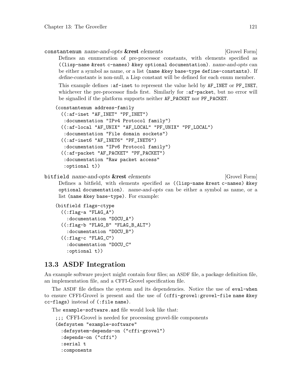<span id="page-124-0"></span>constantenum name-and-opts &rest elements [Grovel Form] Defines an enumeration of pre-processor constants, with elements specified as ((lisp-name &rest c-names) &key optional documentation). name-and-opts can be either a symbol as name, or a list (name &key base-type define-constants). If define-constants is non-null, a Lisp constant will be defined for each enum member.

This example defines : af-inet to represent the value held by  $AF$ \_INET or PF\_INET, whichever the pre-processor finds first. Similarly for : af-packet, but no error will be signalled if the platform supports neither AF\_PACKET nor PF\_PACKET.

```
(constantenum address-family
```

```
((:af-inet "AF_INET" "PF_INET")
:documentation "IPv4 Protocol family")
((:af-local "AF_UNIX" "AF_LOCAL" "PF_UNIX" "PF_LOCAL")
:documentation "File domain sockets")
((:af-inet6 "AF_INET6" "PF_INET6")
:documentation "IPv6 Protocol family")
((:af-packet "AF_PACKET" "PF_PACKET")
:documentation "Raw packet access"
:optional t))
```
bitfield name-and-opts &rest elements [Grovel Form] Defines a bitfield, with elements specified as ((lisp-name &rest c-names) &key optional documentation). name-and-opts can be either a symbol as name, or a list (name &key base-type). For example:

```
(bitfield flags-ctype
  ((:flag-a "FLAG_A"):documentation "DOCU_A")
  ((:flag-b "FLAG_B" "FLAG_B_ALT")
    :documentation "DOCU_B")
  ((:flag-c "FLAG_C")
    :documentation "DOCU_C"
    :optional t))
```
### 13.3 ASDF Integration

An example software project might contain four files; an ASDF file, a package definition file, an implementation file, and a CFFI-Grovel specification file.

The ASDF file defines the system and its dependencies. Notice the use of eval-when to ensure CFFI-Grovel is present and the use of (cffi-grovel:grovel-file name &key cc-flags) instead of (:file name).

The example-software.asd file would look like that:

```
;;; CFFI-Grovel is needed for processing grovel-file components
(defsystem "example-software"
  :defsystem-depends-on ("cffi-grovel")
  :depends-on ("cffi")
  :serial t
  :components
```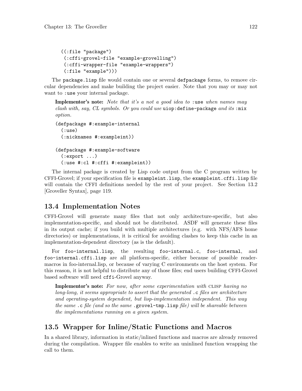```
((:file "package")
(:cffi-grovel-file "example-grovelling")
(:cffi-wrapper-file "example-wrappers")
(:file "example")))
```
The package.lisp file would contain one or several defpackage forms, to remove circular dependencies and make building the project easier. Note that you may or may not want to :use your internal package.

**Implementor's note:** Note that it's a not a good idea to :use when names may clash with, say, CL symbols. Or you could use uiop: define-package and its :  $mix$ option.

```
(defpackage #:example-internal
  (:use)
  (:nicknames #:exampleint))
(defpackage #:example-software
  (:export ...)
  (:use #:cl #:cffi #:exampleint))
```
The internal package is created by Lisp code output from the C program written by CFFI-Grovel; if your specification file is exampleint.lisp, the exampleint.cffi.lisp file will contain the CFFI definitions needed by the rest of your project. See [Section 13.2](#page-122-0) [\[Groveller Syntax\], page 119.](#page-122-0)

### 13.4 Implementation Notes

CFFI-Grovel will generate many files that not only architecture-specific, but also implementation-specific, and should not be distributed. ASDF will generate these files in its output cache; if you build with multiple architectures (e.g. with NFS/AFS home directories) or implementations, it is critical for avoiding clashes to keep this cache in an implementation-dependent directory (as is the default).

For foo-internal.lisp, the resulting foo-internal.c, foo-internal, and foo-internal.cffi.lisp are all platform-specific, either because of possible readermacros in foo-internal.lisp, or because of varying C environments on the host system. For this reason, it is not helpful to distribute any of those files; end users building CFFI-Grovel based software will need cffi-Grovel anyway.

Implementor's note: For now, after some experimentation with CLISP having no long-long, it seems appropriate to assert that the generated  $\cdot$  c files are architecture and operating-system dependent, but lisp-implementation independent. This way the same .c file (and so the same .grovel-tmp.lisp file) will be shareable between the implementations running on a given system.

### 13.5 Wrapper for Inline/Static Functions and Macros

In a shared library, information in static/inlined functions and macros are already removed during the compilation. Wrapper file enables to write an uninlined function wrapping the call to them.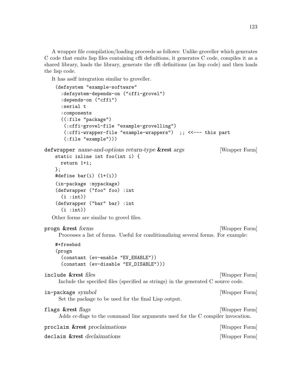<span id="page-126-0"></span>A wrapper file compilation/loading proceeds as follows: Unlike groveller which generates C code that emits lisp files containing cffi definitions, it generates C code, compiles it as a shared library, loads the library, generate the cffi definitions (as lisp code) and then loads the lisp code.

It has asdf integration similar to groveller.

```
(defsystem "example-software"
      :defsystem-depends-on ("cffi-grovel")
      :depends-on ("cffi")
      :serial t
      :components
      ((:file "package")
       (:cffi-grovel-file "example-grovelling")
       (:cffi-wrapper-file "example-wrappers") ;; <<--- this part
       (:file "example")))
defwrapper name-and-options return-type &rest args [Wrapper Form]
    static inline int foo(int i) {
      return 1+i;
    };
    #define bar(i) (1+(i))(in-package :mypackage)
    (defwrapper ("foo" foo) :int
      (i : int))(defwrapper ("bar" bar) :int
      (i : \text{int})Other forms are similar to grovel files.
progn &rest forms [Wrapper Form]
     Processes a list of forms. Useful for conditionalizing several forms. For example:
    #+freebsd
    (progn
      (constant (ev-enable "EV_ENABLE"))
      (constant (ev-disable "EV_DISABLE")))
include &rest files [Wrapper Form]
     Include the specified files (specified as strings) in the generated C source code.
in-package symbol intervals and [Wr] [Wrapper Form]
     Set the package to be used for the final Lisp output.
flags &rest flags and the set of the set of the set of the set of the set of the set of the set of the set of the set of the set of the set of the set of the set of the set of the set of the set of the set of the set of th
     Adds cc-flags to the command line arguments used for the C compiler invocation.
proclaim &rest proclaimations [Wrapper Form]
declaim &rest declaimations [Wrapper Form]
```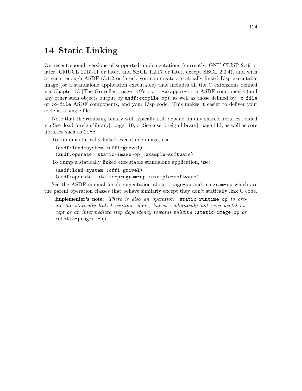## 14 Static Linking

On recent enough versions of supported implementations (currently, GNU CLISP 2.49 or later, CMUCL 2015-11 or later, and SBCL 1.2.17 or later, except SBCL 2.0.4), and with a recent enough ASDF (3.1.2 or later), you can create a statically linked Lisp executable image (or a standalone application executable) that includes all the C extensions defined via [Chapter 13 \[The Groveller\], page 119'](#page-122-1)s :cffi-wrapper-file ASDF components (and any other such objects output by  $\texttt{asdf:compile-op}$ , as well as those defined by : $\texttt{c-file}$ or :o-file ASDF components, and your Lisp code. This makes it easier to deliver your code as a single file.

Note that the resulting binary will typically still depend on any shared libraries loaded via See [\[load-foreign-library\], page 110,](#page-113-0) or See [\[use-foreign-library\], page 113,](#page-116-0) as well as core libraries such as libc.

To dump a statically linked executable image, use:

```
(asdf:load-system :cffi-grovel)
(asdf:operate :static-image-op :example-software)
```
To dump a statically linked executable standalone application, use:

```
(asdf:load-system :cffi-grovel)
```

```
(asdf:operate :static-program-op :example-software)
```
See [the ASDF manual](https://common-lisp.net/project/asdf/) for documentation about image-op and program-op which are the parent operation classes that behave similarly except they don't statically link C code.

Implementor's note: There is also an operation : static-runtime-op to create the statically linked runtime alone, but it's admittedly not very useful except as an intermediate step dependency towards building :static-image-op or :static-program-op.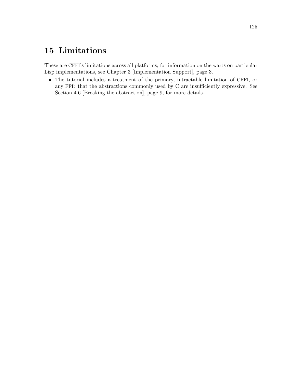# 15 Limitations

These are CFFI's limitations across all platforms; for information on the warts on particular Lisp implementations, see [Chapter 3 \[Implementation Support\], page 3](#page-6-0).

• The tutorial includes a treatment of the primary, intractable limitation of CFFI, or any FFI: that the abstractions commonly used by C are insufficiently expressive. See [Section 4.6 \[Breaking the abstraction\], page 9](#page-12-0), for more details.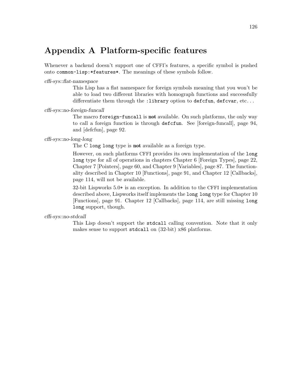## Appendix A Platform-specific features

Whenever a backend doesn't support one of CFFI's features, a specific symbol is pushed onto common-lisp:\*features\*. The meanings of these symbols follow.

#### cffi-sys::flat-namespace

This Lisp has a flat namespace for foreign symbols meaning that you won't be able to load two different libraries with homograph functions and successfully differentiate them through the :library option to defcfun, defcvar, etc...

#### cffi-sys::no-foreign-funcall

The macro foreign-funcall is not available. On such platforms, the only way to call a foreign function is through defcfun. See [\[foreign-funcall\], page 94,](#page-97-0) and [\[defcfun\], page 92](#page-95-0).

#### cffi-sys::no-long-long

The C long long type is **not** available as a foreign type.

However, on such platforms CFFI provides its own implementation of the long long type for all of operations in chapters [Chapter 6 \[Foreign Types\], page 22,](#page-25-0) [Chapter 7 \[Pointers\], page 60,](#page-63-0) and [Chapter 9 \[Variables\], page 87](#page-90-0). The functionality described in [Chapter 10 \[Functions\], page 91,](#page-94-0) and [Chapter 12 \[Callbacks\],](#page-117-0) [page 114,](#page-117-0) will not be available.

32-bit Lispworks 5.0+ is an exception. In addition to the CFFI implementation described above, Lispworks itself implements the long long type for [Chapter 10](#page-94-0) [\[Functions\], page 91.](#page-94-0) [Chapter 12 \[Callbacks\], page 114,](#page-117-0) are still missing long long support, though.

#### cffi-sys::no-stdcall

This Lisp doesn't support the stdcall calling convention. Note that it only makes sense to support stdcall on (32-bit) x86 platforms.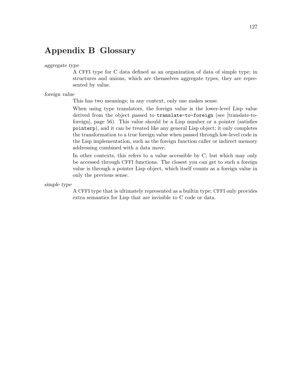## Appendix B Glossary

aggregate type

A CFFI type for C data defined as an organization of data of simple type; in structures and unions, which are themselves aggregate types, they are represented by value.

foreign value

This has two meanings; in any context, only one makes sense.

When using type translators, the foreign value is the lower-level Lisp value derived from the object passed to translate-to-foreign (see [\[translate-to](#page-59-0)[foreign\], page 56](#page-59-0)). This value should be a Lisp number or a pointer (satisfies pointerp), and it can be treated like any general Lisp object; it only completes the transformation to a true foreign value when passed through low-level code in the Lisp implementation, such as the foreign function caller or indirect memory addressing combined with a data move.

In other contexts, this refers to a value accessible by C, but which may only be accessed through CFFI functions. The closest you can get to such a foreign value is through a pointer Lisp object, which itself counts as a foreign value in only the previous sense.

simple type

A CFFI type that is ultimately represented as a builtin type; CFFI only provides extra semantics for Lisp that are invisible to C code or data.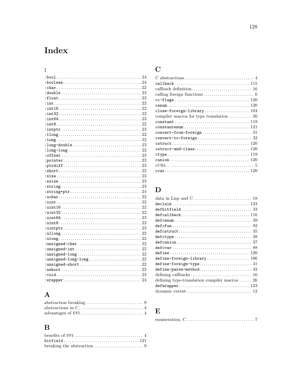# Index

| 23<br>$: \text{string} \dots \dots \dots \dots \dots \dots \dots \dots \dots \dots \dots \dots$   |
|---------------------------------------------------------------------------------------------------|
|                                                                                                   |
|                                                                                                   |
|                                                                                                   |
|                                                                                                   |
| 22                                                                                                |
|                                                                                                   |
|                                                                                                   |
|                                                                                                   |
| 22                                                                                                |
|                                                                                                   |
|                                                                                                   |
|                                                                                                   |
|                                                                                                   |
|                                                                                                   |
|                                                                                                   |
|                                                                                                   |
| $: {\tt void.}\dots \dots \dots \dots \dots \dots \dots \dots \dots \dots \dots \dots \dots \ 23$ |
| 24                                                                                                |

# ${\bf A}$

| $abstraction \ breaking \ldots \ldots \ldots \ldots \ldots \ldots \ldots 9$ |  |
|-----------------------------------------------------------------------------|--|
|                                                                             |  |
|                                                                             |  |

# $\label{eq:1} \mathbf{B}$

# $\mathbf C$

# $\mathbf{D}%$

| $\mathtt{defcallback} \ldots \ldots \ldots \ldots \ldots \ldots \ldots \ldots \ldots \ldots \ldots 116$ |  |
|---------------------------------------------------------------------------------------------------------|--|
|                                                                                                         |  |
|                                                                                                         |  |
| $defcstruct \ldots \ldots \ldots \ldots \ldots \ldots \ldots \ldots \ldots \ldots \ldots \ldots 35$     |  |
|                                                                                                         |  |
| $defcunion \ldots \ldots \ldots \ldots \ldots \ldots \ldots \ldots \ldots \ldots \ldots \ldots 37$      |  |
|                                                                                                         |  |
|                                                                                                         |  |
| $define-foreign-library \ldots \ldots \ldots \ldots \ldots 106$                                         |  |
|                                                                                                         |  |
| $\verb"define-parse-method" ( \verb" \verb" \verb" \verb" 42"$                                          |  |
|                                                                                                         |  |
| defining type-translation compiler macros  26                                                           |  |
|                                                                                                         |  |
|                                                                                                         |  |
|                                                                                                         |  |

## ${\bf E}$

| enumeration, $C \ldots \ldots \ldots \ldots \ldots \ldots \ldots \ldots \ldots$ |  |  |  |  |  |  |  |  |  |  |  |  |  |  |  |  |  |  |  |  |  |  |  |  |  |  |  |  |  |  |  |  |  |
|---------------------------------------------------------------------------------|--|--|--|--|--|--|--|--|--|--|--|--|--|--|--|--|--|--|--|--|--|--|--|--|--|--|--|--|--|--|--|--|--|
|---------------------------------------------------------------------------------|--|--|--|--|--|--|--|--|--|--|--|--|--|--|--|--|--|--|--|--|--|--|--|--|--|--|--|--|--|--|--|--|--|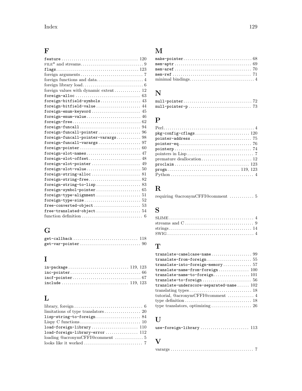# F

| ${\tt feature}\dots\dots\dots\dots\dots\dots\dots\dots\dots\dots\dots\dots\ 120$            |
|---------------------------------------------------------------------------------------------|
|                                                                                             |
|                                                                                             |
|                                                                                             |
| foreign functions and $\text{data} \dots \dots \dots \dots \dots \dots \dots 4$             |
|                                                                                             |
| foreign values with dynamic extent 12                                                       |
|                                                                                             |
| foreign-bitfield-symbols 43                                                                 |
| foreign-bitfield-value 44                                                                   |
| foreign-enum-keyword $\ldots \ldots \ldots \ldots \ldots \ldots \ldots \ldots \; 45$        |
|                                                                                             |
|                                                                                             |
|                                                                                             |
|                                                                                             |
| foreign-funcall-pointer-varargs 98                                                          |
| $foreign-funcall-varargs \ldots \ldots \ldots \ldots \ldots \ldots \ldots 97$               |
|                                                                                             |
| foreign-slot-names 47                                                                       |
| foreign-slot-offset 48                                                                      |
| foreign-slot-pointer 49                                                                     |
|                                                                                             |
|                                                                                             |
| $foreign\text{-}string\text{-}free \dots \dots \dots \dots \dots \dots \dots \dots \ 82$    |
| $foreign\text{-}string\text{-}to\text{-}lisp\ldots\ldots\ldots\ldots\ldots\ldots\ldots\ 83$ |
|                                                                                             |
|                                                                                             |
|                                                                                             |
|                                                                                             |
|                                                                                             |
|                                                                                             |

# G

# I

# L

| lisp-string-to-foreign 84                                              |  |
|------------------------------------------------------------------------|--|
|                                                                        |  |
| $load-foreign-library \dots \dots \dots \dots \dots \dots \dots \ 110$ |  |
| load-foreign-library-error 112                                         |  |
|                                                                        |  |
|                                                                        |  |

# M

# N

# P

| Python $\dots\dots\dots\dots\dots\dots\dots\dots\dots\dots\dots\dots\dots\dots\dots$ |
|--------------------------------------------------------------------------------------|

# R

| requiring @acronymCFFI@comment  5 |  |  |
|-----------------------------------|--|--|
|-----------------------------------|--|--|

# S

# T

| translate-into-foreign-memory57                                |
|----------------------------------------------------------------|
|                                                                |
|                                                                |
|                                                                |
| translate-underscore-separated-name $102$                      |
|                                                                |
| tutorial, $@acronymCFFI@comment \ldots \ldots \ldots \ldots 4$ |
|                                                                |
|                                                                |

# $\mathbf U$

# V

|--|--|